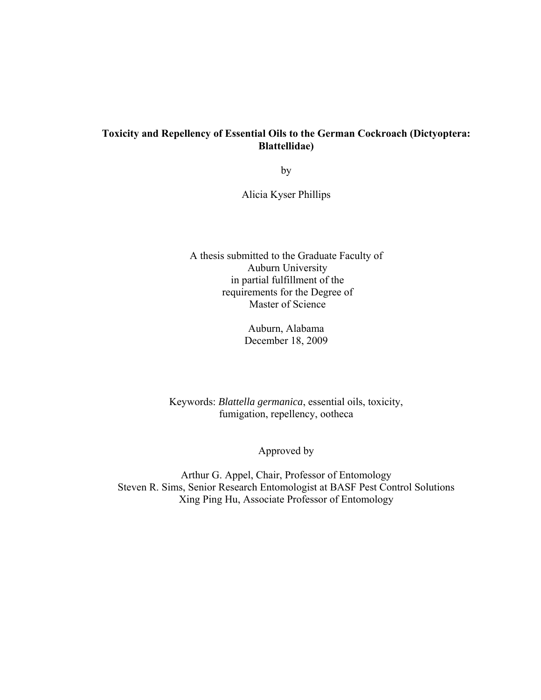# **Toxicity and Repellency of Essential Oils to the German Cockroach (Dictyoptera: Blattellidae)**

by

Alicia Kyser Phillips

A thesis submitted to the Graduate Faculty of Auburn University in partial fulfillment of the requirements for the Degree of Master of Science

> Auburn, Alabama December 18, 2009

Keywords: *Blattella germanica*, essential oils, toxicity, fumigation, repellency, ootheca

Approved by

Arthur G. Appel, Chair, Professor of Entomology Steven R. Sims, Senior Research Entomologist at BASF Pest Control Solutions Xing Ping Hu, Associate Professor of Entomology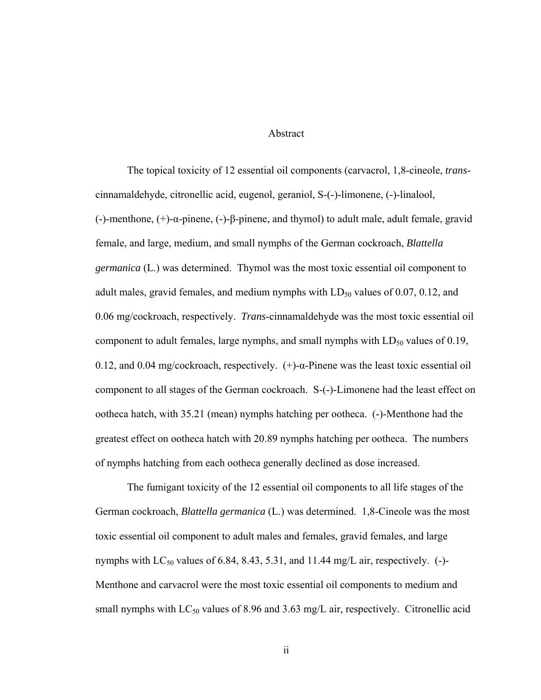## Abstract

The topical toxicity of 12 essential oil components (carvacrol, 1,8-cineole, *trans*cinnamaldehyde, citronellic acid, eugenol, geraniol, S-(-)-limonene, (-)-linalool, (-)-menthone, (+)-α-pinene, (-)-β-pinene, and thymol) to adult male, adult female, gravid female, and large, medium, and small nymphs of the German cockroach, *Blattella germanica* (L.) was determined. Thymol was the most toxic essential oil component to adult males, gravid females, and medium nymphs with  $LD_{50}$  values of 0.07, 0.12, and 0.06 mg/cockroach, respectively. *Trans*-cinnamaldehyde was the most toxic essential oil component to adult females, large nymphs, and small nymphs with  $LD_{50}$  values of 0.19, 0.12, and 0.04 mg/cockroach, respectively. (+)-α-Pinene was the least toxic essential oil component to all stages of the German cockroach. S-(-)-Limonene had the least effect on ootheca hatch, with 35.21 (mean) nymphs hatching per ootheca. (-)-Menthone had the greatest effect on ootheca hatch with 20.89 nymphs hatching per ootheca. The numbers of nymphs hatching from each ootheca generally declined as dose increased.

The fumigant toxicity of the 12 essential oil components to all life stages of the German cockroach, *Blattella germanica* (L.) was determined. 1,8-Cineole was the most toxic essential oil component to adult males and females, gravid females, and large nymphs with  $LC_{50}$  values of 6.84, 8.43, 5.31, and 11.44 mg/L air, respectively. (-)-Menthone and carvacrol were the most toxic essential oil components to medium and small nymphs with  $LC_{50}$  values of 8.96 and 3.63 mg/L air, respectively. Citronellic acid

ii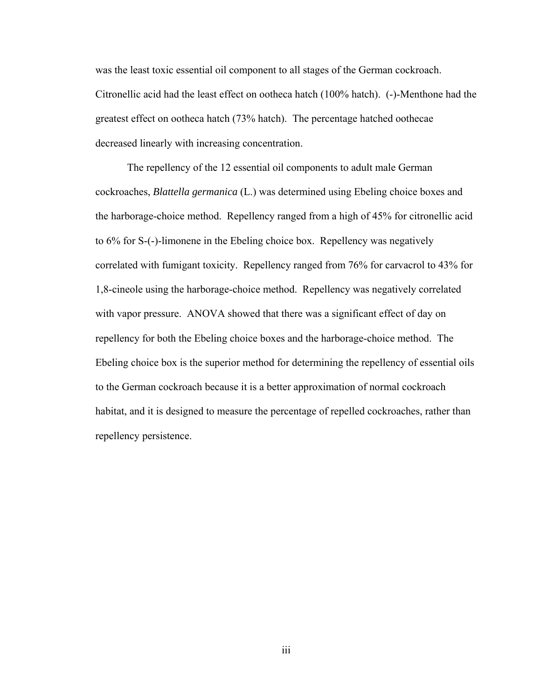was the least toxic essential oil component to all stages of the German cockroach. Citronellic acid had the least effect on ootheca hatch (100% hatch). (-)-Menthone had the greatest effect on ootheca hatch (73% hatch). The percentage hatched oothecae decreased linearly with increasing concentration.

The repellency of the 12 essential oil components to adult male German cockroaches, *Blattella germanica* (L.) was determined using Ebeling choice boxes and the harborage-choice method. Repellency ranged from a high of 45% for citronellic acid to 6% for S-(-)-limonene in the Ebeling choice box. Repellency was negatively correlated with fumigant toxicity. Repellency ranged from 76% for carvacrol to 43% for 1,8-cineole using the harborage-choice method. Repellency was negatively correlated with vapor pressure. ANOVA showed that there was a significant effect of day on repellency for both the Ebeling choice boxes and the harborage-choice method. The Ebeling choice box is the superior method for determining the repellency of essential oils to the German cockroach because it is a better approximation of normal cockroach habitat, and it is designed to measure the percentage of repelled cockroaches, rather than repellency persistence.

iii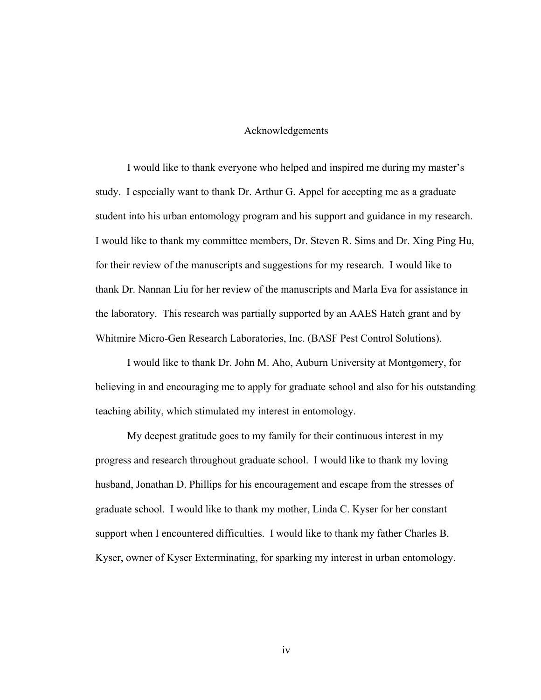## Acknowledgements

 I would like to thank everyone who helped and inspired me during my master's study. I especially want to thank Dr. Arthur G. Appel for accepting me as a graduate student into his urban entomology program and his support and guidance in my research. I would like to thank my committee members, Dr. Steven R. Sims and Dr. Xing Ping Hu, for their review of the manuscripts and suggestions for my research. I would like to thank Dr. Nannan Liu for her review of the manuscripts and Marla Eva for assistance in the laboratory. This research was partially supported by an AAES Hatch grant and by Whitmire Micro-Gen Research Laboratories, Inc. (BASF Pest Control Solutions).

 I would like to thank Dr. John M. Aho, Auburn University at Montgomery, for believing in and encouraging me to apply for graduate school and also for his outstanding teaching ability, which stimulated my interest in entomology.

 My deepest gratitude goes to my family for their continuous interest in my progress and research throughout graduate school. I would like to thank my loving husband, Jonathan D. Phillips for his encouragement and escape from the stresses of graduate school. I would like to thank my mother, Linda C. Kyser for her constant support when I encountered difficulties. I would like to thank my father Charles B. Kyser, owner of Kyser Exterminating, for sparking my interest in urban entomology.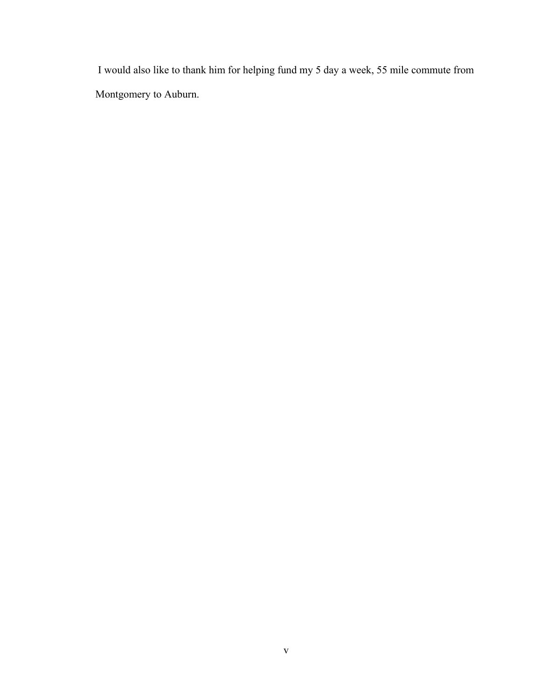I would also like to thank him for helping fund my 5 day a week, 55 mile commute from Montgomery to Auburn.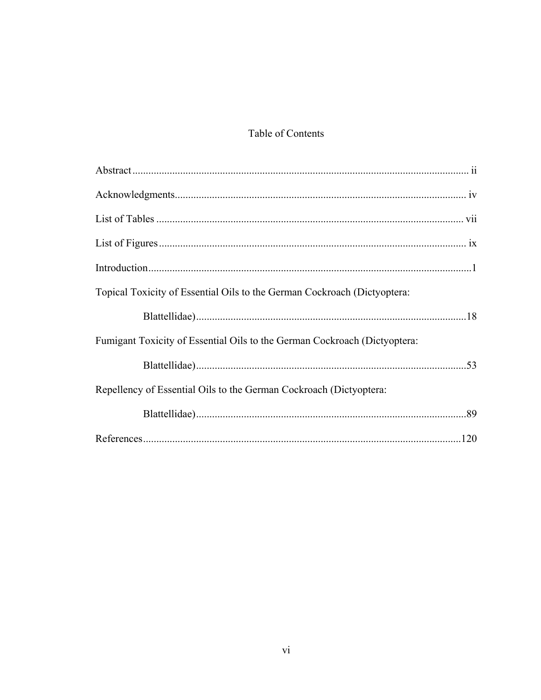# Table of Contents

| Topical Toxicity of Essential Oils to the German Cockroach (Dictyoptera:  |  |
|---------------------------------------------------------------------------|--|
|                                                                           |  |
| Fumigant Toxicity of Essential Oils to the German Cockroach (Dictyoptera: |  |
|                                                                           |  |
| Repellency of Essential Oils to the German Cockroach (Dictyoptera:        |  |
|                                                                           |  |
|                                                                           |  |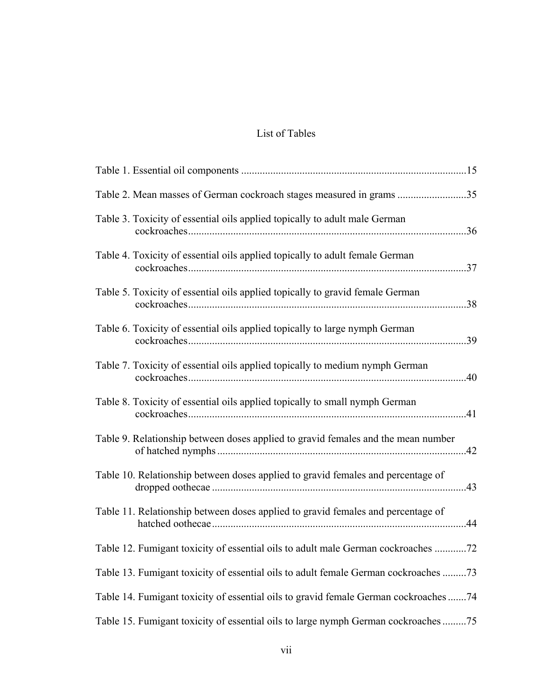# List of Tables

| Table 2. Mean masses of German cockroach stages measured in grams 35                 |
|--------------------------------------------------------------------------------------|
| Table 3. Toxicity of essential oils applied topically to adult male German<br>.36    |
| Table 4. Toxicity of essential oils applied topically to adult female German         |
| Table 5. Toxicity of essential oils applied topically to gravid female German<br>.38 |
| Table 6. Toxicity of essential oils applied topically to large nymph German          |
| Table 7. Toxicity of essential oils applied topically to medium nymph German<br>.40  |
| Table 8. Toxicity of essential oils applied topically to small nymph German          |
| Table 9. Relationship between doses applied to gravid females and the mean number    |
| Table 10. Relationship between doses applied to gravid females and percentage of     |
| Table 11. Relationship between doses applied to gravid females and percentage of     |
| Table 12. Fumigant toxicity of essential oils to adult male German cockroaches 72    |
| Table 13. Fumigant toxicity of essential oils to adult female German cockroaches 73  |
| Table 14. Fumigant toxicity of essential oils to gravid female German cockroaches 74 |
| Table 15. Fumigant toxicity of essential oils to large nymph German cockroaches 75   |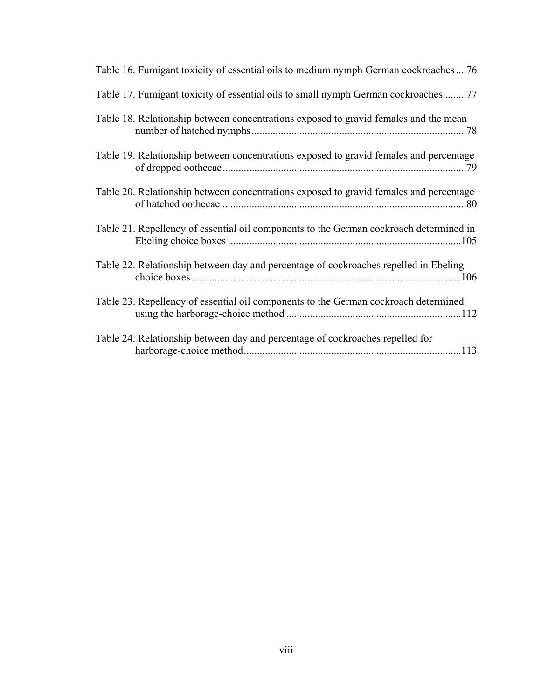| Table 16. Fumigant toxicity of essential oils to medium nymph German cockroaches76     |
|----------------------------------------------------------------------------------------|
| Table 17. Fumigant toxicity of essential oils to small nymph German cockroaches 77     |
| Table 18. Relationship between concentrations exposed to gravid females and the mean   |
| Table 19. Relationship between concentrations exposed to gravid females and percentage |
| Table 20. Relationship between concentrations exposed to gravid females and percentage |
| Table 21. Repellency of essential oil components to the German cockroach determined in |
| Table 22. Relationship between day and percentage of cockroaches repelled in Ebeling   |
| Table 23. Repellency of essential oil components to the German cockroach determined    |
| Table 24. Relationship between day and percentage of cockroaches repelled for          |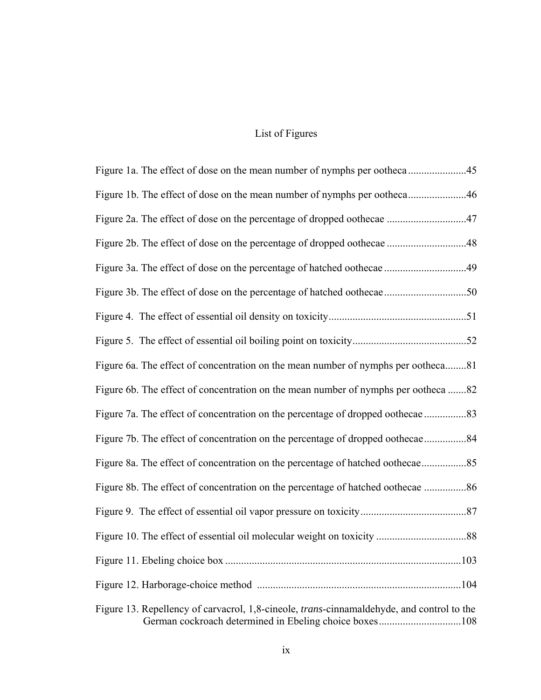# List of Figures

| Figure 1b. The effect of dose on the mean number of nymphs per ootheca46                                                                                    |
|-------------------------------------------------------------------------------------------------------------------------------------------------------------|
|                                                                                                                                                             |
|                                                                                                                                                             |
|                                                                                                                                                             |
| Figure 3b. The effect of dose on the percentage of hatched oothecae50                                                                                       |
|                                                                                                                                                             |
|                                                                                                                                                             |
| Figure 6a. The effect of concentration on the mean number of nymphs per ootheca81                                                                           |
| Figure 6b. The effect of concentration on the mean number of nymphs per ootheca 82                                                                          |
|                                                                                                                                                             |
| Figure 7b. The effect of concentration on the percentage of dropped oothecae84                                                                              |
| Figure 8a. The effect of concentration on the percentage of hatched oothecae                                                                                |
| Figure 8b. The effect of concentration on the percentage of hatched oothecae 86                                                                             |
|                                                                                                                                                             |
|                                                                                                                                                             |
|                                                                                                                                                             |
|                                                                                                                                                             |
| Figure 13. Repellency of carvacrol, 1,8-cineole, <i>trans</i> -cinnamaldehyde, and control to the<br>German cockroach determined in Ebeling choice boxes108 |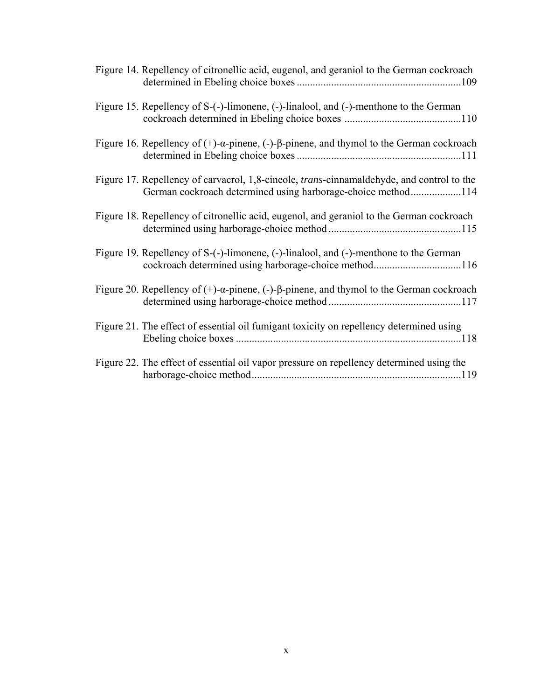| Figure 14. Repellency of citronellic acid, eugenol, and geraniol to the German cockroach                                                                          |
|-------------------------------------------------------------------------------------------------------------------------------------------------------------------|
| Figure 15. Repellency of S-(-)-limonene, (-)-linalool, and (-)-menthone to the German                                                                             |
| Figure 16. Repellency of $(+)$ - $\alpha$ -pinene, $(-)$ - $\beta$ -pinene, and thymol to the German cockroach                                                    |
| Figure 17. Repellency of carvacrol, 1,8-cineole, <i>trans</i> -cinnamaldehyde, and control to the<br>German cockroach determined using harborage-choice method114 |
| Figure 18. Repellency of citronellic acid, eugenol, and geraniol to the German cockroach                                                                          |
| Figure 19. Repellency of S-(-)-limonene, (-)-linalool, and (-)-menthone to the German<br>cockroach determined using harborage-choice method116                    |
| Figure 20. Repellency of $(+)$ - $\alpha$ -pinene, $(-)$ - $\beta$ -pinene, and thymol to the German cockroach                                                    |
| Figure 21. The effect of essential oil fumigant toxicity on repellency determined using                                                                           |
| Figure 22. The effect of essential oil vapor pressure on repellency determined using the                                                                          |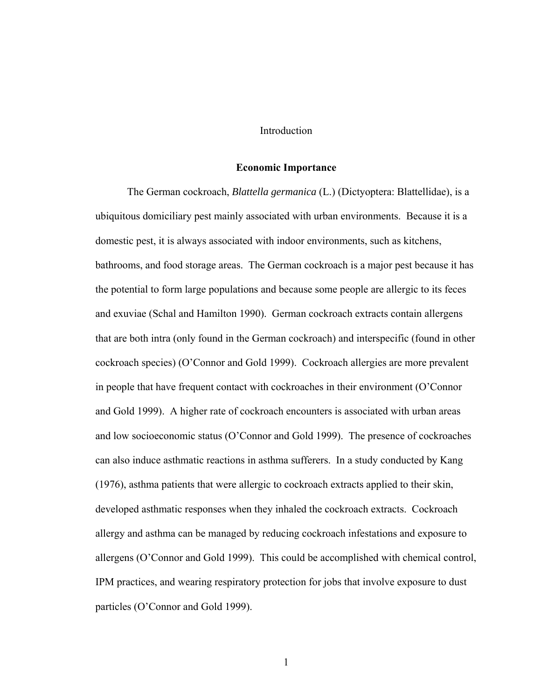## Introduction

#### **Economic Importance**

The German cockroach, *Blattella germanica* (L.) (Dictyoptera: Blattellidae), is a ubiquitous domiciliary pest mainly associated with urban environments. Because it is a domestic pest, it is always associated with indoor environments, such as kitchens, bathrooms, and food storage areas. The German cockroach is a major pest because it has the potential to form large populations and because some people are allergic to its feces and exuviae (Schal and Hamilton 1990). German cockroach extracts contain allergens that are both intra (only found in the German cockroach) and interspecific (found in other cockroach species) (O'Connor and Gold 1999). Cockroach allergies are more prevalent in people that have frequent contact with cockroaches in their environment (O'Connor and Gold 1999). A higher rate of cockroach encounters is associated with urban areas and low socioeconomic status (O'Connor and Gold 1999). The presence of cockroaches can also induce asthmatic reactions in asthma sufferers. In a study conducted by Kang (1976), asthma patients that were allergic to cockroach extracts applied to their skin, developed asthmatic responses when they inhaled the cockroach extracts. Cockroach allergy and asthma can be managed by reducing cockroach infestations and exposure to allergens (O'Connor and Gold 1999). This could be accomplished with chemical control, IPM practices, and wearing respiratory protection for jobs that involve exposure to dust particles (O'Connor and Gold 1999).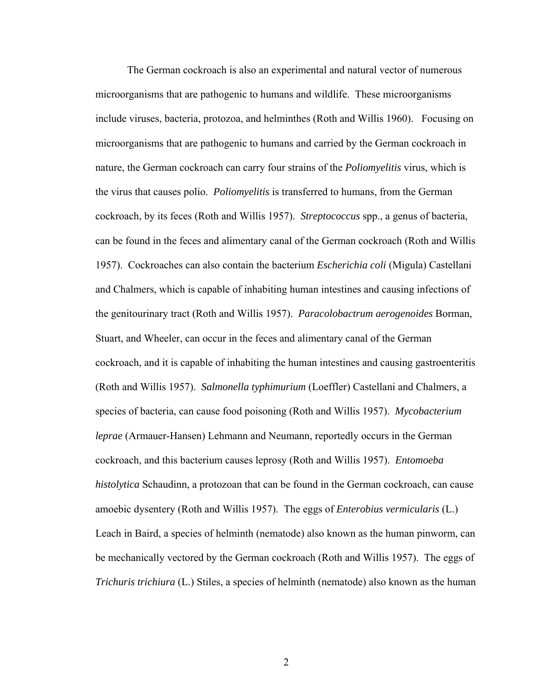The German cockroach is also an experimental and natural vector of numerous microorganisms that are pathogenic to humans and wildlife. These microorganisms include viruses, bacteria, protozoa, and helminthes (Roth and Willis 1960). Focusing on microorganisms that are pathogenic to humans and carried by the German cockroach in nature, the German cockroach can carry four strains of the *Poliomyelitis* virus, which is the virus that causes polio. *Poliomyelitis* is transferred to humans, from the German cockroach, by its feces (Roth and Willis 1957). *Streptococcus* spp., a genus of bacteria, can be found in the feces and alimentary canal of the German cockroach (Roth and Willis 1957). Cockroaches can also contain the bacterium *Escherichia coli* (Migula) Castellani and Chalmers, which is capable of inhabiting human intestines and causing infections of the genitourinary tract (Roth and Willis 1957). *Paracolobactrum aerogenoides* Borman, Stuart, and Wheeler, can occur in the feces and alimentary canal of the German cockroach, and it is capable of inhabiting the human intestines and causing gastroenteritis (Roth and Willis 1957). *Salmonella typhimurium* (Loeffler) Castellani and Chalmers, a species of bacteria, can cause food poisoning (Roth and Willis 1957). *Mycobacterium leprae* (Armauer-Hansen) Lehmann and Neumann, reportedly occurs in the German cockroach, and this bacterium causes leprosy (Roth and Willis 1957). *Entomoeba histolytica* Schaudinn, a protozoan that can be found in the German cockroach, can cause amoebic dysentery (Roth and Willis 1957). The eggs of *Enterobius vermicularis* (L.) Leach in Baird, a species of helminth (nematode) also known as the human pinworm, can be mechanically vectored by the German cockroach (Roth and Willis 1957). The eggs of *Trichuris trichiura* (L.) Stiles, a species of helminth (nematode) also known as the human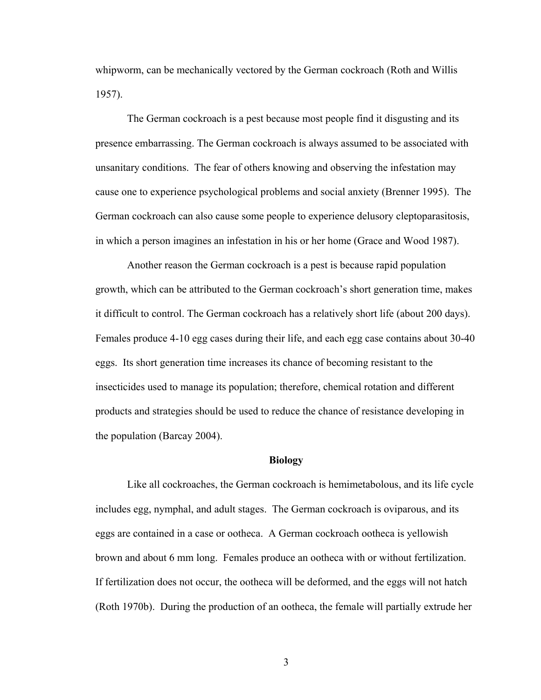whipworm, can be mechanically vectored by the German cockroach (Roth and Willis 1957).

The German cockroach is a pest because most people find it disgusting and its presence embarrassing. The German cockroach is always assumed to be associated with unsanitary conditions. The fear of others knowing and observing the infestation may cause one to experience psychological problems and social anxiety (Brenner 1995). The German cockroach can also cause some people to experience delusory cleptoparasitosis, in which a person imagines an infestation in his or her home (Grace and Wood 1987).

Another reason the German cockroach is a pest is because rapid population growth, which can be attributed to the German cockroach's short generation time, makes it difficult to control. The German cockroach has a relatively short life (about 200 days). Females produce 4-10 egg cases during their life, and each egg case contains about 30-40 eggs. Its short generation time increases its chance of becoming resistant to the insecticides used to manage its population; therefore, chemical rotation and different products and strategies should be used to reduce the chance of resistance developing in the population (Barcay 2004).

#### **Biology**

Like all cockroaches, the German cockroach is hemimetabolous, and its life cycle includes egg, nymphal, and adult stages. The German cockroach is oviparous, and its eggs are contained in a case or ootheca. A German cockroach ootheca is yellowish brown and about 6 mm long. Females produce an ootheca with or without fertilization. If fertilization does not occur, the ootheca will be deformed, and the eggs will not hatch (Roth 1970b). During the production of an ootheca, the female will partially extrude her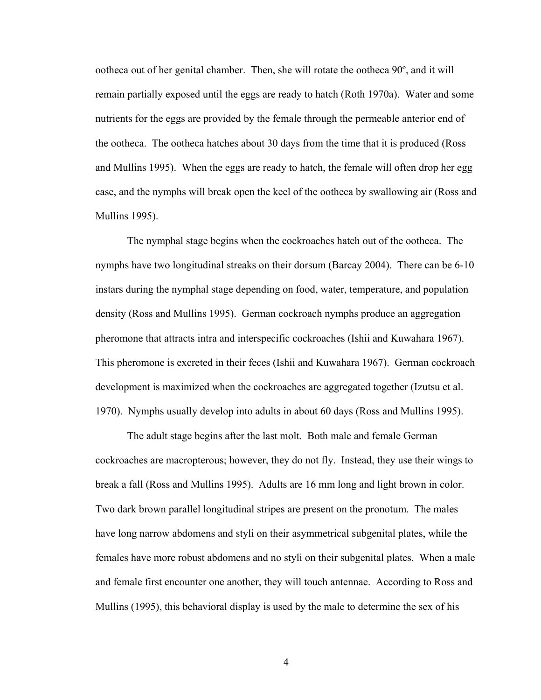ootheca out of her genital chamber. Then, she will rotate the ootheca 90º, and it will remain partially exposed until the eggs are ready to hatch (Roth 1970a). Water and some nutrients for the eggs are provided by the female through the permeable anterior end of the ootheca. The ootheca hatches about 30 days from the time that it is produced (Ross and Mullins 1995). When the eggs are ready to hatch, the female will often drop her egg case, and the nymphs will break open the keel of the ootheca by swallowing air (Ross and Mullins 1995).

 The nymphal stage begins when the cockroaches hatch out of the ootheca. The nymphs have two longitudinal streaks on their dorsum (Barcay 2004). There can be 6-10 instars during the nymphal stage depending on food, water, temperature, and population density (Ross and Mullins 1995). German cockroach nymphs produce an aggregation pheromone that attracts intra and interspecific cockroaches (Ishii and Kuwahara 1967). This pheromone is excreted in their feces (Ishii and Kuwahara 1967). German cockroach development is maximized when the cockroaches are aggregated together (Izutsu et al. 1970). Nymphs usually develop into adults in about 60 days (Ross and Mullins 1995).

The adult stage begins after the last molt. Both male and female German cockroaches are macropterous; however, they do not fly. Instead, they use their wings to break a fall (Ross and Mullins 1995). Adults are 16 mm long and light brown in color. Two dark brown parallel longitudinal stripes are present on the pronotum. The males have long narrow abdomens and styli on their asymmetrical subgenital plates, while the females have more robust abdomens and no styli on their subgenital plates. When a male and female first encounter one another, they will touch antennae. According to Ross and Mullins (1995), this behavioral display is used by the male to determine the sex of his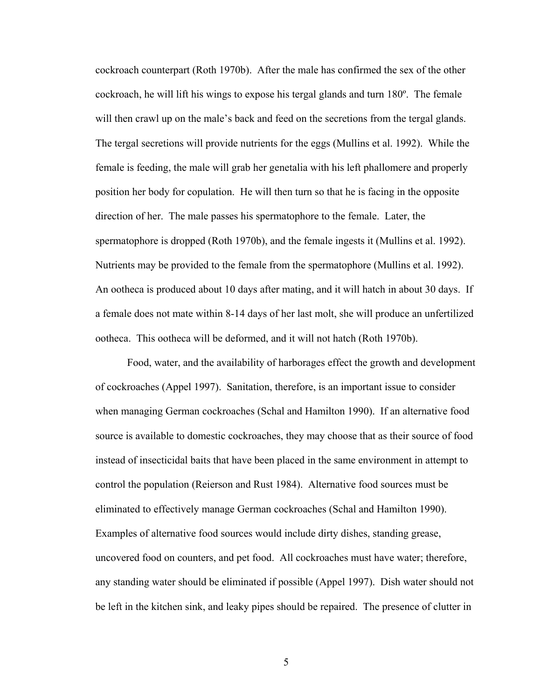cockroach counterpart (Roth 1970b). After the male has confirmed the sex of the other cockroach, he will lift his wings to expose his tergal glands and turn 180º. The female will then crawl up on the male's back and feed on the secretions from the tergal glands. The tergal secretions will provide nutrients for the eggs (Mullins et al. 1992). While the female is feeding, the male will grab her genetalia with his left phallomere and properly position her body for copulation. He will then turn so that he is facing in the opposite direction of her. The male passes his spermatophore to the female. Later, the spermatophore is dropped (Roth 1970b), and the female ingests it (Mullins et al. 1992). Nutrients may be provided to the female from the spermatophore (Mullins et al. 1992). An ootheca is produced about 10 days after mating, and it will hatch in about 30 days. If a female does not mate within 8-14 days of her last molt, she will produce an unfertilized ootheca. This ootheca will be deformed, and it will not hatch (Roth 1970b).

Food, water, and the availability of harborages effect the growth and development of cockroaches (Appel 1997). Sanitation, therefore, is an important issue to consider when managing German cockroaches (Schal and Hamilton 1990). If an alternative food source is available to domestic cockroaches, they may choose that as their source of food instead of insecticidal baits that have been placed in the same environment in attempt to control the population (Reierson and Rust 1984). Alternative food sources must be eliminated to effectively manage German cockroaches (Schal and Hamilton 1990). Examples of alternative food sources would include dirty dishes, standing grease, uncovered food on counters, and pet food. All cockroaches must have water; therefore, any standing water should be eliminated if possible (Appel 1997). Dish water should not be left in the kitchen sink, and leaky pipes should be repaired. The presence of clutter in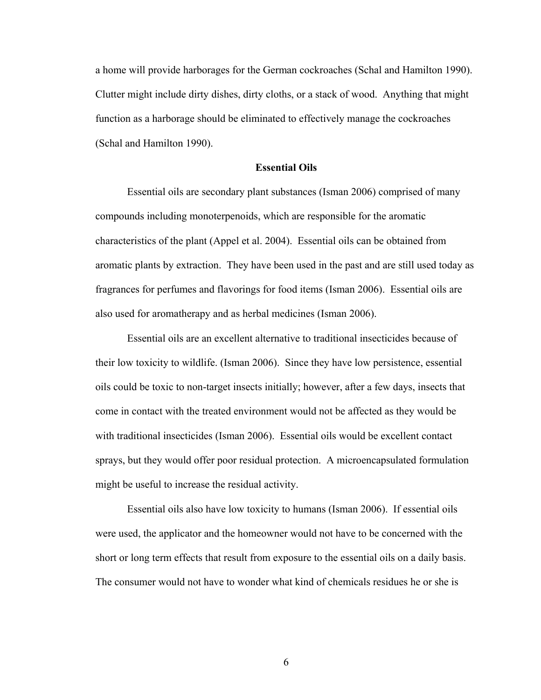a home will provide harborages for the German cockroaches (Schal and Hamilton 1990). Clutter might include dirty dishes, dirty cloths, or a stack of wood. Anything that might function as a harborage should be eliminated to effectively manage the cockroaches (Schal and Hamilton 1990).

#### **Essential Oils**

 Essential oils are secondary plant substances (Isman 2006) comprised of many compounds including monoterpenoids, which are responsible for the aromatic characteristics of the plant (Appel et al. 2004). Essential oils can be obtained from aromatic plants by extraction. They have been used in the past and are still used today as fragrances for perfumes and flavorings for food items (Isman 2006). Essential oils are also used for aromatherapy and as herbal medicines (Isman 2006).

Essential oils are an excellent alternative to traditional insecticides because of their low toxicity to wildlife. (Isman 2006). Since they have low persistence, essential oils could be toxic to non-target insects initially; however, after a few days, insects that come in contact with the treated environment would not be affected as they would be with traditional insecticides (Isman 2006). Essential oils would be excellent contact sprays, but they would offer poor residual protection. A microencapsulated formulation might be useful to increase the residual activity.

Essential oils also have low toxicity to humans (Isman 2006). If essential oils were used, the applicator and the homeowner would not have to be concerned with the short or long term effects that result from exposure to the essential oils on a daily basis. The consumer would not have to wonder what kind of chemicals residues he or she is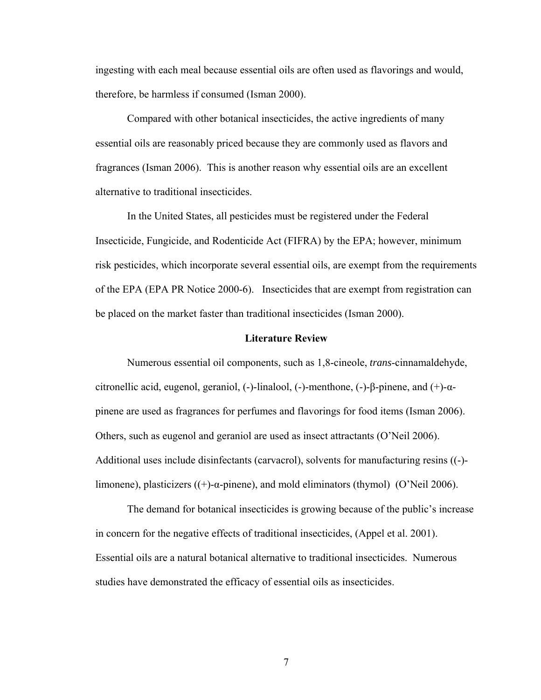ingesting with each meal because essential oils are often used as flavorings and would, therefore, be harmless if consumed (Isman 2000).

Compared with other botanical insecticides, the active ingredients of many essential oils are reasonably priced because they are commonly used as flavors and fragrances (Isman 2006). This is another reason why essential oils are an excellent alternative to traditional insecticides.

In the United States, all pesticides must be registered under the Federal Insecticide, Fungicide, and Rodenticide Act (FIFRA) by the EPA; however, minimum risk pesticides, which incorporate several essential oils, are exempt from the requirements of the EPA (EPA PR Notice 2000-6). Insecticides that are exempt from registration can be placed on the market faster than traditional insecticides (Isman 2000).

#### **Literature Review**

Numerous essential oil components, such as 1,8-cineole, *trans*-cinnamaldehyde, citronellic acid, eugenol, geraniol, (-)-linalool, (-)-menthone, (-)-β-pinene, and (+)-αpinene are used as fragrances for perfumes and flavorings for food items (Isman 2006). Others, such as eugenol and geraniol are used as insect attractants (O'Neil 2006). Additional uses include disinfectants (carvacrol), solvents for manufacturing resins ((-) limonene), plasticizers ((+)-α-pinene), and mold eliminators (thymol) (O'Neil 2006).

The demand for botanical insecticides is growing because of the public's increase in concern for the negative effects of traditional insecticides, (Appel et al. 2001). Essential oils are a natural botanical alternative to traditional insecticides. Numerous studies have demonstrated the efficacy of essential oils as insecticides.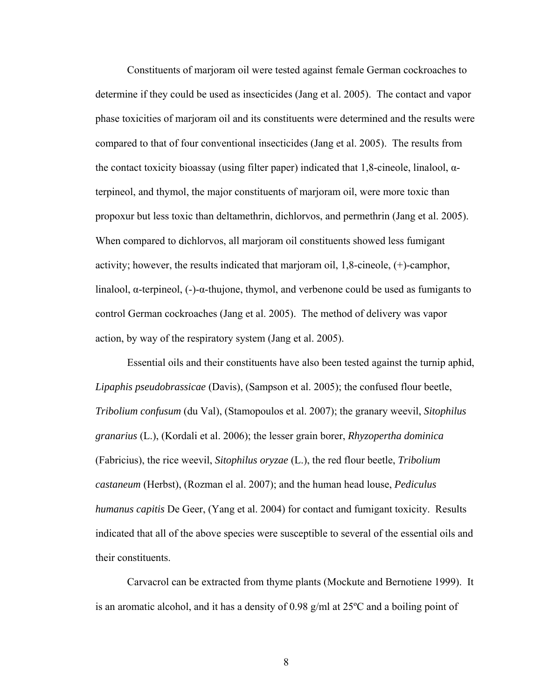Constituents of marjoram oil were tested against female German cockroaches to determine if they could be used as insecticides (Jang et al. 2005). The contact and vapor phase toxicities of marjoram oil and its constituents were determined and the results were compared to that of four conventional insecticides (Jang et al. 2005). The results from the contact toxicity bioassay (using filter paper) indicated that 1,8-cineole, linalool,  $\alpha$ terpineol, and thymol, the major constituents of marjoram oil, were more toxic than propoxur but less toxic than deltamethrin, dichlorvos, and permethrin (Jang et al. 2005). When compared to dichlorvos, all marjoram oil constituents showed less fumigant activity; however, the results indicated that marjoram oil, 1,8-cineole, (+)-camphor, linalool,  $\alpha$ -terpineol,  $(-)$ - $\alpha$ -thujone, thymol, and verbenone could be used as fumigants to control German cockroaches (Jang et al. 2005). The method of delivery was vapor action, by way of the respiratory system (Jang et al. 2005).

Essential oils and their constituents have also been tested against the turnip aphid, *Lipaphis pseudobrassicae* (Davis), (Sampson et al. 2005); the confused flour beetle, *Tribolium confusum* (du Val), (Stamopoulos et al. 2007); the granary weevil, *Sitophilus granarius* (L.), (Kordali et al. 2006); the lesser grain borer, *Rhyzopertha dominica*  (Fabricius), the rice weevil, *Sitophilus oryzae* (L.), the red flour beetle, *Tribolium castaneum* (Herbst), (Rozman el al. 2007); and the human head louse, *Pediculus humanus capitis* De Geer, (Yang et al. 2004) for contact and fumigant toxicity. Results indicated that all of the above species were susceptible to several of the essential oils and their constituents.

Carvacrol can be extracted from thyme plants (Mockute and Bernotiene 1999). It is an aromatic alcohol, and it has a density of 0.98 g/ml at 25ºC and a boiling point of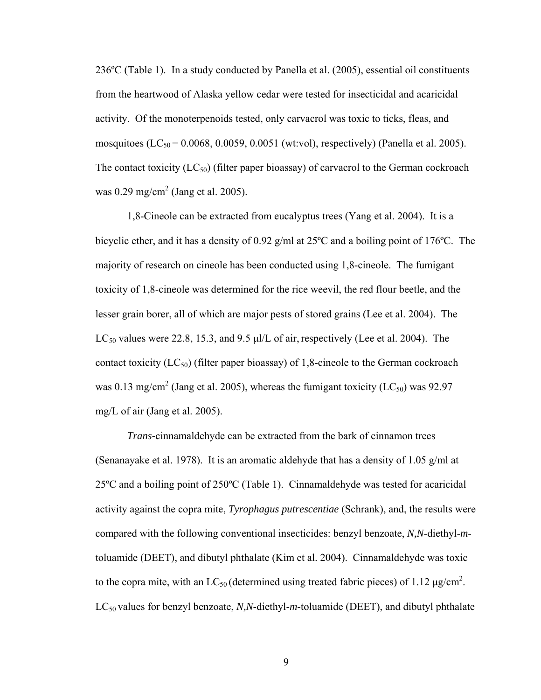236ºC (Table 1). In a study conducted by Panella et al. (2005), essential oil constituents from the heartwood of Alaska yellow cedar were tested for insecticidal and acaricidal activity. Of the monoterpenoids tested, only carvacrol was toxic to ticks, fleas, and mosquitoes (LC<sub>50</sub> = 0.0068, 0.0059, 0.0051 (wt:vol), respectively) (Panella et al. 2005). The contact toxicity  $(LC_{50})$  (filter paper bioassay) of carvacrol to the German cockroach was  $0.29 \text{ mg/cm}^2$  (Jang et al. 2005).

1,8-Cineole can be extracted from eucalyptus trees (Yang et al. 2004). It is a bicyclic ether, and it has a density of 0.92 g/ml at 25ºC and a boiling point of 176ºC. The majority of research on cineole has been conducted using 1,8-cineole. The fumigant toxicity of 1,8-cineole was determined for the rice weevil, the red flour beetle, and the lesser grain borer, all of which are major pests of stored grains (Lee et al. 2004). The  $LC_{50}$  values were 22.8, 15.3, and 9.5 μl/L of air, respectively (Lee et al. 2004). The contact toxicity  $(LC_{50})$  (filter paper bioassay) of 1,8-cineole to the German cockroach was 0.13 mg/cm<sup>2</sup> (Jang et al. 2005), whereas the fumigant toxicity (LC<sub>50</sub>) was 92.97 mg/L of air (Jang et al. 2005).

*Trans-*cinnamaldehyde can be extracted from the bark of cinnamon trees (Senanayake et al. 1978). It is an aromatic aldehyde that has a density of 1.05 g/ml at 25ºC and a boiling point of 250ºC (Table 1). Cinnamaldehyde was tested for acaricidal activity against the copra mite, *Tyrophagus putrescentiae* (Schrank), and, the results were compared with the following conventional insecticides: benzyl benzoate, *N,N*-diethyl-*m*toluamide (DEET), and dibutyl phthalate (Kim et al. 2004). Cinnamaldehyde was toxic to the copra mite, with an  $LC_{50}$  (determined using treated fabric pieces) of 1.12  $\mu$ g/cm<sup>2</sup>. LC<sub>50</sub> values for benzyl benzoate, *N,N*-diethyl-*m*-toluamide (DEET), and dibutyl phthalate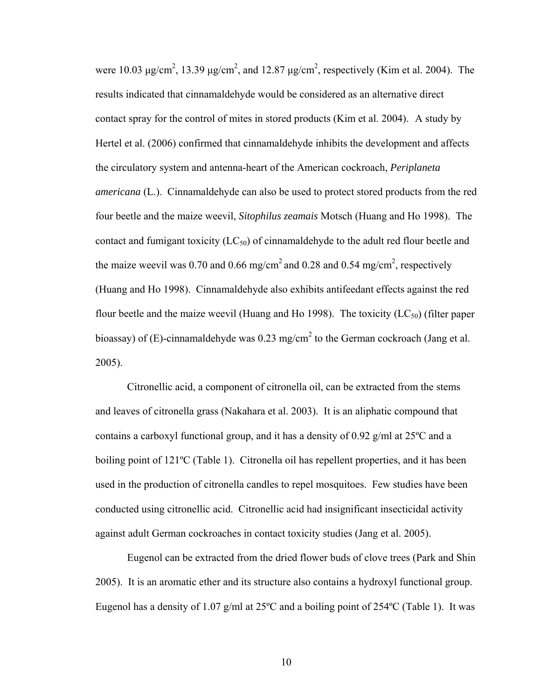were 10.03  $\mu$ g/cm<sup>2</sup>, 13.39  $\mu$ g/cm<sup>2</sup>, and 12.87  $\mu$ g/cm<sup>2</sup>, respectively (Kim et al. 2004). The results indicated that cinnamaldehyde would be considered as an alternative direct contact spray for the control of mites in stored products (Kim et al. 2004). A study by Hertel et al. (2006) confirmed that cinnamaldehyde inhibits the development and affects the circulatory system and antenna-heart of the American cockroach, *Periplaneta americana* (L.). Cinnamaldehyde can also be used to protect stored products from the red four beetle and the maize weevil, *Sitophilus zeamais* Motsch (Huang and Ho 1998). The contact and fumigant toxicity  $(LC_{50})$  of cinnamaldehyde to the adult red flour beetle and the maize weevil was 0.70 and 0.66 mg/cm<sup>2</sup> and 0.28 and 0.54 mg/cm<sup>2</sup>, respectively (Huang and Ho 1998). Cinnamaldehyde also exhibits antifeedant effects against the red flour beetle and the maize weevil (Huang and Ho 1998). The toxicity  $(LC_{50})$  (filter paper bioassay) of (E)-cinnamaldehyde was 0.23 mg/cm<sup>2</sup> to the German cockroach (Jang et al. 2005).

Citronellic acid, a component of citronella oil, can be extracted from the stems and leaves of citronella grass (Nakahara et al. 2003). It is an aliphatic compound that contains a carboxyl functional group, and it has a density of 0.92 g/ml at 25ºC and a boiling point of 121ºC (Table 1). Citronella oil has repellent properties, and it has been used in the production of citronella candles to repel mosquitoes. Few studies have been conducted using citronellic acid. Citronellic acid had insignificant insecticidal activity against adult German cockroaches in contact toxicity studies (Jang et al. 2005).

Eugenol can be extracted from the dried flower buds of clove trees (Park and Shin 2005). It is an aromatic ether and its structure also contains a hydroxyl functional group. Eugenol has a density of 1.07 g/ml at  $25^{\circ}$ C and a boiling point of  $254^{\circ}$ C (Table 1). It was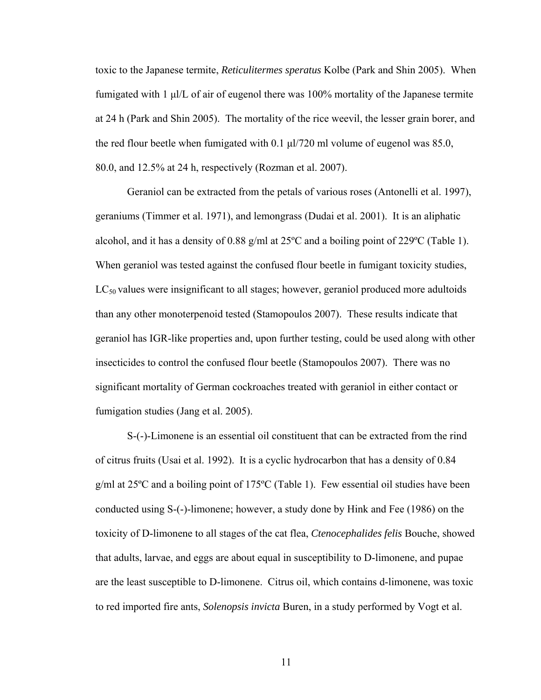toxic to the Japanese termite, *Reticulitermes speratus* Kolbe (Park and Shin 2005). When fumigated with 1 μl/L of air of eugenol there was 100% mortality of the Japanese termite at 24 h (Park and Shin 2005). The mortality of the rice weevil, the lesser grain borer, and the red flour beetle when fumigated with  $0.1 \mu l/720$  ml volume of eugenol was 85.0, 80.0, and 12.5% at 24 h, respectively (Rozman et al. 2007).

Geraniol can be extracted from the petals of various roses (Antonelli et al. 1997), geraniums (Timmer et al. 1971), and lemongrass (Dudai et al. 2001). It is an aliphatic alcohol, and it has a density of 0.88 g/ml at 25ºC and a boiling point of 229ºC (Table 1). When geraniol was tested against the confused flour beetle in fumigant toxicity studies,  $LC_{50}$  values were insignificant to all stages; however, geraniol produced more adultoids than any other monoterpenoid tested (Stamopoulos 2007). These results indicate that geraniol has IGR-like properties and, upon further testing, could be used along with other insecticides to control the confused flour beetle (Stamopoulos 2007). There was no significant mortality of German cockroaches treated with geraniol in either contact or fumigation studies (Jang et al. 2005).

S-(-)-Limonene is an essential oil constituent that can be extracted from the rind of citrus fruits (Usai et al. 1992). It is a cyclic hydrocarbon that has a density of 0.84 g/ml at 25ºC and a boiling point of 175ºC (Table 1). Few essential oil studies have been conducted using S-(-)-limonene; however, a study done by Hink and Fee (1986) on the toxicity of D-limonene to all stages of the cat flea, *Ctenocephalides felis* Bouche, showed that adults, larvae, and eggs are about equal in susceptibility to D-limonene, and pupae are the least susceptible to D-limonene. Citrus oil, which contains d-limonene, was toxic to red imported fire ants, *Solenopsis invicta* Buren, in a study performed by Vogt et al.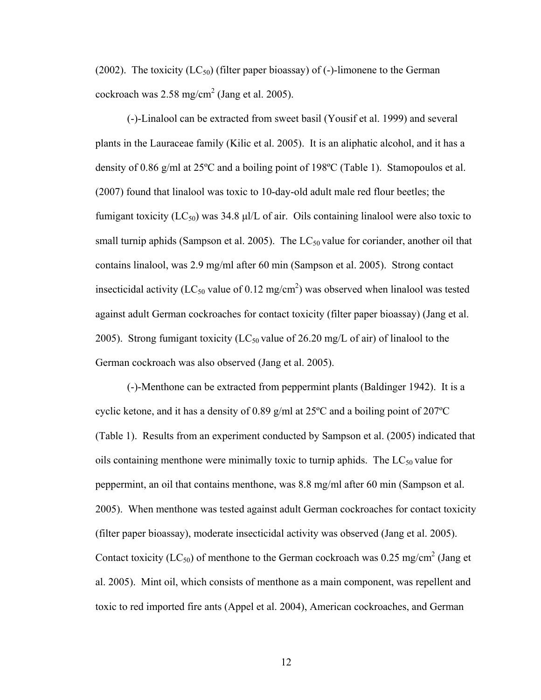(2002). The toxicity ( $LC_{50}$ ) (filter paper bioassay) of (-)-limonene to the German cockroach was  $2.58 \text{ mg/cm}^2$  (Jang et al. 2005).

(-)-Linalool can be extracted from sweet basil (Yousif et al. 1999) and several plants in the Lauraceae family (Kilic et al. 2005). It is an aliphatic alcohol, and it has a density of 0.86 g/ml at  $25^{\circ}$ C and a boiling point of 198 $^{\circ}$ C (Table 1). Stamopoulos et al. (2007) found that linalool was toxic to 10-day-old adult male red flour beetles; the fumigant toxicity  $(LC_{50})$  was 34.8 μl/L of air. Oils containing linalool were also toxic to small turnip aphids (Sampson et al. 2005). The  $LC_{50}$  value for coriander, another oil that contains linalool, was 2.9 mg/ml after 60 min (Sampson et al. 2005). Strong contact insecticidal activity (LC<sub>50</sub> value of 0.12 mg/cm<sup>2</sup>) was observed when linalool was tested against adult German cockroaches for contact toxicity (filter paper bioassay) (Jang et al. 2005). Strong fumigant toxicity (LC<sub>50</sub> value of 26.20 mg/L of air) of linalool to the German cockroach was also observed (Jang et al. 2005).

(-)-Menthone can be extracted from peppermint plants (Baldinger 1942). It is a cyclic ketone, and it has a density of 0.89 g/ml at 25ºC and a boiling point of 207ºC (Table 1). Results from an experiment conducted by Sampson et al. (2005) indicated that oils containing menthone were minimally toxic to turnip aphids. The  $LC_{50}$  value for peppermint, an oil that contains menthone, was 8.8 mg/ml after 60 min (Sampson et al. 2005). When menthone was tested against adult German cockroaches for contact toxicity (filter paper bioassay), moderate insecticidal activity was observed (Jang et al. 2005). Contact toxicity (LC<sub>50</sub>) of menthone to the German cockroach was 0.25 mg/cm<sup>2</sup> (Jang et al. 2005). Mint oil, which consists of menthone as a main component, was repellent and toxic to red imported fire ants (Appel et al. 2004), American cockroaches, and German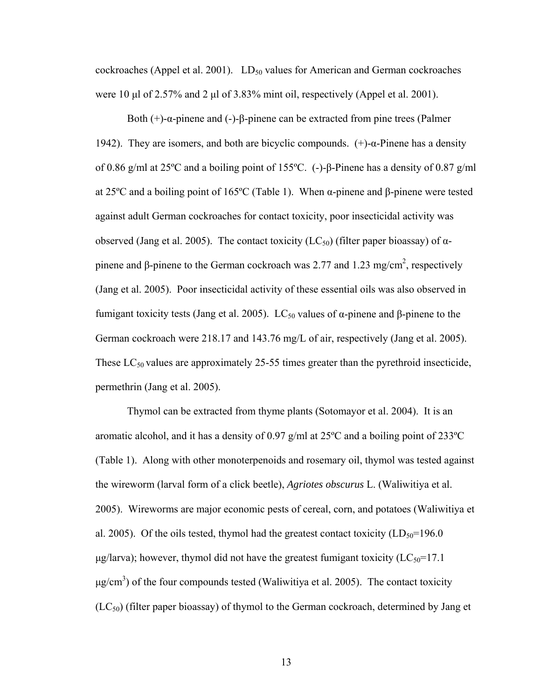cockroaches (Appel et al. 2001).  $LD_{50}$  values for American and German cockroaches were 10 μl of 2.57% and 2 μl of 3.83% mint oil, respectively (Appel et al. 2001).

Both (+)-α-pinene and (-)-β-pinene can be extracted from pine trees (Palmer 1942). They are isomers, and both are bicyclic compounds.  $(+)$ -α-Pinene has a density of 0.86 g/ml at 25ºC and a boiling point of 155ºC. (-)-β-Pinene has a density of 0.87 g/ml at 25ºC and a boiling point of 165ºC (Table 1). When α-pinene and β-pinene were tested against adult German cockroaches for contact toxicity, poor insecticidal activity was observed (Jang et al. 2005). The contact toxicity (LC<sub>50</sub>) (filter paper bioassay) of αpinene and β-pinene to the German cockroach was 2.77 and 1.23 mg/cm<sup>2</sup>, respectively (Jang et al. 2005). Poor insecticidal activity of these essential oils was also observed in fumigant toxicity tests (Jang et al. 2005). LC<sub>50</sub> values of α-pinene and β-pinene to the German cockroach were 218.17 and 143.76 mg/L of air, respectively (Jang et al. 2005). These  $LC_{50}$  values are approximately 25-55 times greater than the pyrethroid insecticide, permethrin (Jang et al. 2005).

Thymol can be extracted from thyme plants (Sotomayor et al. 2004). It is an aromatic alcohol, and it has a density of 0.97 g/ml at 25 $\degree$ C and a boiling point of 233 $\degree$ C (Table 1). Along with other monoterpenoids and rosemary oil, thymol was tested against the wireworm (larval form of a click beetle), *Agriotes obscurus* L. (Waliwitiya et al. 2005). Wireworms are major economic pests of cereal, corn, and potatoes (Waliwitiya et al. 2005). Of the oils tested, thymol had the greatest contact toxicity  $(LD_{50}=196.0$  $\mu$ g/larva); however, thymol did not have the greatest fumigant toxicity (LC<sub>50</sub>=17.1)  $\mu$ g/cm<sup>3</sup>) of the four compounds tested (Waliwitiya et al. 2005). The contact toxicity  $(LC_{50})$  (filter paper bioassay) of thymol to the German cockroach, determined by Jang et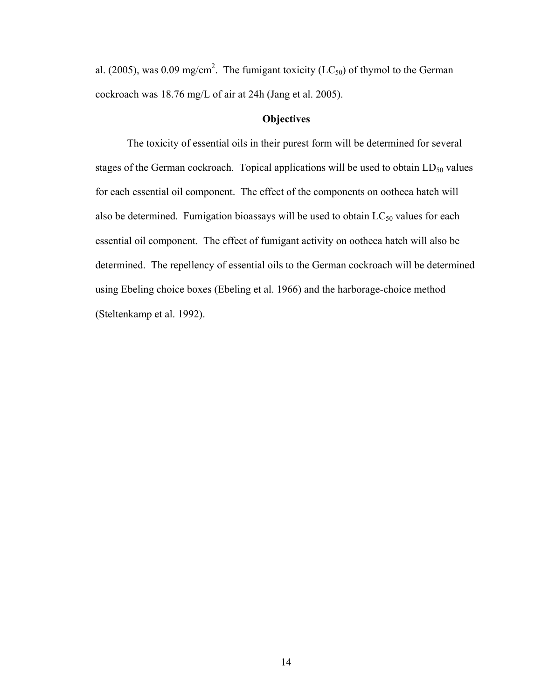al. (2005), was 0.09 mg/cm<sup>2</sup>. The fumigant toxicity (LC<sub>50</sub>) of thymol to the German cockroach was 18.76 mg/L of air at 24h (Jang et al. 2005).

## **Objectives**

 The toxicity of essential oils in their purest form will be determined for several stages of the German cockroach. Topical applications will be used to obtain  $LD_{50}$  values for each essential oil component. The effect of the components on ootheca hatch will also be determined. Fumigation bioassays will be used to obtain  $LC_{50}$  values for each essential oil component. The effect of fumigant activity on ootheca hatch will also be determined. The repellency of essential oils to the German cockroach will be determined using Ebeling choice boxes (Ebeling et al. 1966) and the harborage-choice method (Steltenkamp et al. 1992).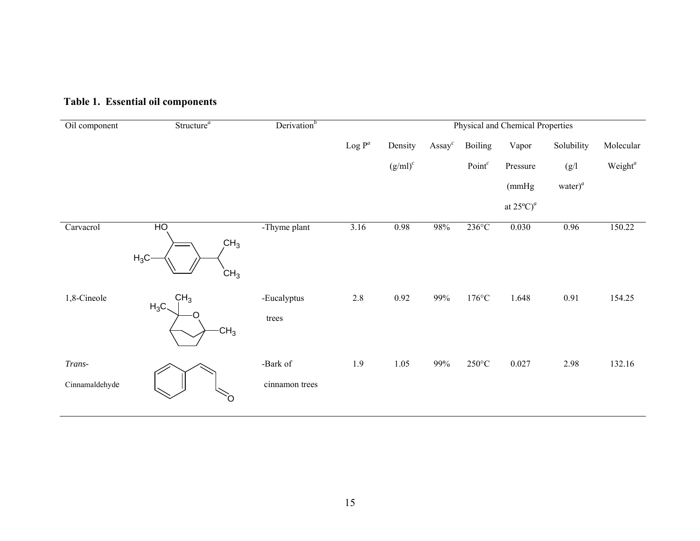| Oil component              | Structure <sup><math>a</math></sup>                            | Derivation <sup>b</sup>    | Physical and Chemical Properties |            |                  |                    |                                 |               |                     |  |
|----------------------------|----------------------------------------------------------------|----------------------------|----------------------------------|------------|------------------|--------------------|---------------------------------|---------------|---------------------|--|
|                            |                                                                |                            | Log $\mathbf{P}^a$               | Density    | $\text{Assay}^c$ | <b>Boiling</b>     | Vapor                           | Solubility    | Molecular           |  |
|                            |                                                                |                            |                                  | $(g/ml)^c$ |                  | Point <sup>c</sup> | Pressure                        | (g/l)         | Weight <sup>a</sup> |  |
|                            |                                                                |                            |                                  |            |                  |                    | (mmHg)                          | water $)^{a}$ |                     |  |
|                            |                                                                |                            |                                  |            |                  |                    | at $25^{\circ}$ C) <sup>a</sup> |               |                     |  |
| Carvacrol                  | H <sub>O</sub><br>CH <sub>3</sub><br>$H_3C$<br>CH <sub>3</sub> | -Thyme plant               | 3.16                             | 0.98       | $98\%$           | $236^{\circ}$ C    | 0.030                           | 0.96          | 150.22              |  |
| 1,8-Cineole                | CH <sub>3</sub><br>$H_3C$<br>O<br>CH <sub>3</sub>              | -Eucalyptus<br>trees       | $2.8\,$                          | 0.92       | 99%              | $176^{\circ}$ C    | 1.648                           | 0.91          | 154.25              |  |
| $Trans-$<br>Cinnamaldehyde | Ô                                                              | -Bark of<br>cinnamon trees | 1.9                              | 1.05       | 99%              | $250^{\circ}$ C    | 0.027                           | 2.98          | 132.16              |  |

# **Table 1. Essential oil components**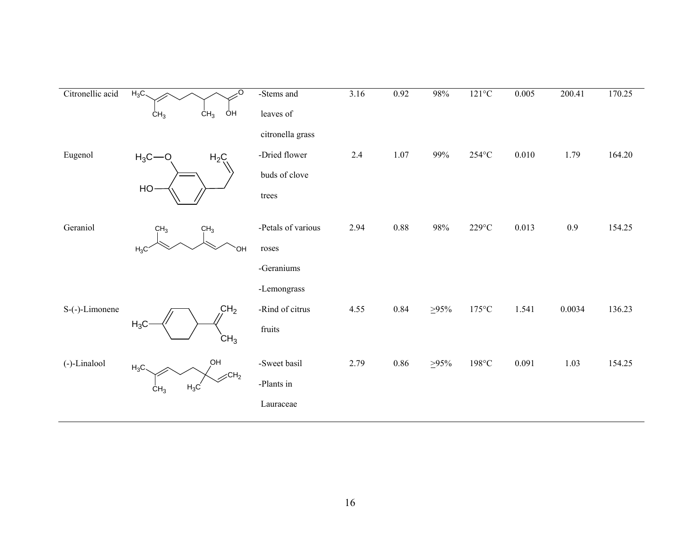| Citronellic acid | $H_3C$                    | O                             | -Stems and         | 3.16    | 0.92     | 98%         | $121^{\circ}C$          | 0.005 | 200.41 | 170.25 |
|------------------|---------------------------|-------------------------------|--------------------|---------|----------|-------------|-------------------------|-------|--------|--------|
|                  | CH <sub>3</sub>           | CH <sub>3</sub><br>ÒΗ         | leaves of          |         |          |             |                         |       |        |        |
|                  |                           |                               | citronella grass   |         |          |             |                         |       |        |        |
| Eugenol          | $H_3C - O$                | $H_2C$                        | -Dried flower      | $2.4\,$ | $1.07\,$ | 99%         | $254^{\circ}\mathrm{C}$ | 0.010 | 1.79   | 164.20 |
|                  | HO                        |                               | buds of clove      |         |          |             |                         |       |        |        |
|                  |                           |                               | trees              |         |          |             |                         |       |        |        |
| Geraniol         | CH <sub>3</sub>           | CH <sub>3</sub>               | -Petals of various | 2.94    | $0.88\,$ | 98%         | $229^{\circ}\textrm{C}$ | 0.013 | 0.9    | 154.25 |
|                  | $H_3C$                    | OH                            | roses              |         |          |             |                         |       |        |        |
|                  |                           |                               | -Geraniums         |         |          |             |                         |       |        |        |
|                  |                           |                               | -Lemongrass        |         |          |             |                         |       |        |        |
| S-(-)-Limonene   |                           | CH <sub>2</sub>               | -Rind of citrus    | 4.55    | 0.84     | $\geq 95\%$ | $175^{\circ}$ C         | 1.541 | 0.0034 | 136.23 |
|                  | $H_3C$<br>CH <sub>3</sub> | fruits                        |                    |         |          |             |                         |       |        |        |
| (-)-Linalool     | $H_3C$                    | OH                            | -Sweet basil       | 2.79    | 0.86     | $\geq 95\%$ | $198^{\circ}$ C         | 0.091 | 1.03   | 154.25 |
|                  | $H_3C$<br>CH <sub>3</sub> | $\mathcal{L}$ CH <sub>2</sub> | -Plants in         |         |          |             |                         |       |        |        |
|                  |                           |                               | Lauraceae          |         |          |             |                         |       |        |        |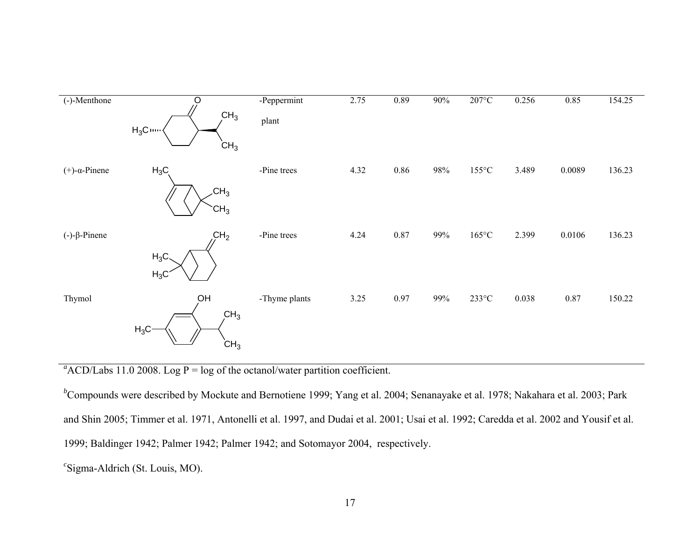

 $a^a$ ACD/Labs 11.0 2008. Log P = log of the octanol/water partition coefficient.

<sup>*b*</sup>Compounds were described by Mockute and Bernotiene 1999; Yang et al. 2004; Senanayake et al. 1978; Nakahara et al. 2003; Park and Shin 2005; Timmer et al. 1971, Antonelli et al. 1997, and Dudai et al. 2001; Usai et al. 1992; Caredda et al. 2002 and Yousif et al. 1999; Baldinger 1942; Palmer 1942; Palmer 1942; and Sotomayor 2004, respectively. *<sup>c</sup>*Sigma-Aldrich (St. Louis, MO).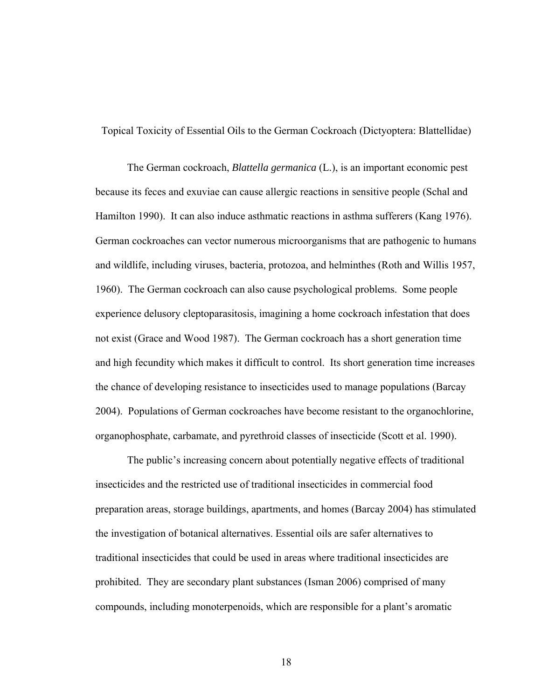Topical Toxicity of Essential Oils to the German Cockroach (Dictyoptera: Blattellidae)

 The German cockroach, *Blattella germanica* (L.), is an important economic pest because its feces and exuviae can cause allergic reactions in sensitive people (Schal and Hamilton 1990). It can also induce asthmatic reactions in asthma sufferers (Kang 1976). German cockroaches can vector numerous microorganisms that are pathogenic to humans and wildlife, including viruses, bacteria, protozoa, and helminthes (Roth and Willis 1957, 1960). The German cockroach can also cause psychological problems. Some people experience delusory cleptoparasitosis, imagining a home cockroach infestation that does not exist (Grace and Wood 1987). The German cockroach has a short generation time and high fecundity which makes it difficult to control. Its short generation time increases the chance of developing resistance to insecticides used to manage populations (Barcay 2004). Populations of German cockroaches have become resistant to the organochlorine, organophosphate, carbamate, and pyrethroid classes of insecticide (Scott et al. 1990).

 The public's increasing concern about potentially negative effects of traditional insecticides and the restricted use of traditional insecticides in commercial food preparation areas, storage buildings, apartments, and homes (Barcay 2004) has stimulated the investigation of botanical alternatives. Essential oils are safer alternatives to traditional insecticides that could be used in areas where traditional insecticides are prohibited. They are secondary plant substances (Isman 2006) comprised of many compounds, including monoterpenoids, which are responsible for a plant's aromatic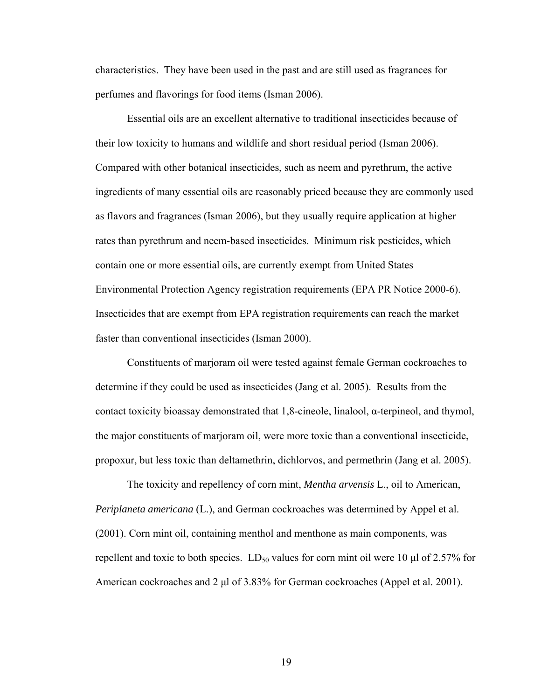characteristics. They have been used in the past and are still used as fragrances for perfumes and flavorings for food items (Isman 2006).

Essential oils are an excellent alternative to traditional insecticides because of their low toxicity to humans and wildlife and short residual period (Isman 2006). Compared with other botanical insecticides, such as neem and pyrethrum, the active ingredients of many essential oils are reasonably priced because they are commonly used as flavors and fragrances (Isman 2006), but they usually require application at higher rates than pyrethrum and neem-based insecticides. Minimum risk pesticides, which contain one or more essential oils, are currently exempt from United States Environmental Protection Agency registration requirements (EPA PR Notice 2000-6). Insecticides that are exempt from EPA registration requirements can reach the market faster than conventional insecticides (Isman 2000).

Constituents of marjoram oil were tested against female German cockroaches to determine if they could be used as insecticides (Jang et al. 2005). Results from the contact toxicity bioassay demonstrated that  $1,8$ -cineole, linalool,  $\alpha$ -terpineol, and thymol, the major constituents of marjoram oil, were more toxic than a conventional insecticide, propoxur, but less toxic than deltamethrin, dichlorvos, and permethrin (Jang et al. 2005).

The toxicity and repellency of corn mint, *Mentha arvensis* L., oil to American, *Periplaneta americana* (L.), and German cockroaches was determined by Appel et al. (2001). Corn mint oil, containing menthol and menthone as main components, was repellent and toxic to both species.  $LD_{50}$  values for corn mint oil were 10  $\mu$ l of 2.57% for American cockroaches and 2 μl of 3.83% for German cockroaches (Appel et al. 2001).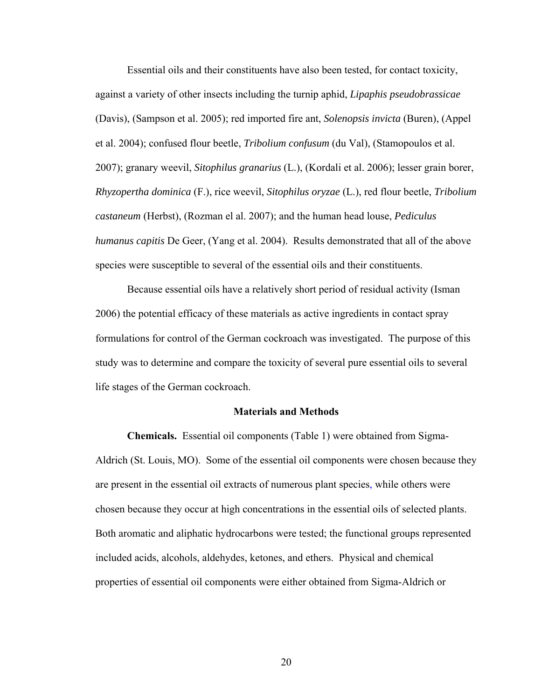Essential oils and their constituents have also been tested, for contact toxicity, against a variety of other insects including the turnip aphid, *Lipaphis pseudobrassicae* (Davis), (Sampson et al. 2005); red imported fire ant, *Solenopsis invicta* (Buren), (Appel et al. 2004); confused flour beetle, *Tribolium confusum* (du Val), (Stamopoulos et al. 2007); granary weevil, *Sitophilus granarius* (L.), (Kordali et al. 2006); lesser grain borer, *Rhyzopertha dominica* (F.), rice weevil, *Sitophilus oryzae* (L.), red flour beetle, *Tribolium castaneum* (Herbst), (Rozman el al. 2007); and the human head louse, *Pediculus humanus capitis* De Geer, (Yang et al. 2004). Results demonstrated that all of the above species were susceptible to several of the essential oils and their constituents.

Because essential oils have a relatively short period of residual activity (Isman 2006) the potential efficacy of these materials as active ingredients in contact spray formulations for control of the German cockroach was investigated. The purpose of this study was to determine and compare the toxicity of several pure essential oils to several life stages of the German cockroach.

#### **Materials and Methods**

**Chemicals.** Essential oil components (Table 1) were obtained from Sigma-Aldrich (St. Louis, MO). Some of the essential oil components were chosen because they are present in the essential oil extracts of numerous plant species, while others were chosen because they occur at high concentrations in the essential oils of selected plants. Both aromatic and aliphatic hydrocarbons were tested; the functional groups represented included acids, alcohols, aldehydes, ketones, and ethers. Physical and chemical properties of essential oil components were either obtained from Sigma-Aldrich or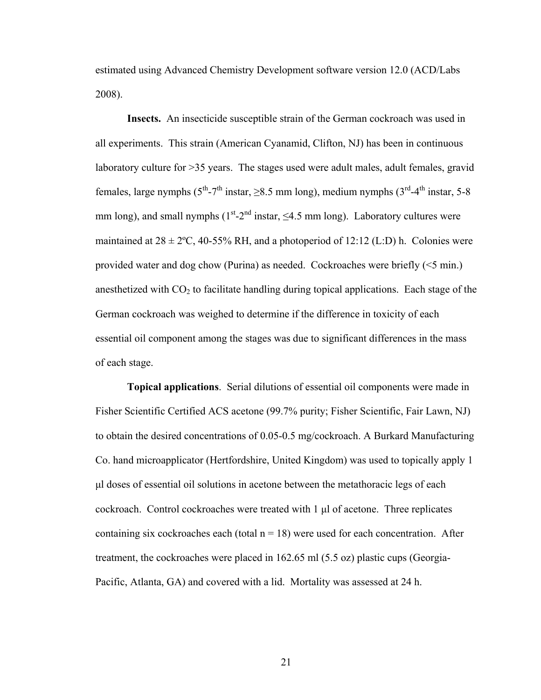estimated using Advanced Chemistry Development software version 12.0 (ACD/Labs 2008).

**Insects.** An insecticide susceptible strain of the German cockroach was used in all experiments. This strain (American Cyanamid, Clifton, NJ) has been in continuous laboratory culture for >35 years. The stages used were adult males, adult females, gravid females, large nymphs ( $5^{th}$ -7<sup>th</sup> instar,  $\geq 8.5$  mm long), medium nymphs ( $3^{rd}$ -4<sup>th</sup> instar, 5-8 mm long), and small nymphs  $(1<sup>st</sup>-2<sup>nd</sup> instar, <4.5$  mm long). Laboratory cultures were maintained at  $28 \pm 2$ °C, 40-55% RH, and a photoperiod of 12:12 (L:D) h. Colonies were provided water and dog chow (Purina) as needed. Cockroaches were briefly (<5 min.) anesthetized with  $CO<sub>2</sub>$  to facilitate handling during topical applications. Each stage of the German cockroach was weighed to determine if the difference in toxicity of each essential oil component among the stages was due to significant differences in the mass of each stage.

**Topical applications**. Serial dilutions of essential oil components were made in Fisher Scientific Certified ACS acetone (99.7% purity; Fisher Scientific, Fair Lawn, NJ) to obtain the desired concentrations of 0.05-0.5 mg/cockroach. A Burkard Manufacturing Co. hand microapplicator (Hertfordshire, United Kingdom) was used to topically apply 1 μl doses of essential oil solutions in acetone between the metathoracic legs of each cockroach. Control cockroaches were treated with  $1 \mu$  of acetone. Three replicates containing six cockroaches each (total  $n = 18$ ) were used for each concentration. After treatment, the cockroaches were placed in 162.65 ml (5.5 oz) plastic cups (Georgia-Pacific, Atlanta, GA) and covered with a lid. Mortality was assessed at 24 h.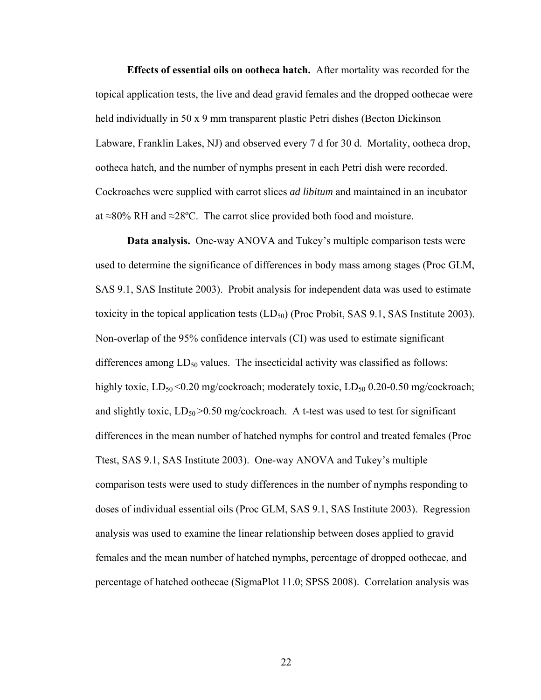**Effects of essential oils on ootheca hatch.** After mortality was recorded for the topical application tests, the live and dead gravid females and the dropped oothecae were held individually in 50 x 9 mm transparent plastic Petri dishes (Becton Dickinson Labware, Franklin Lakes, NJ) and observed every 7 d for 30 d. Mortality, ootheca drop, ootheca hatch, and the number of nymphs present in each Petri dish were recorded. Cockroaches were supplied with carrot slices *ad libitum* and maintained in an incubator at ≈80% RH and ≈28ºC. The carrot slice provided both food and moisture.

**Data analysis.** One-way ANOVA and Tukey's multiple comparison tests were used to determine the significance of differences in body mass among stages (Proc GLM, SAS 9.1, SAS Institute 2003). Probit analysis for independent data was used to estimate toxicity in the topical application tests  $(LD_{50})$  (Proc Probit, SAS 9.1, SAS Institute 2003). Non-overlap of the 95% confidence intervals (CI) was used to estimate significant differences among  $LD_{50}$  values. The insecticidal activity was classified as follows: highly toxic,  $LD_{50}$  <0.20 mg/cockroach; moderately toxic,  $LD_{50}$  0.20-0.50 mg/cockroach; and slightly toxic,  $LD_{50} > 0.50$  mg/cockroach. A t-test was used to test for significant differences in the mean number of hatched nymphs for control and treated females (Proc Ttest, SAS 9.1, SAS Institute 2003). One-way ANOVA and Tukey's multiple comparison tests were used to study differences in the number of nymphs responding to doses of individual essential oils (Proc GLM, SAS 9.1, SAS Institute 2003). Regression analysis was used to examine the linear relationship between doses applied to gravid females and the mean number of hatched nymphs, percentage of dropped oothecae, and percentage of hatched oothecae (SigmaPlot 11.0; SPSS 2008). Correlation analysis was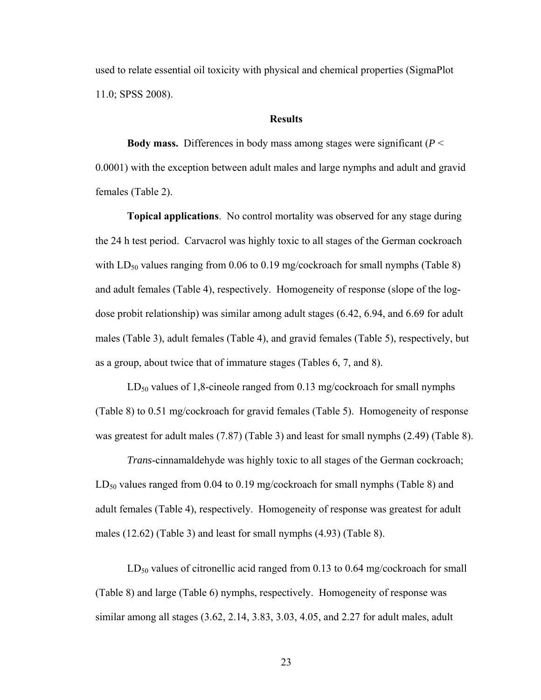used to relate essential oil toxicity with physical and chemical properties (SigmaPlot 11.0; SPSS 2008).

#### **Results**

**Body mass.** Differences in body mass among stages were significant (*P* < 0.0001) with the exception between adult males and large nymphs and adult and gravid females (Table 2).

**Topical applications**. No control mortality was observed for any stage during the 24 h test period. Carvacrol was highly toxic to all stages of the German cockroach with  $LD_{50}$  values ranging from 0.06 to 0.19 mg/cockroach for small nymphs (Table 8) and adult females (Table 4), respectively. Homogeneity of response (slope of the logdose probit relationship) was similar among adult stages (6.42, 6.94, and 6.69 for adult males (Table 3), adult females (Table 4), and gravid females (Table 5), respectively, but as a group, about twice that of immature stages (Tables 6, 7, and 8).

 $LD_{50}$  values of 1,8-cineole ranged from 0.13 mg/cockroach for small nymphs (Table 8) to 0.51 mg/cockroach for gravid females (Table 5). Homogeneity of response was greatest for adult males (7.87) (Table 3) and least for small nymphs (2.49) (Table 8).

*Trans*-cinnamaldehyde was highly toxic to all stages of the German cockroach;  $LD_{50}$  values ranged from 0.04 to 0.19 mg/cockroach for small nymphs (Table 8) and adult females (Table 4), respectively. Homogeneity of response was greatest for adult males (12.62) (Table 3) and least for small nymphs (4.93) (Table 8).

 $LD_{50}$  values of citronellic acid ranged from 0.13 to 0.64 mg/cockroach for small (Table 8) and large (Table 6) nymphs, respectively. Homogeneity of response was similar among all stages (3.62, 2.14, 3.83, 3.03, 4.05, and 2.27 for adult males, adult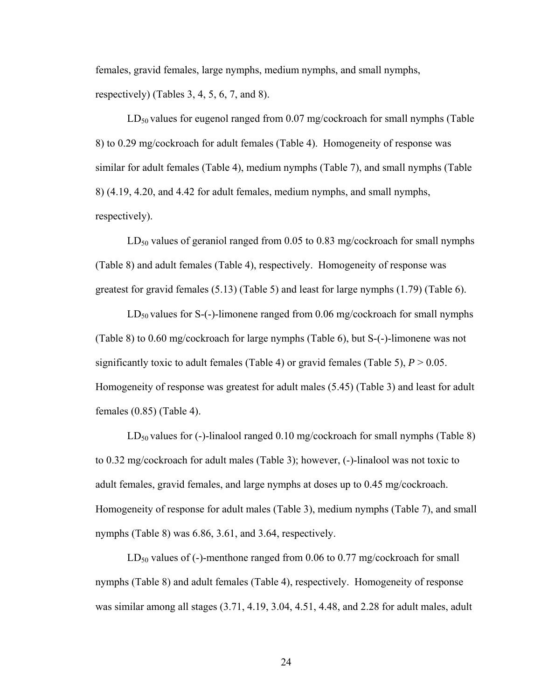females, gravid females, large nymphs, medium nymphs, and small nymphs, respectively) (Tables 3, 4, 5, 6, 7, and 8).

 $LD_{50}$  values for eugenol ranged from 0.07 mg/cockroach for small nymphs (Table 8) to 0.29 mg/cockroach for adult females (Table 4). Homogeneity of response was similar for adult females (Table 4), medium nymphs (Table 7), and small nymphs (Table 8) (4.19, 4.20, and 4.42 for adult females, medium nymphs, and small nymphs, respectively).

 $LD_{50}$  values of geraniol ranged from 0.05 to 0.83 mg/cockroach for small nymphs (Table 8) and adult females (Table 4), respectively. Homogeneity of response was greatest for gravid females (5.13) (Table 5) and least for large nymphs (1.79) (Table 6).

 $LD_{50}$  values for S-(-)-limonene ranged from 0.06 mg/cockroach for small nymphs (Table 8) to 0.60 mg/cockroach for large nymphs (Table 6), but S-(-)-limonene was not significantly toxic to adult females (Table 4) or gravid females (Table 5),  $P > 0.05$ . Homogeneity of response was greatest for adult males (5.45) (Table 3) and least for adult females (0.85) (Table 4).

 $LD_{50}$  values for (-)-linalool ranged 0.10 mg/cockroach for small nymphs (Table 8) to 0.32 mg/cockroach for adult males (Table 3); however, (-)-linalool was not toxic to adult females, gravid females, and large nymphs at doses up to 0.45 mg/cockroach. Homogeneity of response for adult males (Table 3), medium nymphs (Table 7), and small nymphs (Table 8) was 6.86, 3.61, and 3.64, respectively.

 $LD_{50}$  values of (-)-menthone ranged from 0.06 to 0.77 mg/cockroach for small nymphs (Table 8) and adult females (Table 4), respectively. Homogeneity of response was similar among all stages (3.71, 4.19, 3.04, 4.51, 4.48, and 2.28 for adult males, adult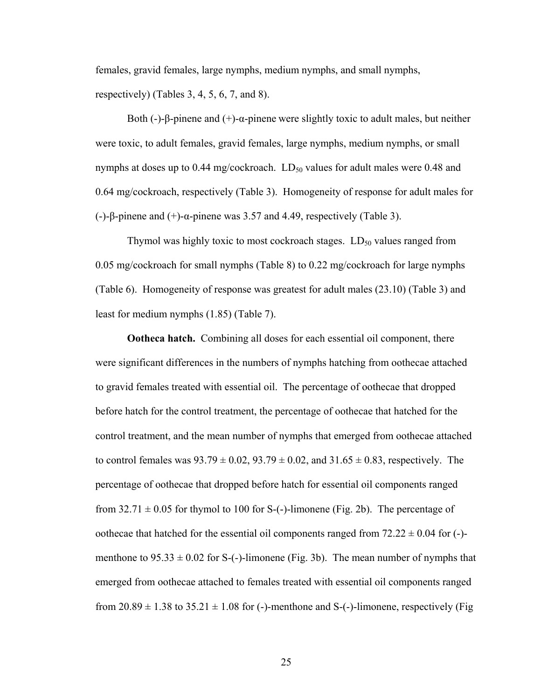females, gravid females, large nymphs, medium nymphs, and small nymphs,

respectively) (Tables 3, 4, 5, 6, 7, and 8).

Both (-)-β-pinene and (+)- $\alpha$ -pinene were slightly toxic to adult males, but neither were toxic, to adult females, gravid females, large nymphs, medium nymphs, or small nymphs at doses up to 0.44 mg/cockroach.  $LD_{50}$  values for adult males were 0.48 and 0.64 mg/cockroach, respectively (Table 3). Homogeneity of response for adult males for (-)-β-pinene and (+)-α-pinene was 3.57 and 4.49, respectively (Table 3).

Thymol was highly toxic to most cockroach stages.  $LD_{50}$  values ranged from 0.05 mg/cockroach for small nymphs (Table 8) to 0.22 mg/cockroach for large nymphs (Table 6). Homogeneity of response was greatest for adult males (23.10) (Table 3) and least for medium nymphs (1.85) (Table 7).

**Ootheca hatch.** Combining all doses for each essential oil component, there were significant differences in the numbers of nymphs hatching from oothecae attached to gravid females treated with essential oil. The percentage of oothecae that dropped before hatch for the control treatment, the percentage of oothecae that hatched for the control treatment, and the mean number of nymphs that emerged from oothecae attached to control females was  $93.79 \pm 0.02$ ,  $93.79 \pm 0.02$ , and  $31.65 \pm 0.83$ , respectively. The percentage of oothecae that dropped before hatch for essential oil components ranged from  $32.71 \pm 0.05$  for thymol to 100 for S-(-)-limonene (Fig. 2b). The percentage of oothecae that hatched for the essential oil components ranged from  $72.22 \pm 0.04$  for (-)menthone to  $95.33 \pm 0.02$  for S-(-)-limonene (Fig. 3b). The mean number of nymphs that emerged from oothecae attached to females treated with essential oil components ranged from  $20.89 \pm 1.38$  to  $35.21 \pm 1.08$  for (-)-menthone and S-(-)-limonene, respectively (Fig.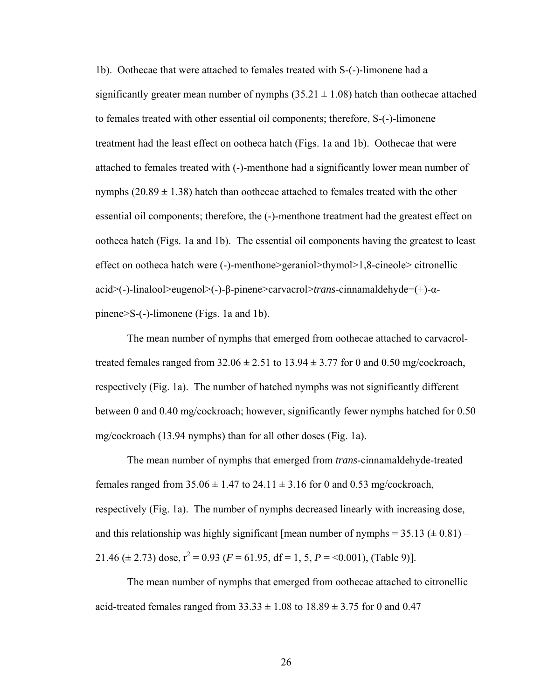1b). Oothecae that were attached to females treated with S-(-)-limonene had a significantly greater mean number of nymphs  $(35.21 \pm 1.08)$  hatch than oothecae attached to females treated with other essential oil components; therefore, S-(-)-limonene treatment had the least effect on ootheca hatch (Figs. 1a and 1b). Oothecae that were attached to females treated with (-)-menthone had a significantly lower mean number of nymphs  $(20.89 \pm 1.38)$  hatch than oothecae attached to females treated with the other essential oil components; therefore, the (-)-menthone treatment had the greatest effect on ootheca hatch (Figs. 1a and 1b). The essential oil components having the greatest to least effect on ootheca hatch were (-)-menthone>geraniol>thymol>1,8-cineole> citronellic acid>(-)-linalool>eugenol>(-)-β-pinene>carvacrol>*trans*-cinnamaldehyde=(+)-αpinene>S-(-)-limonene (Figs. 1a and 1b).

The mean number of nymphs that emerged from oothecae attached to carvacroltreated females ranged from  $32.06 \pm 2.51$  to  $13.94 \pm 3.77$  for 0 and 0.50 mg/cockroach, respectively (Fig. 1a). The number of hatched nymphs was not significantly different between 0 and 0.40 mg/cockroach; however, significantly fewer nymphs hatched for 0.50 mg/cockroach (13.94 nymphs) than for all other doses (Fig. 1a).

The mean number of nymphs that emerged from *trans*-cinnamaldehyde-treated females ranged from  $35.06 \pm 1.47$  to  $24.11 \pm 3.16$  for 0 and 0.53 mg/cockroach, respectively (Fig. 1a). The number of nymphs decreased linearly with increasing dose, and this relationship was highly significant [mean number of nymphs =  $35.13 \pm 0.81$ ] – 21.46 ( $\pm$  2.73) dose,  $r^2$  = 0.93 ( $F$  = 61.95, df = 1, 5,  $P$  = <0.001), (Table 9)].

The mean number of nymphs that emerged from oothecae attached to citronellic acid-treated females ranged from  $33.33 \pm 1.08$  to  $18.89 \pm 3.75$  for 0 and 0.47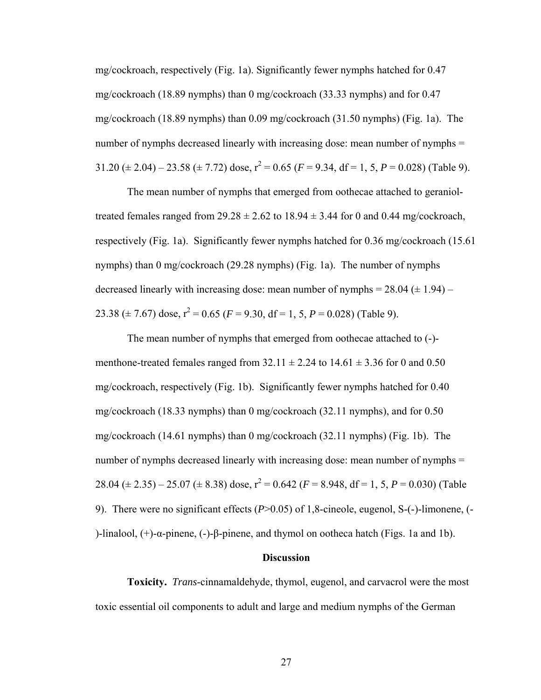mg/cockroach, respectively (Fig. 1a). Significantly fewer nymphs hatched for 0.47 mg/cockroach (18.89 nymphs) than 0 mg/cockroach (33.33 nymphs) and for 0.47 mg/cockroach (18.89 nymphs) than 0.09 mg/cockroach (31.50 nymphs) (Fig. 1a). The number of nymphs decreased linearly with increasing dose: mean number of nymphs = 31.20  $(\pm 2.04)$  – 23.58  $(\pm 7.72)$  dose,  $r^2 = 0.65$  ( $F = 9.34$ , df = 1, 5,  $P = 0.028$ ) (Table 9).

The mean number of nymphs that emerged from oothecae attached to geranioltreated females ranged from  $29.28 \pm 2.62$  to  $18.94 \pm 3.44$  for 0 and 0.44 mg/cockroach, respectively (Fig. 1a). Significantly fewer nymphs hatched for 0.36 mg/cockroach (15.61 nymphs) than 0 mg/cockroach (29.28 nymphs) (Fig. 1a). The number of nymphs decreased linearly with increasing dose: mean number of nymphs =  $28.04 \ (\pm 1.94)$  – 23.38 ( $\pm$  7.67) dose,  $r^2$  = 0.65 ( $F$  = 9.30, df = 1, 5,  $P$  = 0.028) (Table 9).

The mean number of nymphs that emerged from oothecae attached to (-) menthone-treated females ranged from  $32.11 \pm 2.24$  to  $14.61 \pm 3.36$  for 0 and 0.50 mg/cockroach, respectively (Fig. 1b). Significantly fewer nymphs hatched for 0.40 mg/cockroach (18.33 nymphs) than 0 mg/cockroach (32.11 nymphs), and for 0.50 mg/cockroach (14.61 nymphs) than 0 mg/cockroach (32.11 nymphs) (Fig. 1b). The number of nymphs decreased linearly with increasing dose: mean number of nymphs = 28.04 ( $\pm$  2.35) – 25.07 ( $\pm$  8.38) dose,  $r^2$  = 0.642 ( $F$  = 8.948, df = 1, 5,  $P$  = 0.030) (Table 9). There were no significant effects (*P*>0.05) of 1,8-cineole, eugenol, S-(-)-limonene, (- )-linalool, (+)-α-pinene, (-)-β-pinene, and thymol on ootheca hatch (Figs. 1a and 1b).

### **Discussion**

**Toxicity.** *Trans*-cinnamaldehyde, thymol, eugenol, and carvacrol were the most toxic essential oil components to adult and large and medium nymphs of the German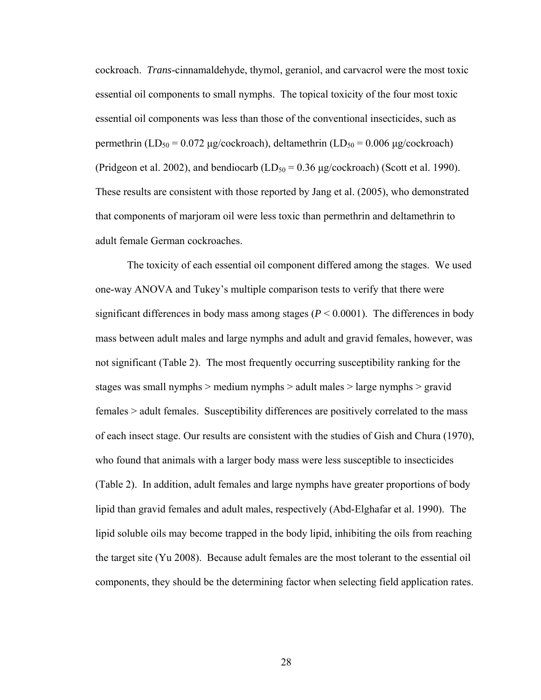cockroach. *Trans*-cinnamaldehyde, thymol, geraniol, and carvacrol were the most toxic essential oil components to small nymphs. The topical toxicity of the four most toxic essential oil components was less than those of the conventional insecticides, such as permethrin (LD<sub>50</sub> = 0.072 μg/cockroach), deltamethrin (LD<sub>50</sub> = 0.006 μg/cockroach) (Pridgeon et al. 2002), and bendiocarb  $(LD_{50} = 0.36 \mu g / \text{cockroad})$  (Scott et al. 1990). These results are consistent with those reported by Jang et al. (2005), who demonstrated that components of marjoram oil were less toxic than permethrin and deltamethrin to adult female German cockroaches.

 The toxicity of each essential oil component differed among the stages. We used one-way ANOVA and Tukey's multiple comparison tests to verify that there were significant differences in body mass among stages ( $P < 0.0001$ ). The differences in body mass between adult males and large nymphs and adult and gravid females, however, was not significant (Table 2). The most frequently occurring susceptibility ranking for the stages was small nymphs > medium nymphs > adult males > large nymphs > gravid females > adult females. Susceptibility differences are positively correlated to the mass of each insect stage. Our results are consistent with the studies of Gish and Chura (1970), who found that animals with a larger body mass were less susceptible to insecticides (Table 2). In addition, adult females and large nymphs have greater proportions of body lipid than gravid females and adult males, respectively (Abd-Elghafar et al. 1990). The lipid soluble oils may become trapped in the body lipid, inhibiting the oils from reaching the target site (Yu 2008). Because adult females are the most tolerant to the essential oil components, they should be the determining factor when selecting field application rates.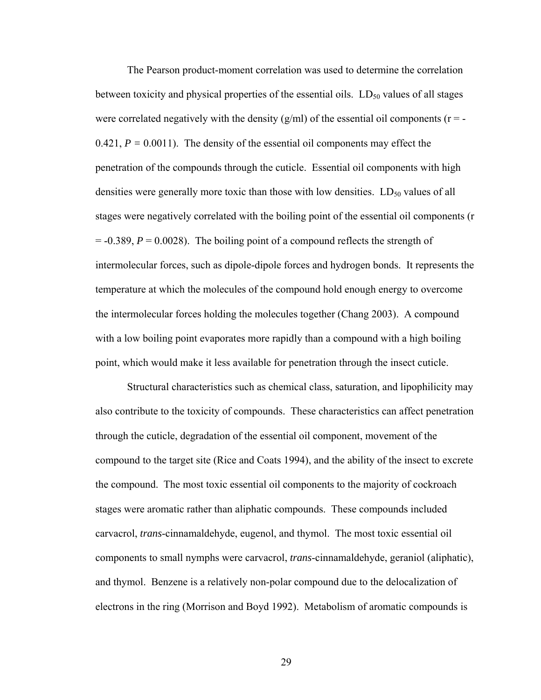The Pearson product-moment correlation was used to determine the correlation between toxicity and physical properties of the essential oils.  $LD_{50}$  values of all stages were correlated negatively with the density  $(g/ml)$  of the essential oil components ( $r = -$ 0.421,  $P = 0.0011$ ). The density of the essential oil components may effect the penetration of the compounds through the cuticle. Essential oil components with high densities were generally more toxic than those with low densities.  $LD_{50}$  values of all stages were negatively correlated with the boiling point of the essential oil components (r  $= -0.389$ ,  $P = 0.0028$ ). The boiling point of a compound reflects the strength of intermolecular forces, such as dipole-dipole forces and hydrogen bonds. It represents the temperature at which the molecules of the compound hold enough energy to overcome the intermolecular forces holding the molecules together (Chang 2003). A compound with a low boiling point evaporates more rapidly than a compound with a high boiling point, which would make it less available for penetration through the insect cuticle.

 Structural characteristics such as chemical class, saturation, and lipophilicity may also contribute to the toxicity of compounds. These characteristics can affect penetration through the cuticle, degradation of the essential oil component, movement of the compound to the target site (Rice and Coats 1994), and the ability of the insect to excrete the compound. The most toxic essential oil components to the majority of cockroach stages were aromatic rather than aliphatic compounds. These compounds included carvacrol, *trans*-cinnamaldehyde, eugenol, and thymol. The most toxic essential oil components to small nymphs were carvacrol, *trans*-cinnamaldehyde, geraniol (aliphatic), and thymol. Benzene is a relatively non-polar compound due to the delocalization of electrons in the ring (Morrison and Boyd 1992). Metabolism of aromatic compounds is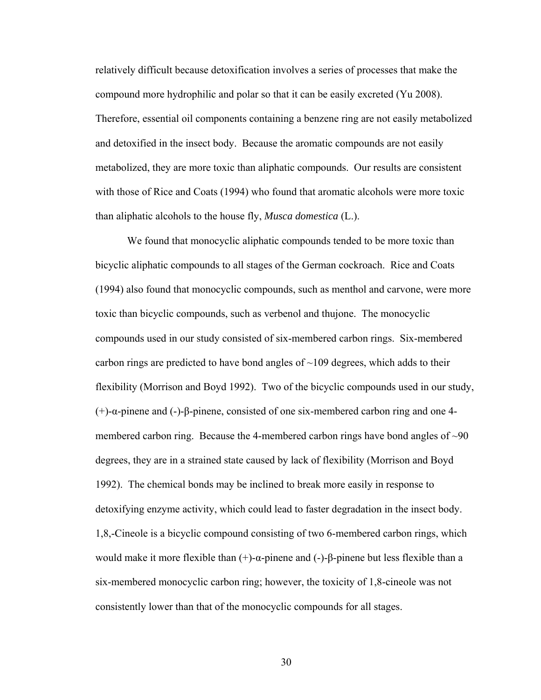relatively difficult because detoxification involves a series of processes that make the compound more hydrophilic and polar so that it can be easily excreted (Yu 2008). Therefore, essential oil components containing a benzene ring are not easily metabolized and detoxified in the insect body. Because the aromatic compounds are not easily metabolized, they are more toxic than aliphatic compounds. Our results are consistent with those of Rice and Coats (1994) who found that aromatic alcohols were more toxic than aliphatic alcohols to the house fly, *Musca domestica* (L.).

We found that monocyclic aliphatic compounds tended to be more toxic than bicyclic aliphatic compounds to all stages of the German cockroach. Rice and Coats (1994) also found that monocyclic compounds, such as menthol and carvone, were more toxic than bicyclic compounds, such as verbenol and thujone. The monocyclic compounds used in our study consisted of six-membered carbon rings. Six-membered carbon rings are predicted to have bond angles of  $\sim$ 109 degrees, which adds to their flexibility (Morrison and Boyd 1992). Two of the bicyclic compounds used in our study, (+)-α-pinene and (-)-β-pinene, consisted of one six-membered carbon ring and one 4 membered carbon ring. Because the 4-membered carbon rings have bond angles of  $\sim 90$ degrees, they are in a strained state caused by lack of flexibility (Morrison and Boyd 1992). The chemical bonds may be inclined to break more easily in response to detoxifying enzyme activity, which could lead to faster degradation in the insect body. 1,8,-Cineole is a bicyclic compound consisting of two 6-membered carbon rings, which would make it more flexible than  $(+)$ -α-pinene and  $(-)$ -β-pinene but less flexible than a six-membered monocyclic carbon ring; however, the toxicity of 1,8-cineole was not consistently lower than that of the monocyclic compounds for all stages.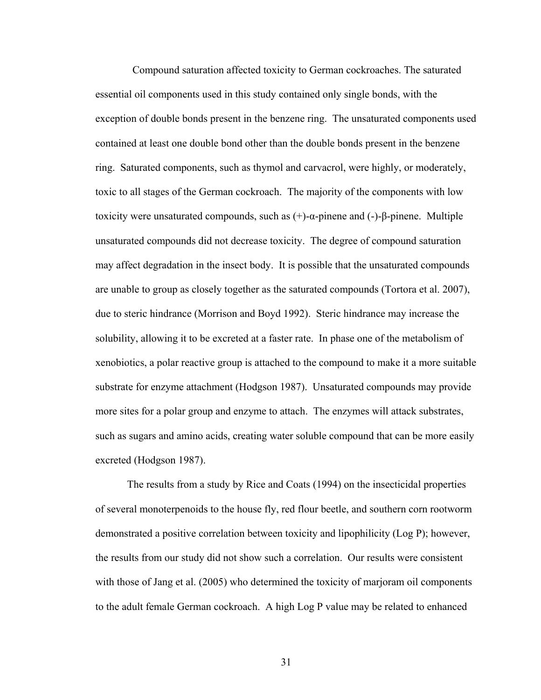Compound saturation affected toxicity to German cockroaches. The saturated essential oil components used in this study contained only single bonds, with the exception of double bonds present in the benzene ring. The unsaturated components used contained at least one double bond other than the double bonds present in the benzene ring. Saturated components, such as thymol and carvacrol, were highly, or moderately, toxic to all stages of the German cockroach. The majority of the components with low toxicity were unsaturated compounds, such as  $(+)$ -α-pinene and  $(-)$ -β-pinene. Multiple unsaturated compounds did not decrease toxicity. The degree of compound saturation may affect degradation in the insect body. It is possible that the unsaturated compounds are unable to group as closely together as the saturated compounds (Tortora et al. 2007), due to steric hindrance (Morrison and Boyd 1992). Steric hindrance may increase the solubility, allowing it to be excreted at a faster rate. In phase one of the metabolism of xenobiotics, a polar reactive group is attached to the compound to make it a more suitable substrate for enzyme attachment (Hodgson 1987). Unsaturated compounds may provide more sites for a polar group and enzyme to attach. The enzymes will attack substrates, such as sugars and amino acids, creating water soluble compound that can be more easily excreted (Hodgson 1987).

The results from a study by Rice and Coats (1994) on the insecticidal properties of several monoterpenoids to the house fly, red flour beetle, and southern corn rootworm demonstrated a positive correlation between toxicity and lipophilicity (Log P); however, the results from our study did not show such a correlation. Our results were consistent with those of Jang et al. (2005) who determined the toxicity of marjoram oil components to the adult female German cockroach. A high Log P value may be related to enhanced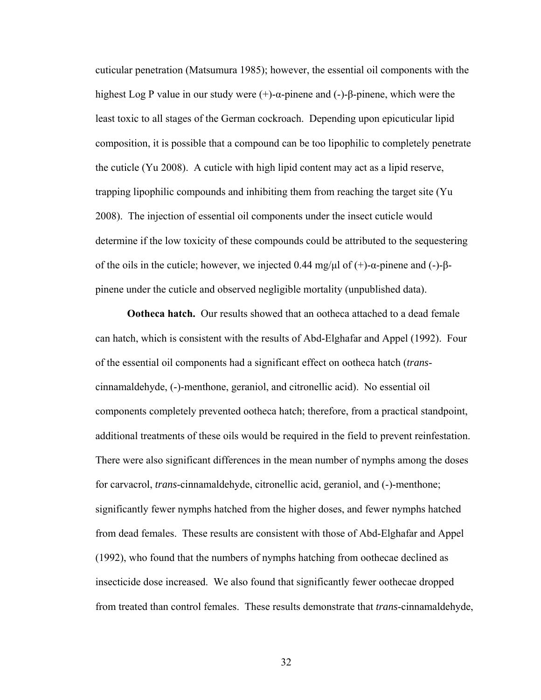cuticular penetration (Matsumura 1985); however, the essential oil components with the highest Log P value in our study were (+)-α-pinene and (-)-β-pinene, which were the least toxic to all stages of the German cockroach. Depending upon epicuticular lipid composition, it is possible that a compound can be too lipophilic to completely penetrate the cuticle (Yu 2008). A cuticle with high lipid content may act as a lipid reserve, trapping lipophilic compounds and inhibiting them from reaching the target site (Yu 2008). The injection of essential oil components under the insect cuticle would determine if the low toxicity of these compounds could be attributed to the sequestering of the oils in the cuticle; however, we injected 0.44 mg/μl of  $(+)$ -α-pinene and  $(-)$ -βpinene under the cuticle and observed negligible mortality (unpublished data).

**Ootheca hatch.** Our results showed that an ootheca attached to a dead female can hatch, which is consistent with the results of Abd-Elghafar and Appel (1992). Four of the essential oil components had a significant effect on ootheca hatch (*trans*cinnamaldehyde, (-)-menthone, geraniol, and citronellic acid). No essential oil components completely prevented ootheca hatch; therefore, from a practical standpoint, additional treatments of these oils would be required in the field to prevent reinfestation. There were also significant differences in the mean number of nymphs among the doses for carvacrol, *trans*-cinnamaldehyde, citronellic acid, geraniol, and (-)-menthone; significantly fewer nymphs hatched from the higher doses, and fewer nymphs hatched from dead females. These results are consistent with those of Abd-Elghafar and Appel (1992), who found that the numbers of nymphs hatching from oothecae declined as insecticide dose increased. We also found that significantly fewer oothecae dropped from treated than control females. These results demonstrate that *trans*-cinnamaldehyde,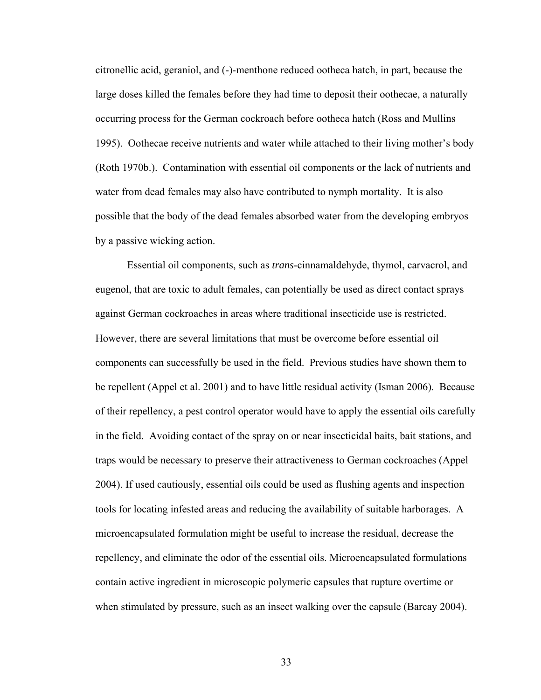citronellic acid, geraniol, and (-)-menthone reduced ootheca hatch, in part, because the large doses killed the females before they had time to deposit their oothecae, a naturally occurring process for the German cockroach before ootheca hatch (Ross and Mullins 1995). Oothecae receive nutrients and water while attached to their living mother's body (Roth 1970b.). Contamination with essential oil components or the lack of nutrients and water from dead females may also have contributed to nymph mortality. It is also possible that the body of the dead females absorbed water from the developing embryos by a passive wicking action.

 Essential oil components, such as *trans*-cinnamaldehyde, thymol, carvacrol, and eugenol, that are toxic to adult females, can potentially be used as direct contact sprays against German cockroaches in areas where traditional insecticide use is restricted. However, there are several limitations that must be overcome before essential oil components can successfully be used in the field. Previous studies have shown them to be repellent (Appel et al. 2001) and to have little residual activity (Isman 2006). Because of their repellency, a pest control operator would have to apply the essential oils carefully in the field. Avoiding contact of the spray on or near insecticidal baits, bait stations, and traps would be necessary to preserve their attractiveness to German cockroaches (Appel 2004). If used cautiously, essential oils could be used as flushing agents and inspection tools for locating infested areas and reducing the availability of suitable harborages. A microencapsulated formulation might be useful to increase the residual, decrease the repellency, and eliminate the odor of the essential oils. Microencapsulated formulations contain active ingredient in microscopic polymeric capsules that rupture overtime or when stimulated by pressure, such as an insect walking over the capsule (Barcay 2004).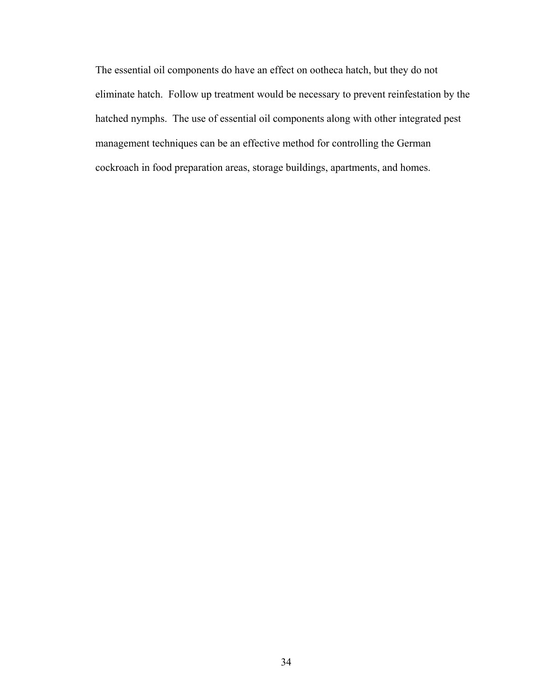The essential oil components do have an effect on ootheca hatch, but they do not eliminate hatch. Follow up treatment would be necessary to prevent reinfestation by the hatched nymphs.The use of essential oil components along with other integrated pest management techniques can be an effective method for controlling the German cockroach in food preparation areas, storage buildings, apartments, and homes.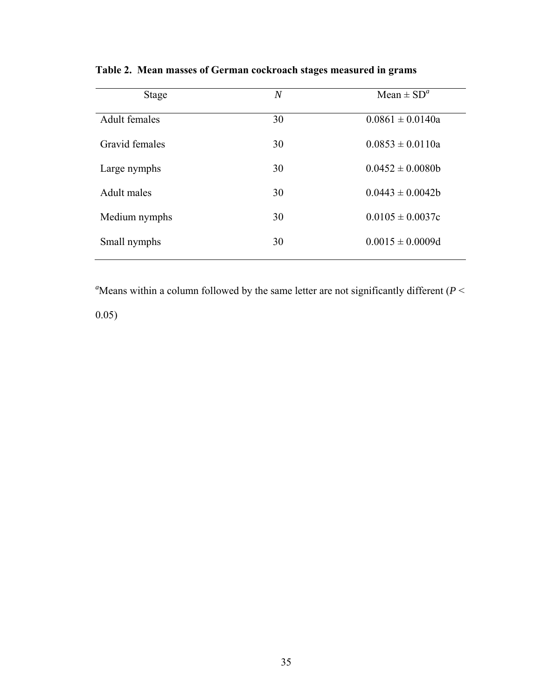| <b>Stage</b>         | $\,N$ | Mean $\pm$ SD <sup>a</sup> |
|----------------------|-------|----------------------------|
|                      |       |                            |
| <b>Adult females</b> | 30    | $0.0861 \pm 0.0140a$       |
|                      |       |                            |
| Gravid females       | 30    | $0.0853 \pm 0.0110a$       |
|                      |       |                            |
|                      |       | $0.0452 \pm 0.0080b$       |
| Large nymphs         | 30    |                            |
|                      |       |                            |
| Adult males          | 30    | $0.0443 \pm 0.0042b$       |
|                      |       |                            |
| Medium nymphs        | 30    | $0.0105 \pm 0.0037c$       |
|                      |       |                            |
| Small nymphs         | 30    | $0.0015 \pm 0.0009d$       |
|                      |       |                            |
|                      |       |                            |

**Table 2. Mean masses of German cockroach stages measured in grams** 

<sup>a</sup>Means within a column followed by the same letter are not significantly different ( $P <$ 

0.05)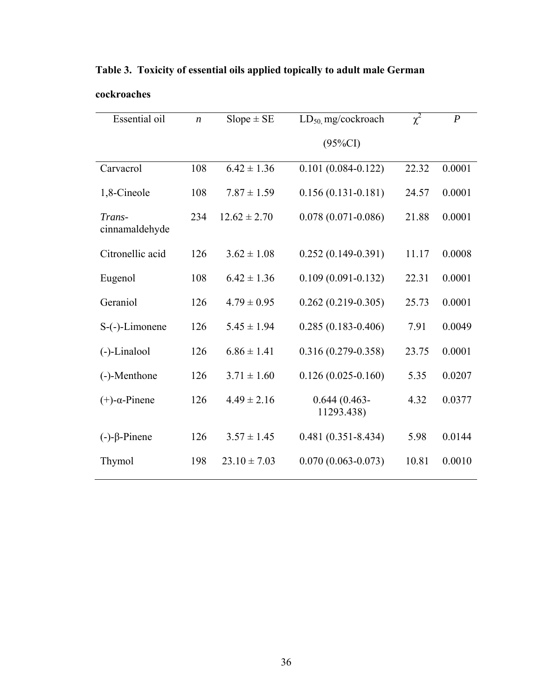| <b>Essential oil</b>     | $\boldsymbol{n}$ | $Slope \pm SE$   | $LD_{50}$ mg/cockroach        | $\chi^2$ | $\boldsymbol{P}$ |
|--------------------------|------------------|------------------|-------------------------------|----------|------------------|
|                          |                  |                  | $(95\%CI)$                    |          |                  |
| Carvacrol                | 108              | $6.42 \pm 1.36$  | $0.101(0.084 - 0.122)$        | 22.32    | 0.0001           |
| 1,8-Cineole              | 108              | $7.87 \pm 1.59$  | $0.156(0.131 - 0.181)$        | 24.57    | 0.0001           |
| Trans-<br>cinnamaldehyde | 234              | $12.62 \pm 2.70$ | $0.078(0.071 - 0.086)$        | 21.88    | 0.0001           |
| Citronellic acid         | 126              | $3.62 \pm 1.08$  | $0.252(0.149-0.391)$          | 11.17    | 0.0008           |
| Eugenol                  | 108              | $6.42 \pm 1.36$  | $0.109(0.091 - 0.132)$        | 22.31    | 0.0001           |
| Geraniol                 | 126              | $4.79 \pm 0.95$  | $0.262(0.219-0.305)$          | 25.73    | 0.0001           |
| S-(-)-Limonene           | 126              | $5.45 \pm 1.94$  | $0.285(0.183 - 0.406)$        | 7.91     | 0.0049           |
| (-)-Linalool             | 126              | $6.86 \pm 1.41$  | $0.316(0.279 - 0.358)$        | 23.75    | 0.0001           |
| (-)-Menthone             | 126              | $3.71 \pm 1.60$  | $0.126(0.025-0.160)$          | 5.35     | 0.0207           |
| $(+)$ - $\alpha$ -Pinene | 126              | $4.49 \pm 2.16$  | $0.644(0.463 -$<br>11293.438) | 4.32     | 0.0377           |
| $(-)-\beta$ -Pinene      | 126              | $3.57 \pm 1.45$  | $0.481(0.351 - 8.434)$        | 5.98     | 0.0144           |
| Thymol                   | 198              | $23.10 \pm 7.03$ | $0.070(0.063 - 0.073)$        | 10.81    | 0.0010           |

**Table 3. Toxicity of essential oils applied topically to adult male German** 

## **cockroaches**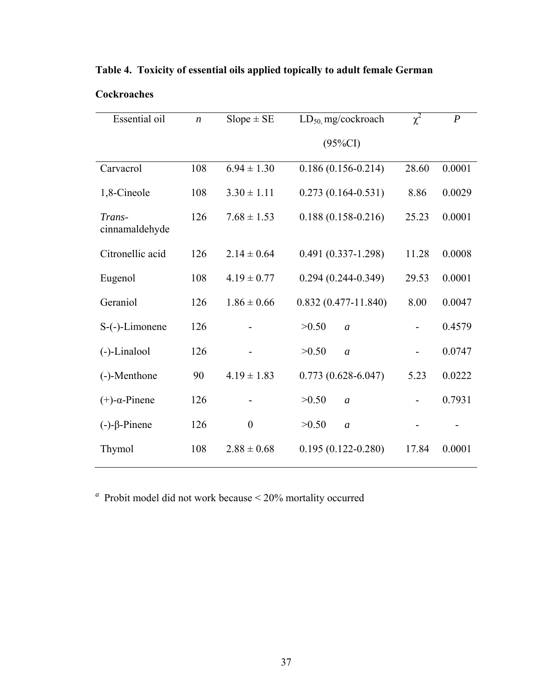| Essential oil            | $\boldsymbol{n}$ | $Slope \pm SE$   | $LD_{50}$ mg/cockroach  | $\chi^2$ | $\boldsymbol{P}$ |
|--------------------------|------------------|------------------|-------------------------|----------|------------------|
|                          |                  |                  | $(95\%CI)$              |          |                  |
| Carvacrol                | 108              | $6.94 \pm 1.30$  | $0.186(0.156 - 0.214)$  | 28.60    | 0.0001           |
| 1,8-Cineole              | 108              | $3.30 \pm 1.11$  | $0.273(0.164 - 0.531)$  | 8.86     | 0.0029           |
| Trans-<br>cinnamaldehyde | 126              | $7.68 \pm 1.53$  | $0.188(0.158-0.216)$    | 25.23    | 0.0001           |
| Citronellic acid         | 126              | $2.14 \pm 0.64$  | $0.491(0.337-1.298)$    | 11.28    | 0.0008           |
| Eugenol                  | 108              | $4.19 \pm 0.77$  | $0.294(0.244 - 0.349)$  | 29.53    | 0.0001           |
| Geraniol                 | 126              | $1.86 \pm 0.66$  | $0.832(0.477-11.840)$   | 8.00     | 0.0047           |
| S-(-)-Limonene           | 126              |                  | >0.50<br>$\overline{a}$ |          | 0.4579           |
| (-)-Linalool             | 126              |                  | >0.50<br>$\overline{a}$ |          | 0.0747           |
| (-)-Menthone             | 90               | $4.19 \pm 1.83$  | $0.773(0.628 - 6.047)$  | 5.23     | 0.0222           |
| $(+)$ - $\alpha$ -Pinene | 126              |                  | >0.50<br>$\mathfrak{a}$ |          | 0.7931           |
| $(-)-\beta$ -Pinene      | 126              | $\boldsymbol{0}$ | >0.50<br>$\mathfrak{a}$ |          |                  |
| Thymol                   | 108              | $2.88 \pm 0.68$  | $0.195(0.122 - 0.280)$  | 17.84    | 0.0001           |

**Table 4. Toxicity of essential oils applied topically to adult female German** 

# **Cockroaches**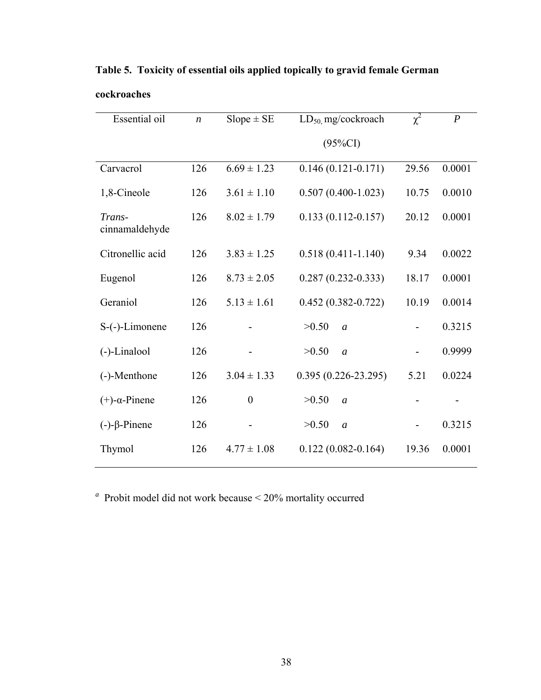| Essential oil            | $\boldsymbol{n}$ | $Slope \pm SE$   | $LD_{50}$ mg/cockroach  | $\chi^2$ | $\boldsymbol{P}$ |
|--------------------------|------------------|------------------|-------------------------|----------|------------------|
|                          |                  |                  | $(95\%CI)$              |          |                  |
| Carvacrol                | 126              | $6.69 \pm 1.23$  | $0.146(0.121 - 0.171)$  | 29.56    | 0.0001           |
| 1,8-Cineole              | 126              | $3.61 \pm 1.10$  | $0.507(0.400 - 1.023)$  | 10.75    | 0.0010           |
| Trans-<br>cinnamaldehyde | 126              | $8.02 \pm 1.79$  | $0.133(0.112 - 0.157)$  | 20.12    | 0.0001           |
| Citronellic acid         | 126              | $3.83 \pm 1.25$  | $0.518(0.411 - 1.140)$  | 9.34     | 0.0022           |
| Eugenol                  | 126              | $8.73 \pm 2.05$  | $0.287(0.232 - 0.333)$  | 18.17    | 0.0001           |
| Geraniol                 | 126              | $5.13 \pm 1.61$  | $0.452(0.382 - 0.722)$  | 10.19    | 0.0014           |
| S-(-)-Limonene           | 126              |                  | >0.50<br>$\overline{a}$ |          | 0.3215           |
| $(-)$ -Linalool          | 126              |                  | >0.50<br>$\overline{a}$ |          | 0.9999           |
| (-)-Menthone             | 126              | $3.04 \pm 1.33$  | $0.395(0.226-23.295)$   | 5.21     | 0.0224           |
| $(+)$ - $\alpha$ -Pinene | 126              | $\boldsymbol{0}$ | >0.50<br>$\overline{a}$ |          |                  |
| $(-)-\beta$ -Pinene      | 126              |                  | >0.50<br>$\mathfrak{a}$ |          | 0.3215           |
| Thymol                   | 126              | $4.77 \pm 1.08$  | $0.122(0.082 - 0.164)$  | 19.36    | 0.0001           |

**Table 5. Toxicity of essential oils applied topically to gravid female German cockroaches**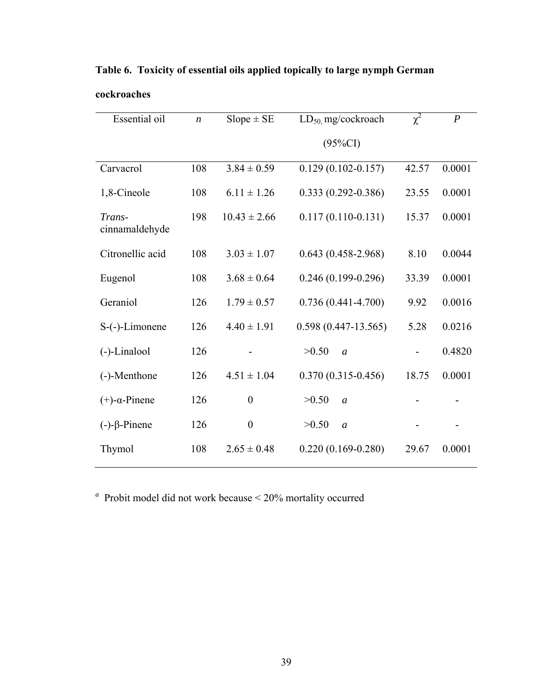| Essential oil            | $\boldsymbol{n}$ | $Slope \pm SE$   | $LD_{50}$ mg/cockroach  | $\chi^2$ | $\boldsymbol{P}$ |
|--------------------------|------------------|------------------|-------------------------|----------|------------------|
|                          |                  |                  | $(95\%CI)$              |          |                  |
| Carvacrol                | 108              | $3.84 \pm 0.59$  | $0.129(0.102 - 0.157)$  | 42.57    | 0.0001           |
| 1,8-Cineole              | 108              | $6.11 \pm 1.26$  | $0.333(0.292 - 0.386)$  | 23.55    | 0.0001           |
| Trans-<br>cinnamaldehyde | 198              | $10.43 \pm 2.66$ | $0.117(0.110-0.131)$    | 15.37    | 0.0001           |
| Citronellic acid         | 108              | $3.03 \pm 1.07$  | $0.643(0.458-2.968)$    | 8.10     | 0.0044           |
| Eugenol                  | 108              | $3.68 \pm 0.64$  | $0.246(0.199-0.296)$    | 33.39    | 0.0001           |
| Geraniol                 | 126              | $1.79 \pm 0.57$  | $0.736(0.441 - 4.700)$  | 9.92     | 0.0016           |
| S-(-)-Limonene           | 126              | $4.40 \pm 1.91$  | $0.598(0.447-13.565)$   | 5.28     | 0.0216           |
| (-)-Linalool             | 126              |                  | >0.50<br>$\overline{a}$ |          | 0.4820           |
| (-)-Menthone             | 126              | $4.51 \pm 1.04$  | $0.370(0.315 - 0.456)$  | 18.75    | 0.0001           |
| $(+)$ - $\alpha$ -Pinene | 126              | $\overline{0}$   | >0.50<br>$\overline{a}$ |          |                  |
| $(-)-\beta$ -Pinene      | 126              | $\boldsymbol{0}$ | >0.50<br>$\mathfrak{a}$ |          |                  |
| Thymol                   | 108              | $2.65 \pm 0.48$  | $0.220(0.169-0.280)$    | 29.67    | 0.0001           |

**Table 6. Toxicity of essential oils applied topically to large nymph German cockroaches**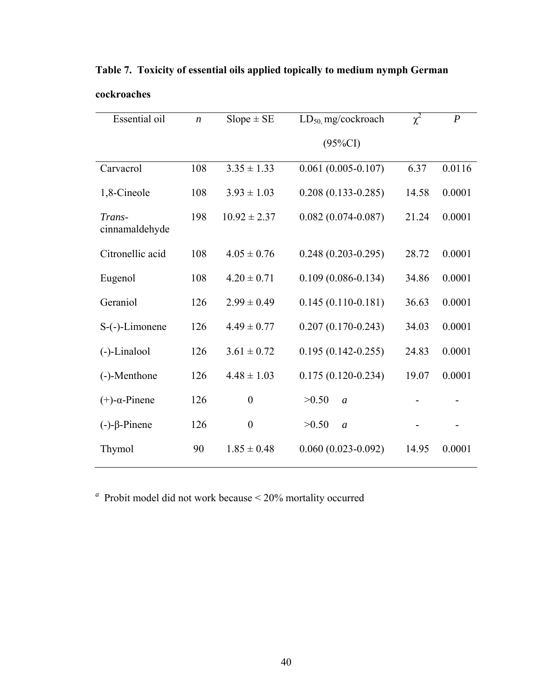| <b>Essential oil</b>     | $\boldsymbol{n}$ | $Slope \pm SE$   | LD <sub>50</sub> mg/cockroach | $\chi^2$ | $\boldsymbol{P}$ |
|--------------------------|------------------|------------------|-------------------------------|----------|------------------|
|                          |                  |                  | $(95\%CI)$                    |          |                  |
| Carvacrol                | 108              | $3.35 \pm 1.33$  | $0.061(0.005 - 0.107)$        | 6.37     | 0.0116           |
| 1,8-Cineole              | 108              | $3.93 \pm 1.03$  | $0.208(0.133 - 0.285)$        | 14.58    | 0.0001           |
| Trans-<br>cinnamaldehyde | 198              | $10.92 \pm 2.37$ | $0.082(0.074 - 0.087)$        | 21.24    | 0.0001           |
| Citronellic acid         | 108              | $4.05 \pm 0.76$  | $0.248(0.203 - 0.295)$        | 28.72    | 0.0001           |
| Eugenol                  | 108              | $4.20 \pm 0.71$  | $0.109(0.086 - 0.134)$        | 34.86    | 0.0001           |
| Geraniol                 | 126              | $2.99 \pm 0.49$  | $0.145(0.110-0.181)$          | 36.63    | 0.0001           |
| S-(-)-Limonene           | 126              | $4.49 \pm 0.77$  | $0.207(0.170-0.243)$          | 34.03    | 0.0001           |
| (-)-Linalool             | 126              | $3.61 \pm 0.72$  | $0.195(0.142 - 0.255)$        | 24.83    | 0.0001           |
| (-)-Menthone             | 126              | $4.48 \pm 1.03$  | $0.175(0.120-0.234)$          | 19.07    | 0.0001           |
| $(+)$ - $\alpha$ -Pinene | 126              | $\boldsymbol{0}$ | >0.50<br>$\overline{a}$       |          |                  |
| $(-)-\beta$ -Pinene      | 126              | $\boldsymbol{0}$ | >0.50<br>$\mathfrak{a}$       |          |                  |
| Thymol                   | 90               | $1.85 \pm 0.48$  | $0.060(0.023 - 0.092)$        | 14.95    | 0.0001           |

**Table 7. Toxicity of essential oils applied topically to medium nymph German cockroaches**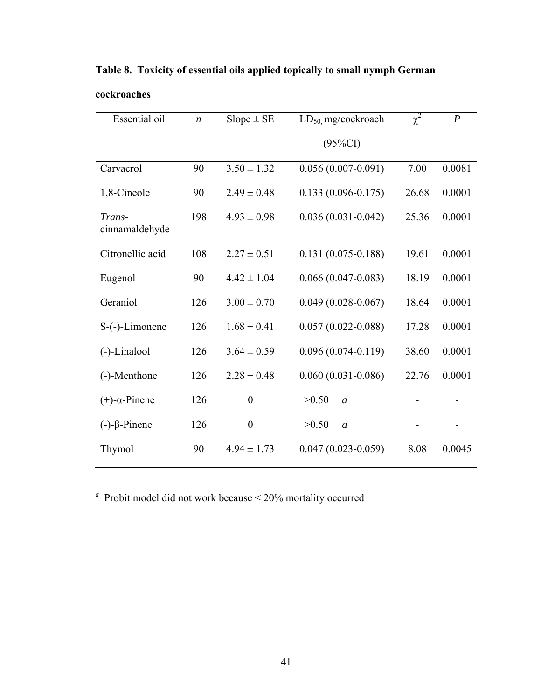| Essential oil            | $\boldsymbol{n}$ | $Slope \pm SE$   | $LD_{50}$ mg/cockroach  | $\chi^2$ | $\boldsymbol{P}$ |
|--------------------------|------------------|------------------|-------------------------|----------|------------------|
|                          |                  |                  | $(95\%CI)$              |          |                  |
| Carvacrol                | 90               | $3.50 \pm 1.32$  | $0.056(0.007-0.091)$    | 7.00     | 0.0081           |
| 1,8-Cineole              | 90               | $2.49 \pm 0.48$  | $0.133(0.096 - 0.175)$  | 26.68    | 0.0001           |
| Trans-<br>cinnamaldehyde | 198              | $4.93 \pm 0.98$  | $0.036(0.031 - 0.042)$  | 25.36    | 0.0001           |
| Citronellic acid         | 108              | $2.27 \pm 0.51$  | $0.131(0.075 - 0.188)$  | 19.61    | 0.0001           |
| Eugenol                  | 90               | $4.42 \pm 1.04$  | $0.066(0.047-0.083)$    | 18.19    | 0.0001           |
| Geraniol                 | 126              | $3.00 \pm 0.70$  | $0.049(0.028-0.067)$    | 18.64    | 0.0001           |
| S-(-)-Limonene           | 126              | $1.68 \pm 0.41$  | $0.057(0.022 - 0.088)$  | 17.28    | 0.0001           |
| $(-)$ -Linalool          | 126              | $3.64 \pm 0.59$  | $0.096(0.074-0.119)$    | 38.60    | 0.0001           |
| (-)-Menthone             | 126              | $2.28 \pm 0.48$  | $0.060(0.031 - 0.086)$  | 22.76    | 0.0001           |
| $(+)$ - $\alpha$ -Pinene | 126              | $\boldsymbol{0}$ | >0.50<br>$\overline{a}$ |          |                  |
| $(-)-\beta$ -Pinene      | 126              | $\boldsymbol{0}$ | >0.50<br>$\mathfrak{a}$ |          |                  |
| Thymol                   | 90               | $4.94 \pm 1.73$  | $0.047(0.023 - 0.059)$  | 8.08     | 0.0045           |

**Table 8. Toxicity of essential oils applied topically to small nymph German cockroaches**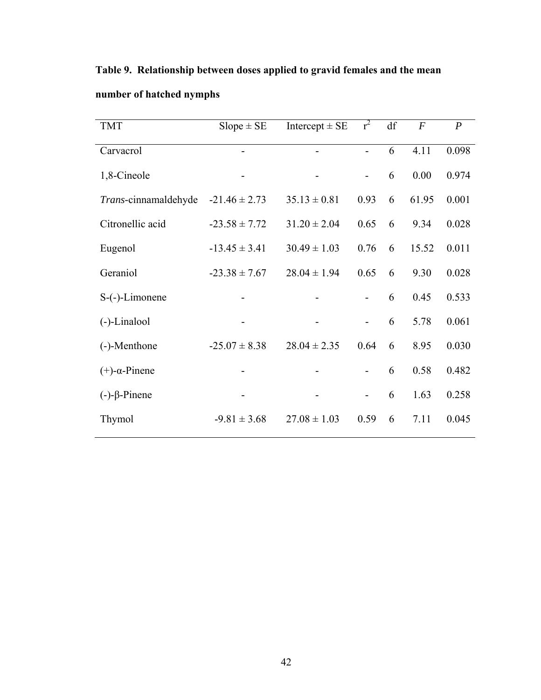| <b>TMT</b>               | $Slope \pm SE$    | Intercept $\pm$ SE | $r^2$                    | df | $\boldsymbol{F}$ | $\boldsymbol{P}$ |
|--------------------------|-------------------|--------------------|--------------------------|----|------------------|------------------|
| Carvacrol                |                   |                    | $\overline{a}$           | 6  | 4.11             | 0.098            |
| 1,8-Cineole              |                   |                    |                          | 6  | 0.00             | 0.974            |
| Trans-cinnamaldehyde     | $-21.46 \pm 2.73$ | $35.13 \pm 0.81$   | 0.93                     | 6  | 61.95            | 0.001            |
| Citronellic acid         | $-23.58 \pm 7.72$ | $31.20 \pm 2.04$   | 0.65                     | 6  | 9.34             | 0.028            |
| Eugenol                  | $-13.45 \pm 3.41$ | $30.49 \pm 1.03$   | 0.76                     | 6  | 15.52            | 0.011            |
| Geraniol                 | $-23.38 \pm 7.67$ | $28.04 \pm 1.94$   | 0.65                     | 6  | 9.30             | 0.028            |
| S-(-)-Limonene           |                   |                    |                          | 6  | 0.45             | 0.533            |
| (-)-Linalool             |                   |                    |                          | 6  | 5.78             | 0.061            |
| (-)-Menthone             | $-25.07 \pm 8.38$ | $28.04 \pm 2.35$   | 0.64                     | 6  | 8.95             | 0.030            |
| $(+)$ - $\alpha$ -Pinene |                   |                    |                          | 6  | 0.58             | 0.482            |
| $(-)-\beta$ -Pinene      |                   |                    | $\overline{\phantom{a}}$ | 6  | 1.63             | 0.258            |
| Thymol                   | $-9.81 \pm 3.68$  | $27.08 \pm 1.03$   | 0.59                     | 6  | 7.11             | 0.045            |

**Table 9. Relationship between doses applied to gravid females and the mean number of hatched nymphs**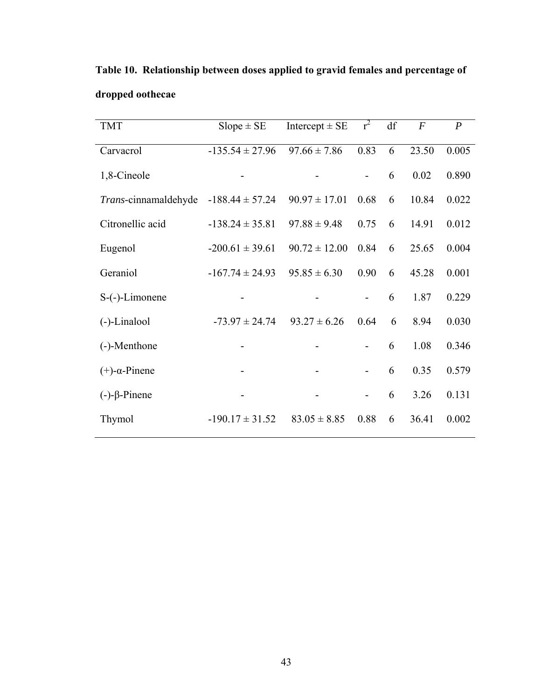| <b>TMT</b>               | $Slope \pm SE$      | Intercept $\pm$ SE | $r^2$                    | df | $\overline{F}$ | $\boldsymbol{P}$ |
|--------------------------|---------------------|--------------------|--------------------------|----|----------------|------------------|
| Carvacrol                | $-135.54 \pm 27.96$ | $97.66 \pm 7.86$   | 0.83                     | 6  | 23.50          | 0.005            |
|                          |                     |                    |                          |    |                |                  |
| 1,8-Cineole              |                     |                    | $\overline{\phantom{0}}$ | 6  | 0.02           | 0.890            |
| Trans-cinnamaldehyde     | $-188.44 \pm 57.24$ | $90.97 \pm 17.01$  | 0.68                     | 6  | 10.84          | 0.022            |
| Citronellic acid         | $-138.24 \pm 35.81$ | $97.88 \pm 9.48$   | 0.75                     | 6  | 14.91          | 0.012            |
| Eugenol                  | $-200.61 \pm 39.61$ | $90.72 \pm 12.00$  | 0.84                     | 6  | 25.65          | 0.004            |
| Geraniol                 | $-167.74 \pm 24.93$ | $95.85 \pm 6.30$   | 0.90                     | 6  | 45.28          | 0.001            |
| $S$ - $(-)$ -Limonene    |                     |                    |                          | 6  | 1.87           | 0.229            |
| $(-)$ -Linalool          | $-73.97 \pm 24.74$  | $93.27 \pm 6.26$   | 0.64                     | 6  | 8.94           | 0.030            |
| (-)-Menthone             |                     |                    |                          | 6  | 1.08           | 0.346            |
| $(+)$ - $\alpha$ -Pinene |                     |                    |                          | 6  | 0.35           | 0.579            |
| $(-)-\beta$ -Pinene      |                     |                    | $\overline{\phantom{a}}$ | 6  | 3.26           | 0.131            |
| Thymol                   | $-190.17 \pm 31.52$ | $83.05 \pm 8.85$   | 0.88                     | 6  | 36.41          | 0.002            |

**Table 10. Relationship between doses applied to gravid females and percentage of dropped oothecae**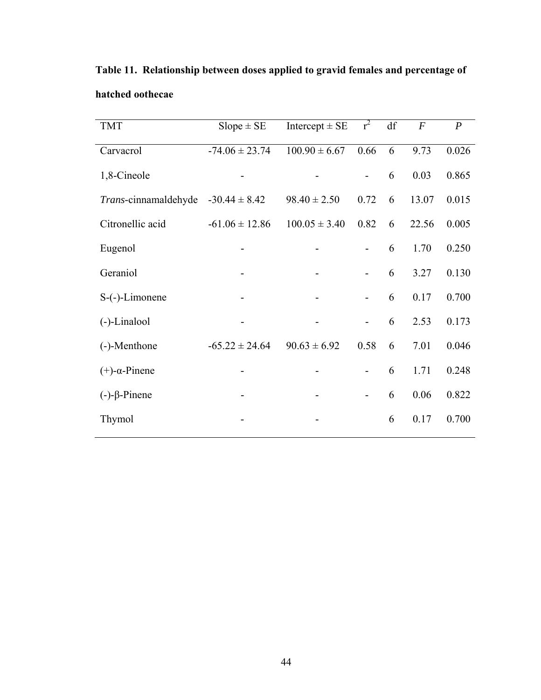| <b>TMT</b>               | $Slope \pm SE$     | Intercept $\pm$ SE | $r^2$                        | df | $\boldsymbol{F}$ | $\boldsymbol{P}$ |
|--------------------------|--------------------|--------------------|------------------------------|----|------------------|------------------|
| Carvacrol                | $-74.06 \pm 23.74$ | $100.90 \pm 6.67$  | 0.66                         | 6  | 9.73             | 0.026            |
| 1,8-Cineole              |                    |                    | $\overline{\phantom{a}}$     | 6  | 0.03             | 0.865            |
| Trans-cinnamaldehyde     | $-30.44 \pm 8.42$  | $98.40 \pm 2.50$   | 0.72                         | 6  | 13.07            | 0.015            |
| Citronellic acid         | $-61.06 \pm 12.86$ | $100.05 \pm 3.40$  | 0.82                         | 6  | 22.56            | 0.005            |
| Eugenol                  |                    |                    | $\overline{\phantom{0}}$     | 6  | 1.70             | 0.250            |
| Geraniol                 |                    |                    | $\overline{\phantom{m}}$     | 6  | 3.27             | 0.130            |
| $S$ -(-)-Limonene        |                    |                    |                              | 6  | 0.17             | 0.700            |
| (-)-Linalool             |                    |                    | $\overline{\phantom{a}}$     | 6  | 2.53             | 0.173            |
| (-)-Menthone             | $-65.22 \pm 24.64$ | $90.63 \pm 6.92$   | 0.58                         | 6  | 7.01             | 0.046            |
| $(+)$ - $\alpha$ -Pinene |                    |                    |                              | 6  | 1.71             | 0.248            |
| $(-)-\beta$ -Pinene      |                    |                    | $\qquad \qquad \blacksquare$ | 6  | 0.06             | 0.822            |
| Thymol                   |                    |                    |                              | 6  | 0.17             | 0.700            |
|                          |                    |                    |                              |    |                  |                  |

**Table 11. Relationship between doses applied to gravid females and percentage of hatched oothecae**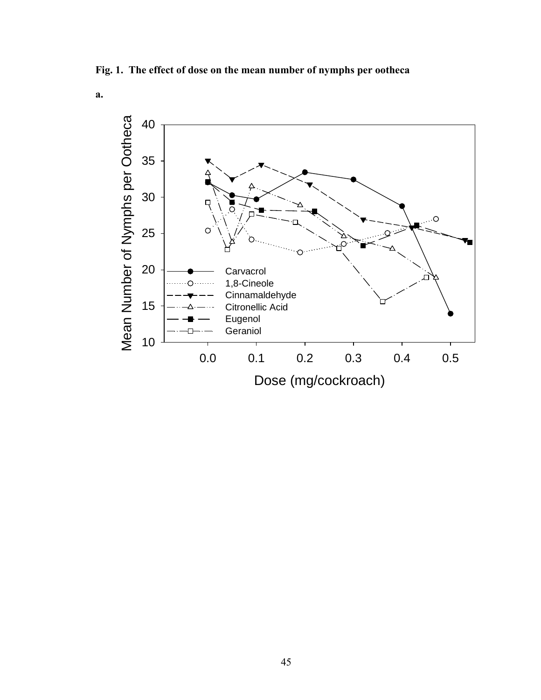**Fig. 1. The effect of dose on the mean number of nymphs per ootheca** 

**a.** 

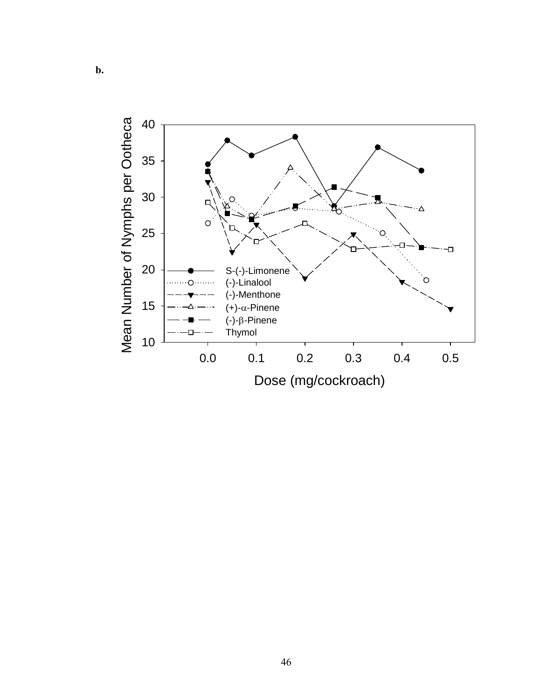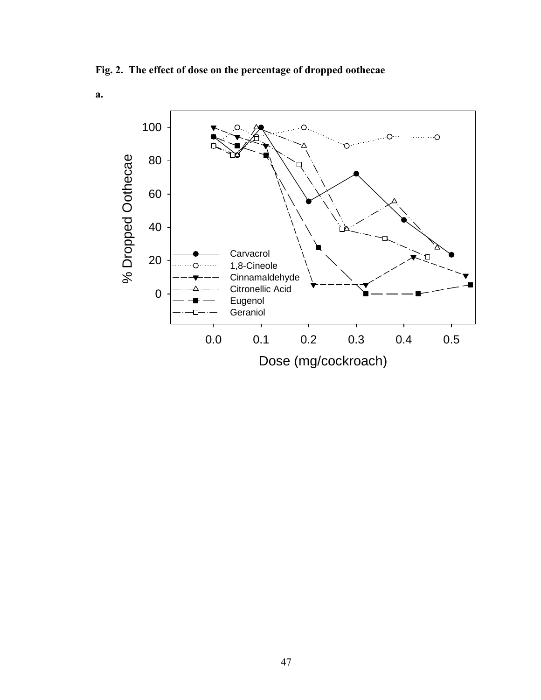**Fig. 2. The effect of dose on the percentage of dropped oothecae** 

**a.**

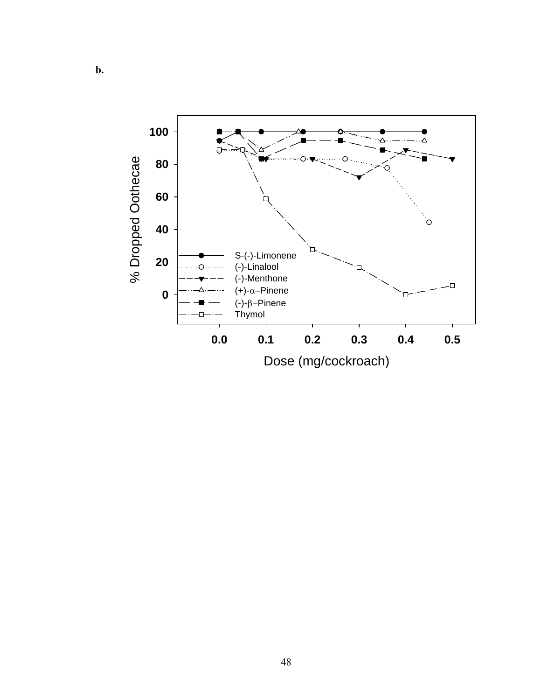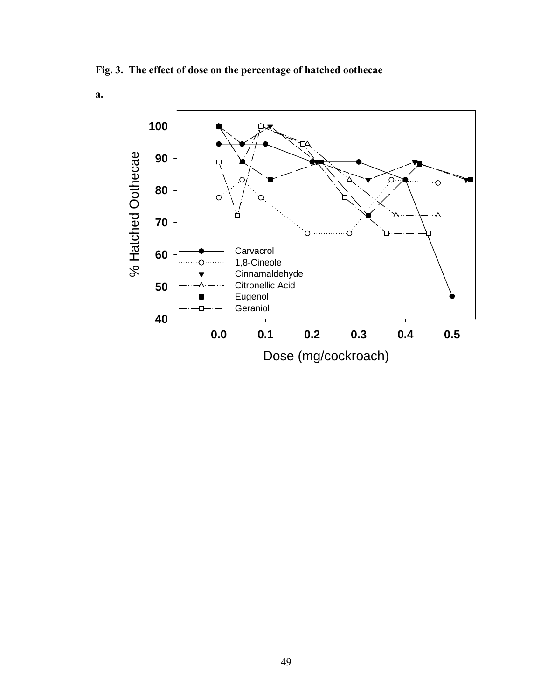**Fig. 3. The effect of dose on the percentage of hatched oothecae** 

**a.**

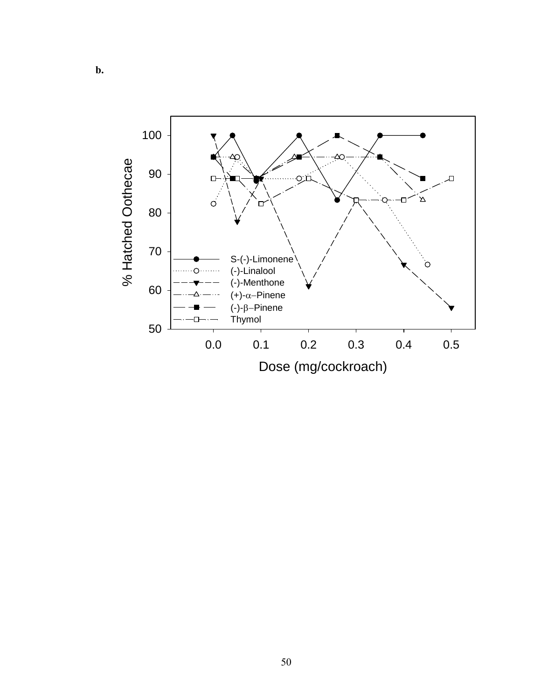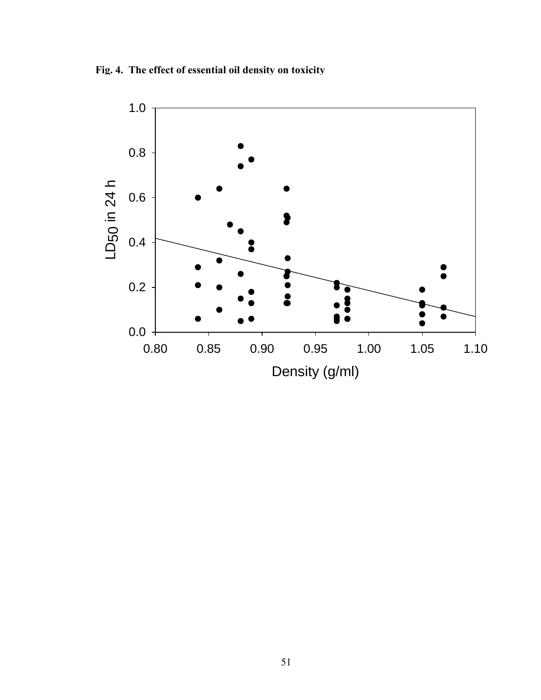**Fig. 4. The effect of essential oil density on toxicity** 

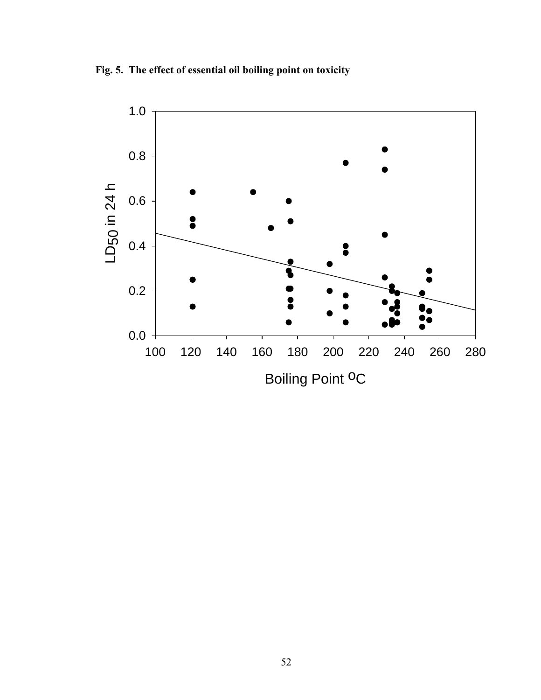**Fig. 5. The effect of essential oil boiling point on toxicity** 

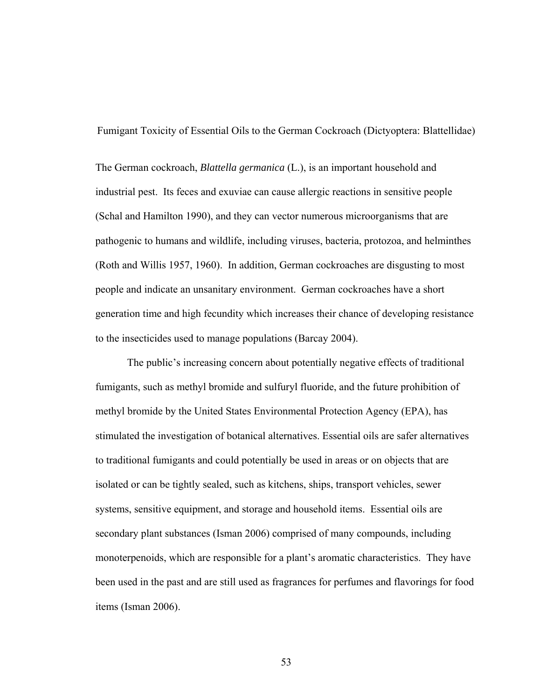Fumigant Toxicity of Essential Oils to the German Cockroach (Dictyoptera: Blattellidae)

The German cockroach, *Blattella germanica* (L.), is an important household and industrial pest. Its feces and exuviae can cause allergic reactions in sensitive people (Schal and Hamilton 1990), and they can vector numerous microorganisms that are pathogenic to humans and wildlife, including viruses, bacteria, protozoa, and helminthes (Roth and Willis 1957, 1960). In addition, German cockroaches are disgusting to most people and indicate an unsanitary environment. German cockroaches have a short generation time and high fecundity which increases their chance of developing resistance to the insecticides used to manage populations (Barcay 2004).

The public's increasing concern about potentially negative effects of traditional fumigants, such as methyl bromide and sulfuryl fluoride, and the future prohibition of methyl bromide by the United States Environmental Protection Agency (EPA), has stimulated the investigation of botanical alternatives. Essential oils are safer alternatives to traditional fumigants and could potentially be used in areas or on objects that are isolated or can be tightly sealed, such as kitchens, ships, transport vehicles, sewer systems, sensitive equipment, and storage and household items. Essential oils are secondary plant substances (Isman 2006) comprised of many compounds, including monoterpenoids, which are responsible for a plant's aromatic characteristics. They have been used in the past and are still used as fragrances for perfumes and flavorings for food items (Isman 2006).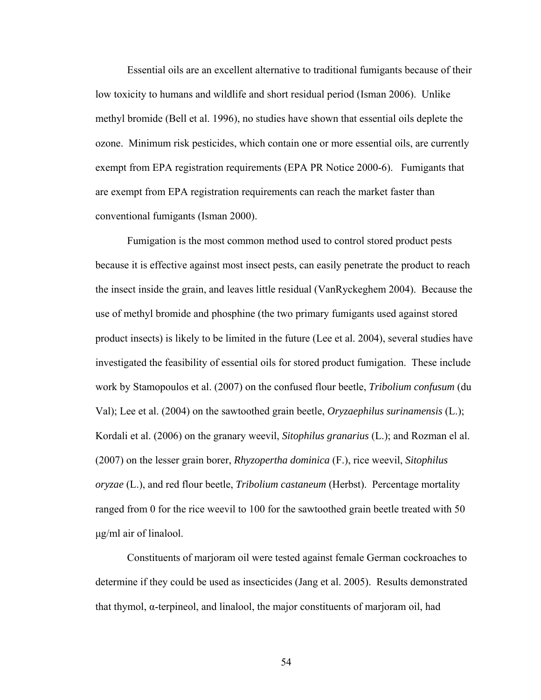Essential oils are an excellent alternative to traditional fumigants because of their low toxicity to humans and wildlife and short residual period (Isman 2006). Unlike methyl bromide (Bell et al. 1996), no studies have shown that essential oils deplete the ozone. Minimum risk pesticides, which contain one or more essential oils, are currently exempt from EPA registration requirements (EPA PR Notice 2000-6). Fumigants that are exempt from EPA registration requirements can reach the market faster than conventional fumigants (Isman 2000).

Fumigation is the most common method used to control stored product pests because it is effective against most insect pests, can easily penetrate the product to reach the insect inside the grain, and leaves little residual (VanRyckeghem 2004). Because the use of methyl bromide and phosphine (the two primary fumigants used against stored product insects) is likely to be limited in the future (Lee et al. 2004), several studies have investigated the feasibility of essential oils for stored product fumigation. These include work by Stamopoulos et al. (2007) on the confused flour beetle, *Tribolium confusum* (du Val); Lee et al. (2004) on the sawtoothed grain beetle, *Oryzaephilus surinamensis* (L.); Kordali et al. (2006) on the granary weevil, *Sitophilus granarius* (L.); and Rozman el al. (2007) on the lesser grain borer, *Rhyzopertha dominica* (F.), rice weevil, *Sitophilus oryzae* (L.), and red flour beetle, *Tribolium castaneum* (Herbst). Percentage mortality ranged from 0 for the rice weevil to 100 for the sawtoothed grain beetle treated with 50 μg/ml air of linalool.

Constituents of marjoram oil were tested against female German cockroaches to determine if they could be used as insecticides (Jang et al. 2005). Results demonstrated that thymol,  $\alpha$ -terpineol, and linalool, the major constituents of marjoram oil, had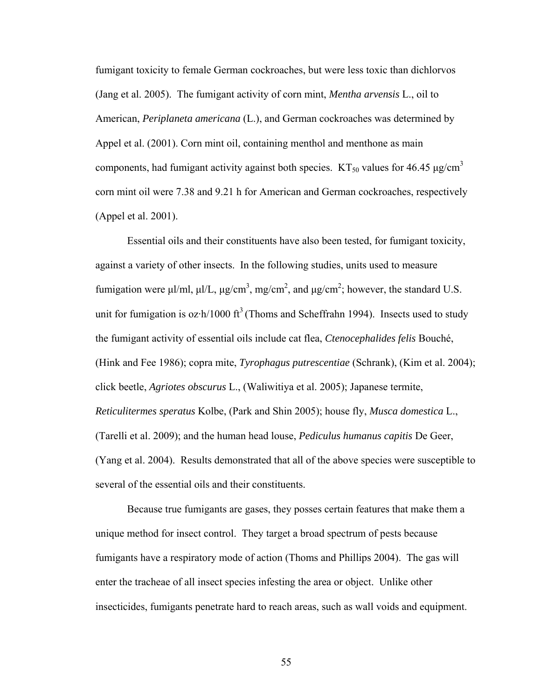fumigant toxicity to female German cockroaches, but were less toxic than dichlorvos (Jang et al. 2005). The fumigant activity of corn mint, *Mentha arvensis* L., oil to American, *Periplaneta americana* (L.), and German cockroaches was determined by Appel et al. (2001). Corn mint oil, containing menthol and menthone as main components, had fumigant activity against both species.  $KT_{50}$  values for 46.45  $\mu$ g/cm<sup>3</sup> corn mint oil were 7.38 and 9.21 h for American and German cockroaches, respectively (Appel et al. 2001).

Essential oils and their constituents have also been tested, for fumigant toxicity, against a variety of other insects. In the following studies, units used to measure fumigation were μl/ml, μl/L, μg/cm<sup>3</sup>, mg/cm<sup>2</sup>, and μg/cm<sup>2</sup>; however, the standard U.S. unit for fumigation is oz $\cdot h/1000 \text{ ft}^3$  (Thoms and Scheffrahn 1994). Insects used to study the fumigant activity of essential oils include cat flea, *Ctenocephalides felis* Bouché, (Hink and Fee 1986); copra mite, *Tyrophagus putrescentiae* (Schrank), (Kim et al. 2004); click beetle, *Agriotes obscurus* L., (Waliwitiya et al. 2005); Japanese termite, *Reticulitermes speratus* Kolbe, (Park and Shin 2005); house fly, *Musca domestica* L., (Tarelli et al. 2009); and the human head louse, *Pediculus humanus capitis* De Geer, (Yang et al. 2004). Results demonstrated that all of the above species were susceptible to several of the essential oils and their constituents.

Because true fumigants are gases, they posses certain features that make them a unique method for insect control. They target a broad spectrum of pests because fumigants have a respiratory mode of action (Thoms and Phillips 2004). The gas will enter the tracheae of all insect species infesting the area or object. Unlike other insecticides, fumigants penetrate hard to reach areas, such as wall voids and equipment.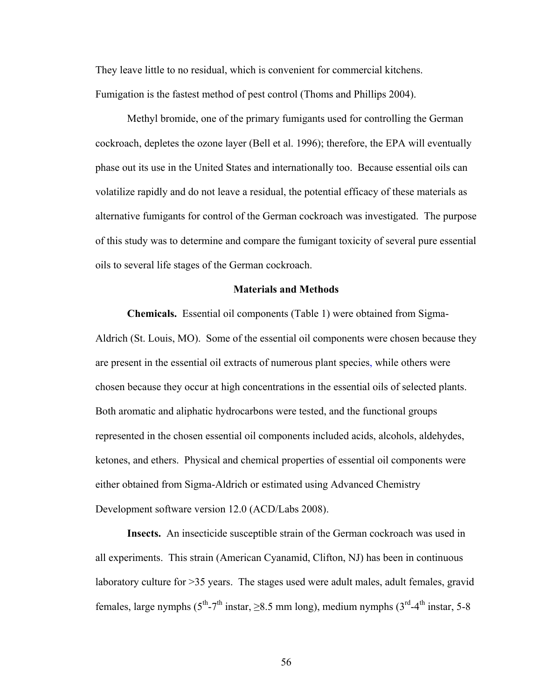They leave little to no residual, which is convenient for commercial kitchens. Fumigation is the fastest method of pest control (Thoms and Phillips 2004).

Methyl bromide, one of the primary fumigants used for controlling the German cockroach, depletes the ozone layer (Bell et al. 1996); therefore, the EPA will eventually phase out its use in the United States and internationally too. Because essential oils can volatilize rapidly and do not leave a residual, the potential efficacy of these materials as alternative fumigants for control of the German cockroach was investigated. The purpose of this study was to determine and compare the fumigant toxicity of several pure essential oils to several life stages of the German cockroach.

### **Materials and Methods**

**Chemicals.** Essential oil components (Table 1) were obtained from Sigma-Aldrich (St. Louis, MO). Some of the essential oil components were chosen because they are present in the essential oil extracts of numerous plant species, while others were chosen because they occur at high concentrations in the essential oils of selected plants. Both aromatic and aliphatic hydrocarbons were tested, and the functional groups represented in the chosen essential oil components included acids, alcohols, aldehydes, ketones, and ethers. Physical and chemical properties of essential oil components were either obtained from Sigma-Aldrich or estimated using Advanced Chemistry Development software version 12.0 (ACD/Labs 2008).

**Insects.** An insecticide susceptible strain of the German cockroach was used in all experiments. This strain (American Cyanamid, Clifton, NJ) has been in continuous laboratory culture for >35 years. The stages used were adult males, adult females, gravid females, large nymphs  $(5^{th} - 7^{th} \text{ instar}, \geq 8.5 \text{ mm long})$ , medium nymphs  $(3^{rd} - 4^{th} \text{ instar}, 5-8$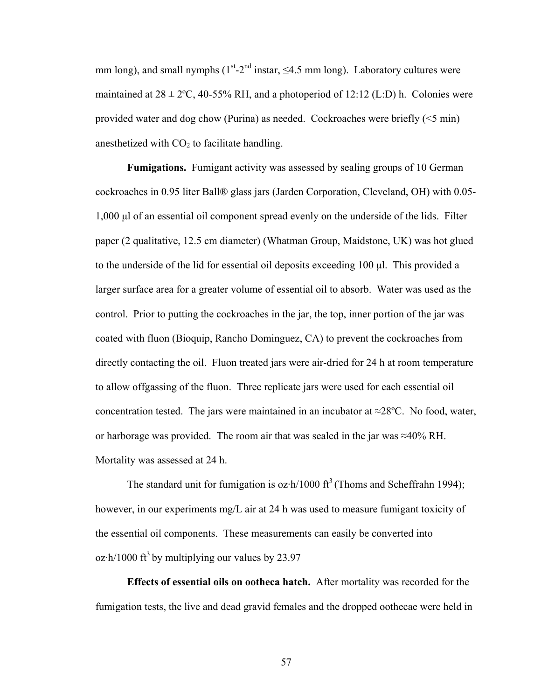mm long), and small nymphs ( $1^{st}$ - $2^{nd}$  instar,  $\leq 4.5$  mm long). Laboratory cultures were maintained at  $28 \pm 2$ °C, 40-55% RH, and a photoperiod of 12:12 (L:D) h. Colonies were provided water and dog chow (Purina) as needed. Cockroaches were briefly (<5 min) anesthetized with  $CO<sub>2</sub>$  to facilitate handling.

**Fumigations.** Fumigant activity was assessed by sealing groups of 10 German cockroaches in 0.95 liter Ball® glass jars (Jarden Corporation, Cleveland, OH) with 0.05- 1,000 μl of an essential oil component spread evenly on the underside of the lids. Filter paper (2 qualitative, 12.5 cm diameter) (Whatman Group, Maidstone, UK) was hot glued to the underside of the lid for essential oil deposits exceeding 100 μl. This provided a larger surface area for a greater volume of essential oil to absorb. Water was used as the control. Prior to putting the cockroaches in the jar, the top, inner portion of the jar was coated with fluon (Bioquip, Rancho Dominguez, CA) to prevent the cockroaches from directly contacting the oil. Fluon treated jars were air-dried for 24 h at room temperature to allow offgassing of the fluon. Three replicate jars were used for each essential oil concentration tested. The jars were maintained in an incubator at  $\approx$ 28°C. No food, water, or harborage was provided. The room air that was sealed in the jar was ≈40% RH. Mortality was assessed at 24 h.

The standard unit for fumigation is oz·h/1000  $ft^3$  (Thoms and Scheffrahn 1994); however, in our experiments mg/L air at 24 h was used to measure fumigant toxicity of the essential oil components. These measurements can easily be converted into oz $\cdot$ h/1000 ft<sup>3</sup> by multiplying our values by 23.97

**Effects of essential oils on ootheca hatch.** After mortality was recorded for the fumigation tests, the live and dead gravid females and the dropped oothecae were held in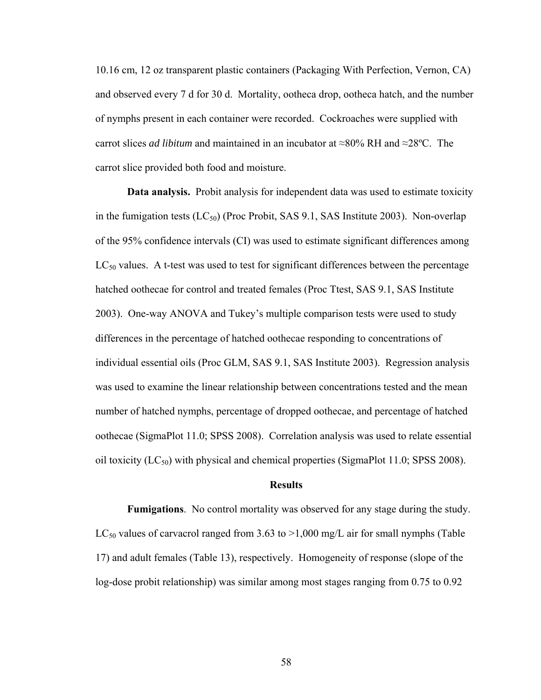10.16 cm, 12 oz transparent plastic containers (Packaging With Perfection, Vernon, CA) and observed every 7 d for 30 d. Mortality, ootheca drop, ootheca hatch, and the number of nymphs present in each container were recorded. Cockroaches were supplied with carrot slices *ad libitum* and maintained in an incubator at ≈80% RH and ≈28ºC. The carrot slice provided both food and moisture.

**Data analysis.** Probit analysis for independent data was used to estimate toxicity in the fumigation tests  $(LC_{50})$  (Proc Probit, SAS 9.1, SAS Institute 2003). Non-overlap of the 95% confidence intervals (CI) was used to estimate significant differences among  $LC_{50}$  values. A t-test was used to test for significant differences between the percentage hatched oothecae for control and treated females (Proc Ttest, SAS 9.1, SAS Institute 2003). One-way ANOVA and Tukey's multiple comparison tests were used to study differences in the percentage of hatched oothecae responding to concentrations of individual essential oils (Proc GLM, SAS 9.1, SAS Institute 2003). Regression analysis was used to examine the linear relationship between concentrations tested and the mean number of hatched nymphs, percentage of dropped oothecae, and percentage of hatched oothecae (SigmaPlot 11.0; SPSS 2008). Correlation analysis was used to relate essential oil toxicity  $(LC_{50})$  with physical and chemical properties (SigmaPlot 11.0; SPSS 2008).

#### **Results**

**Fumigations**. No control mortality was observed for any stage during the study. LC<sub>50</sub> values of carvacrol ranged from 3.63 to  $>1,000$  mg/L air for small nymphs (Table 17) and adult females (Table 13), respectively. Homogeneity of response (slope of the log-dose probit relationship) was similar among most stages ranging from 0.75 to 0.92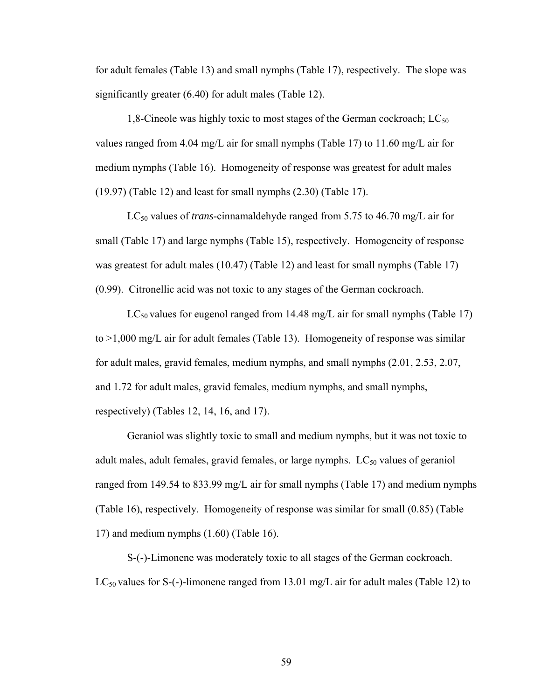for adult females (Table 13) and small nymphs (Table 17), respectively. The slope was significantly greater (6.40) for adult males (Table 12).

1,8-Cineole was highly toxic to most stages of the German cockroach;  $LC_{50}$ values ranged from 4.04 mg/L air for small nymphs (Table 17) to 11.60 mg/L air for medium nymphs (Table 16). Homogeneity of response was greatest for adult males (19.97) (Table 12) and least for small nymphs (2.30) (Table 17).

LC50 values of *trans*-cinnamaldehyde ranged from 5.75 to 46.70 mg/L air for small (Table 17) and large nymphs (Table 15), respectively. Homogeneity of response was greatest for adult males (10.47) (Table 12) and least for small nymphs (Table 17) (0.99). Citronellic acid was not toxic to any stages of the German cockroach.

 $LC_{50}$  values for eugenol ranged from 14.48 mg/L air for small nymphs (Table 17) to >1,000 mg/L air for adult females (Table 13). Homogeneity of response was similar for adult males, gravid females, medium nymphs, and small nymphs (2.01, 2.53, 2.07, and 1.72 for adult males, gravid females, medium nymphs, and small nymphs, respectively) (Tables 12, 14, 16, and 17).

Geraniol was slightly toxic to small and medium nymphs, but it was not toxic to adult males, adult females, gravid females, or large nymphs.  $LC_{50}$  values of geraniol ranged from 149.54 to 833.99 mg/L air for small nymphs (Table 17) and medium nymphs (Table 16), respectively. Homogeneity of response was similar for small (0.85) (Table 17) and medium nymphs (1.60) (Table 16).

S-(-)-Limonene was moderately toxic to all stages of the German cockroach. LC<sub>50</sub> values for S-(-)-limonene ranged from 13.01 mg/L air for adult males (Table 12) to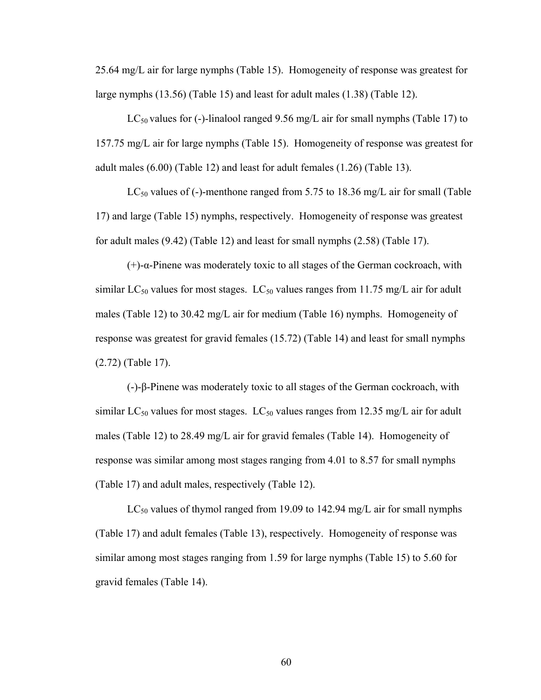25.64 mg/L air for large nymphs (Table 15). Homogeneity of response was greatest for large nymphs (13.56) (Table 15) and least for adult males (1.38) (Table 12).

LC<sub>50</sub> values for (-)-linalool ranged 9.56 mg/L air for small nymphs (Table 17) to 157.75 mg/L air for large nymphs (Table 15). Homogeneity of response was greatest for adult males (6.00) (Table 12) and least for adult females (1.26) (Table 13).

 $LC_{50}$  values of (-)-menthone ranged from 5.75 to 18.36 mg/L air for small (Table 17) and large (Table 15) nymphs, respectively. Homogeneity of response was greatest for adult males (9.42) (Table 12) and least for small nymphs (2.58) (Table 17).

(+)-α-Pinene was moderately toxic to all stages of the German cockroach, with similar  $LC_{50}$  values for most stages.  $LC_{50}$  values ranges from 11.75 mg/L air for adult males (Table 12) to 30.42 mg/L air for medium (Table 16) nymphs. Homogeneity of response was greatest for gravid females (15.72) (Table 14) and least for small nymphs (2.72) (Table 17).

(-)-β-Pinene was moderately toxic to all stages of the German cockroach, with similar  $LC_{50}$  values for most stages.  $LC_{50}$  values ranges from 12.35 mg/L air for adult males (Table 12) to 28.49 mg/L air for gravid females (Table 14). Homogeneity of response was similar among most stages ranging from 4.01 to 8.57 for small nymphs (Table 17) and adult males, respectively (Table 12).

 $LC_{50}$  values of thymol ranged from 19.09 to 142.94 mg/L air for small nymphs (Table 17) and adult females (Table 13), respectively. Homogeneity of response was similar among most stages ranging from 1.59 for large nymphs (Table 15) to 5.60 for gravid females (Table 14).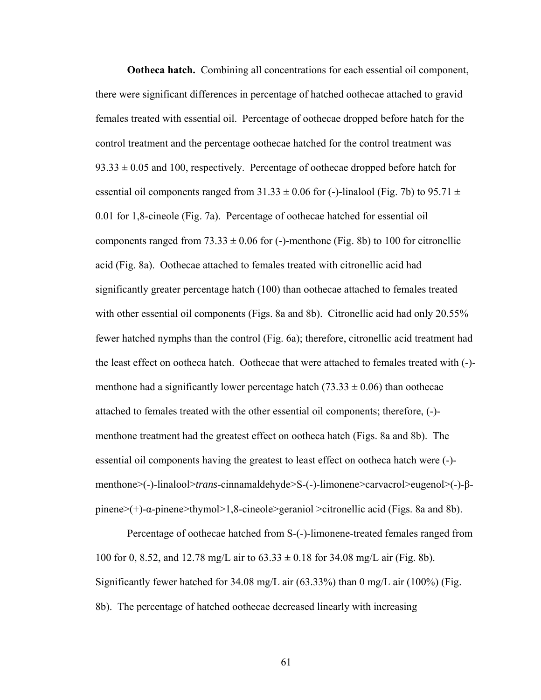**Ootheca hatch.** Combining all concentrations for each essential oil component, there were significant differences in percentage of hatched oothecae attached to gravid females treated with essential oil. Percentage of oothecae dropped before hatch for the control treatment and the percentage oothecae hatched for the control treatment was  $93.33 \pm 0.05$  and 100, respectively. Percentage of oothecae dropped before hatch for essential oil components ranged from  $31.33 \pm 0.06$  for (-)-linalool (Fig. 7b) to 95.71  $\pm$ 0.01 for 1,8-cineole (Fig. 7a). Percentage of oothecae hatched for essential oil components ranged from  $73.33 \pm 0.06$  for (-)-menthone (Fig. 8b) to 100 for citronellic acid (Fig. 8a). Oothecae attached to females treated with citronellic acid had significantly greater percentage hatch (100) than oothecae attached to females treated with other essential oil components (Figs. 8a and 8b). Citronellic acid had only 20.55% fewer hatched nymphs than the control (Fig. 6a); therefore, citronellic acid treatment had the least effect on ootheca hatch. Oothecae that were attached to females treated with (-) menthone had a significantly lower percentage hatch  $(73.33 \pm 0.06)$  than oothecae attached to females treated with the other essential oil components; therefore, (-) menthone treatment had the greatest effect on ootheca hatch (Figs. 8a and 8b). The essential oil components having the greatest to least effect on ootheca hatch were (-) menthone>(-)-linalool>*trans*-cinnamaldehyde>S-(-)-limonene>carvacrol>eugenol>(-)-βpinene>(+)-α-pinene>thymol>1,8-cineole>geraniol >citronellic acid (Figs. 8a and 8b).

Percentage of oothecae hatched from S-(-)-limonene-treated females ranged from 100 for 0, 8.52, and 12.78 mg/L air to  $63.33 \pm 0.18$  for 34.08 mg/L air (Fig. 8b). Significantly fewer hatched for 34.08 mg/L air (63.33%) than 0 mg/L air (100%) (Fig. 8b). The percentage of hatched oothecae decreased linearly with increasing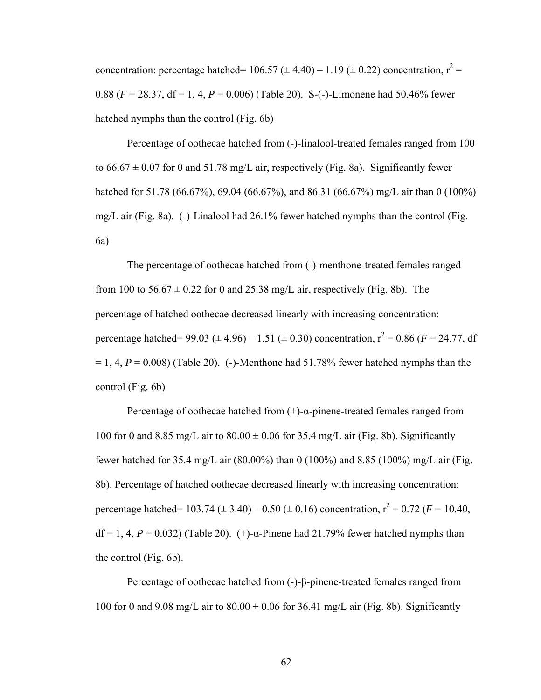concentration: percentage hatched=  $106.57 \ (\pm 4.40) - 1.19 \ (\pm 0.22)$  concentration,  $r^2 =$ 0.88 ( $F = 28.37$ , df = 1, 4,  $P = 0.006$ ) (Table 20). S-(-)-Limonene had 50.46% fewer hatched nymphs than the control (Fig. 6b)

Percentage of oothecae hatched from (-)-linalool-treated females ranged from 100 to  $66.67 \pm 0.07$  for 0 and  $51.78$  mg/L air, respectively (Fig. 8a). Significantly fewer hatched for 51.78 (66.67%), 69.04 (66.67%), and 86.31 (66.67%) mg/L air than 0 (100%) mg/L air (Fig. 8a). (-)-Linalool had 26.1% fewer hatched nymphs than the control (Fig. 6a)

The percentage of oothecae hatched from (-)-menthone-treated females ranged from 100 to  $56.67 \pm 0.22$  for 0 and 25.38 mg/L air, respectively (Fig. 8b). The percentage of hatched oothecae decreased linearly with increasing concentration: percentage hatched=  $99.03 \ (\pm 4.96) - 1.51 \ (\pm 0.30)$  concentration,  $r^2 = 0.86 \ (F = 24.77, df$  $= 1, 4, P = 0.008$ ) (Table 20). (-)-Menthone had 51.78% fewer hatched nymphs than the control (Fig. 6b)

Percentage of oothecae hatched from  $(+)$ -α-pinene-treated females ranged from 100 for 0 and 8.85 mg/L air to  $80.00 \pm 0.06$  for 35.4 mg/L air (Fig. 8b). Significantly fewer hatched for 35.4 mg/L air (80.00%) than 0 (100%) and 8.85 (100%) mg/L air (Fig. 8b). Percentage of hatched oothecae decreased linearly with increasing concentration: percentage hatched=  $103.74 \ (\pm 3.40) - 0.50 \ (\pm 0.16)$  concentration,  $r^2 = 0.72 \ (F = 10.40,$ df = 1, 4, *P* = 0.032) (Table 20). (+)-α-Pinene had 21.79% fewer hatched nymphs than the control (Fig. 6b).

Percentage of oothecae hatched from (-)-β-pinene-treated females ranged from 100 for 0 and 9.08 mg/L air to  $80.00 \pm 0.06$  for 36.41 mg/L air (Fig. 8b). Significantly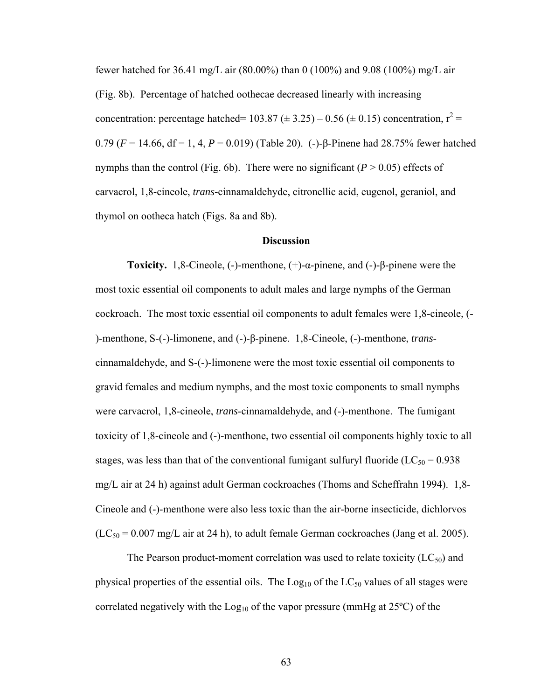fewer hatched for 36.41 mg/L air (80.00%) than 0 (100%) and 9.08 (100%) mg/L air (Fig. 8b). Percentage of hatched oothecae decreased linearly with increasing concentration: percentage hatched=  $103.87 \ (\pm 3.25) - 0.56 \ (\pm 0.15)$  concentration,  $r^2 =$ 0.79 (*F* = 14.66, df = 1, 4, *P* = 0.019) (Table 20). (-)-β-Pinene had 28.75% fewer hatched nymphs than the control (Fig. 6b). There were no significant  $(P > 0.05)$  effects of carvacrol, 1,8-cineole, *trans*-cinnamaldehyde, citronellic acid, eugenol, geraniol, and thymol on ootheca hatch (Figs. 8a and 8b).

## **Discussion**

**Toxicity.**1,8-Cineole, (-)-menthone, (+)-α-pinene, and (-)-β-pinene were the most toxic essential oil components to adult males and large nymphs of the German cockroach. The most toxic essential oil components to adult females were 1,8-cineole, (- )-menthone, S-(-)-limonene, and (-)-β-pinene. 1,8-Cineole, (-)-menthone, *trans*cinnamaldehyde, and S-(-)-limonene were the most toxic essential oil components to gravid females and medium nymphs, and the most toxic components to small nymphs were carvacrol, 1,8-cineole, *trans*-cinnamaldehyde, and (-)-menthone. The fumigant toxicity of 1,8-cineole and (-)-menthone, two essential oil components highly toxic to all stages, was less than that of the conventional fumigant sulfuryl fluoride ( $LC_{50} = 0.938$ ) mg/L air at 24 h) against adult German cockroaches (Thoms and Scheffrahn 1994). 1,8- Cineole and (-)-menthone were also less toxic than the air-borne insecticide, dichlorvos  $(LC_{50} = 0.007$  mg/L air at 24 h), to adult female German cockroaches (Jang et al. 2005).

The Pearson product-moment correlation was used to relate toxicity  $(LC_{50})$  and physical properties of the essential oils. The  $Log<sub>10</sub>$  of the  $LC<sub>50</sub>$  values of all stages were correlated negatively with the  $Log_{10}$  of the vapor pressure (mmHg at  $25^{\circ}$ C) of the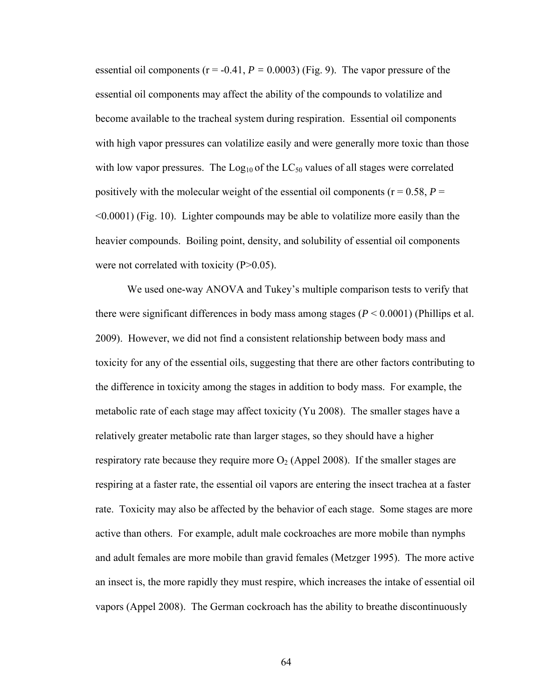essential oil components ( $r = -0.41$ ,  $P = 0.0003$ ) (Fig. 9). The vapor pressure of the essential oil components may affect the ability of the compounds to volatilize and become available to the tracheal system during respiration. Essential oil components with high vapor pressures can volatilize easily and were generally more toxic than those with low vapor pressures. The  $Log_{10}$  of the  $LC_{50}$  values of all stages were correlated positively with the molecular weight of the essential oil components ( $r = 0.58$ ,  $P =$ <0.0001) (Fig. 10). Lighter compounds may be able to volatilize more easily than the heavier compounds. Boiling point, density, and solubility of essential oil components were not correlated with toxicity (P>0.05).

We used one-way ANOVA and Tukey's multiple comparison tests to verify that there were significant differences in body mass among stages  $(P < 0.0001)$  (Phillips et al. 2009). However, we did not find a consistent relationship between body mass and toxicity for any of the essential oils, suggesting that there are other factors contributing to the difference in toxicity among the stages in addition to body mass. For example, the metabolic rate of each stage may affect toxicity (Yu 2008). The smaller stages have a relatively greater metabolic rate than larger stages, so they should have a higher respiratory rate because they require more  $O_2$  (Appel 2008). If the smaller stages are respiring at a faster rate, the essential oil vapors are entering the insect trachea at a faster rate. Toxicity may also be affected by the behavior of each stage. Some stages are more active than others. For example, adult male cockroaches are more mobile than nymphs and adult females are more mobile than gravid females (Metzger 1995). The more active an insect is, the more rapidly they must respire, which increases the intake of essential oil vapors (Appel 2008). The German cockroach has the ability to breathe discontinuously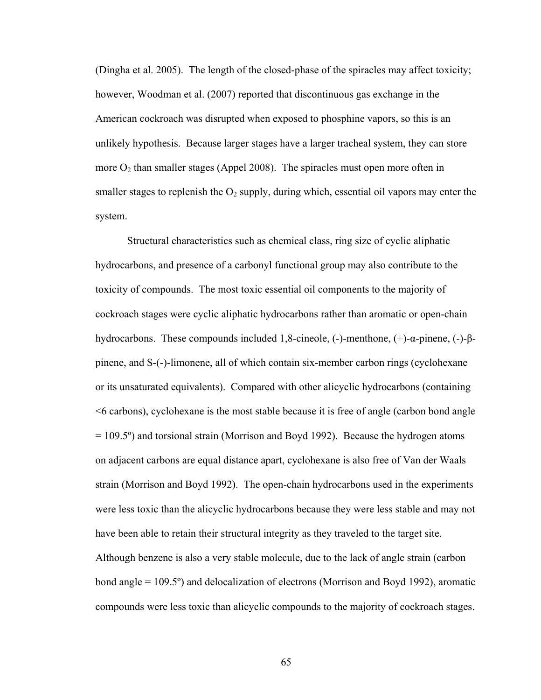(Dingha et al. 2005). The length of the closed-phase of the spiracles may affect toxicity; however, Woodman et al. (2007) reported that discontinuous gas exchange in the American cockroach was disrupted when exposed to phosphine vapors, so this is an unlikely hypothesis. Because larger stages have a larger tracheal system, they can store more  $O_2$  than smaller stages (Appel 2008). The spiracles must open more often in smaller stages to replenish the  $O_2$  supply, during which, essential oil vapors may enter the system.

Structural characteristics such as chemical class, ring size of cyclic aliphatic hydrocarbons, and presence of a carbonyl functional group may also contribute to the toxicity of compounds. The most toxic essential oil components to the majority of cockroach stages were cyclic aliphatic hydrocarbons rather than aromatic or open-chain hydrocarbons. These compounds included 1,8-cineole, (-)-menthone, (+)-α-pinene, (-)-βpinene, and S-(-)-limonene, all of which contain six-member carbon rings (cyclohexane or its unsaturated equivalents). Compared with other alicyclic hydrocarbons (containing <6 carbons), cyclohexane is the most stable because it is free of angle (carbon bond angle = 109.5º) and torsional strain (Morrison and Boyd 1992). Because the hydrogen atoms on adjacent carbons are equal distance apart, cyclohexane is also free of Van der Waals strain (Morrison and Boyd 1992). The open-chain hydrocarbons used in the experiments were less toxic than the alicyclic hydrocarbons because they were less stable and may not have been able to retain their structural integrity as they traveled to the target site. Although benzene is also a very stable molecule, due to the lack of angle strain (carbon bond angle = 109.5º) and delocalization of electrons (Morrison and Boyd 1992), aromatic

compounds were less toxic than alicyclic compounds to the majority of cockroach stages.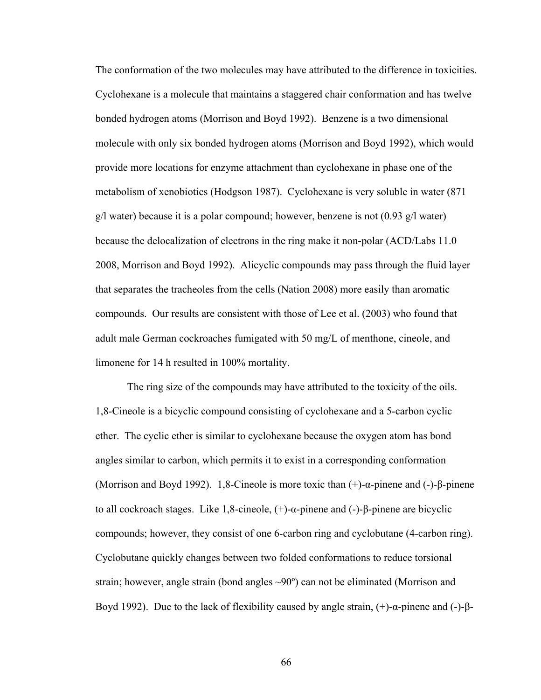The conformation of the two molecules may have attributed to the difference in toxicities. Cyclohexane is a molecule that maintains a staggered chair conformation and has twelve bonded hydrogen atoms (Morrison and Boyd 1992). Benzene is a two dimensional molecule with only six bonded hydrogen atoms (Morrison and Boyd 1992), which would provide more locations for enzyme attachment than cyclohexane in phase one of the metabolism of xenobiotics (Hodgson 1987). Cyclohexane is very soluble in water (871  $g/l$  water) because it is a polar compound; however, benzene is not  $(0.93 \text{ g/l water})$ because the delocalization of electrons in the ring make it non-polar (ACD/Labs 11.0 2008, Morrison and Boyd 1992). Alicyclic compounds may pass through the fluid layer that separates the tracheoles from the cells (Nation 2008) more easily than aromatic compounds. Our results are consistent with those of Lee et al. (2003) who found that adult male German cockroaches fumigated with 50 mg/L of menthone, cineole, and limonene for 14 h resulted in 100% mortality.

The ring size of the compounds may have attributed to the toxicity of the oils. 1,8-Cineole is a bicyclic compound consisting of cyclohexane and a 5-carbon cyclic ether. The cyclic ether is similar to cyclohexane because the oxygen atom has bond angles similar to carbon, which permits it to exist in a corresponding conformation (Morrison and Boyd 1992). 1,8-Cineole is more toxic than (+)-α-pinene and (-)-β-pinene to all cockroach stages. Like 1,8-cineole, (+)-α-pinene and (-)-β-pinene are bicyclic compounds; however, they consist of one 6-carbon ring and cyclobutane (4-carbon ring). Cyclobutane quickly changes between two folded conformations to reduce torsional strain; however, angle strain (bond angles ~90º) can not be eliminated (Morrison and Boyd 1992). Due to the lack of flexibility caused by angle strain,  $(+)$ -α-pinene and  $(-)$ -β-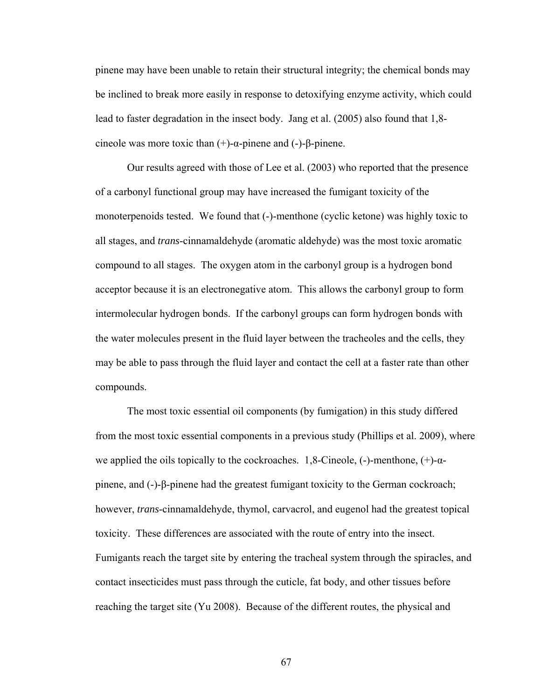pinene may have been unable to retain their structural integrity; the chemical bonds may be inclined to break more easily in response to detoxifying enzyme activity, which could lead to faster degradation in the insect body. Jang et al. (2005) also found that 1,8 cineole was more toxic than  $(+)$ -α-pinene and  $(-)$ -β-pinene.

Our results agreed with those of Lee et al. (2003) who reported that the presence of a carbonyl functional group may have increased the fumigant toxicity of the monoterpenoids tested. We found that (-)-menthone (cyclic ketone) was highly toxic to all stages, and *trans*-cinnamaldehyde (aromatic aldehyde) was the most toxic aromatic compound to all stages. The oxygen atom in the carbonyl group is a hydrogen bond acceptor because it is an electronegative atom. This allows the carbonyl group to form intermolecular hydrogen bonds. If the carbonyl groups can form hydrogen bonds with the water molecules present in the fluid layer between the tracheoles and the cells, they may be able to pass through the fluid layer and contact the cell at a faster rate than other compounds.

The most toxic essential oil components (by fumigation) in this study differed from the most toxic essential components in a previous study (Phillips et al. 2009), where we applied the oils topically to the cockroaches. 1,8-Cineole, (-)-menthone,  $(+)$ - $\alpha$ pinene, and (-)-β-pinene had the greatest fumigant toxicity to the German cockroach; however, *trans*-cinnamaldehyde, thymol, carvacrol, and eugenol had the greatest topical toxicity. These differences are associated with the route of entry into the insect. Fumigants reach the target site by entering the tracheal system through the spiracles, and contact insecticides must pass through the cuticle, fat body, and other tissues before reaching the target site (Yu 2008). Because of the different routes, the physical and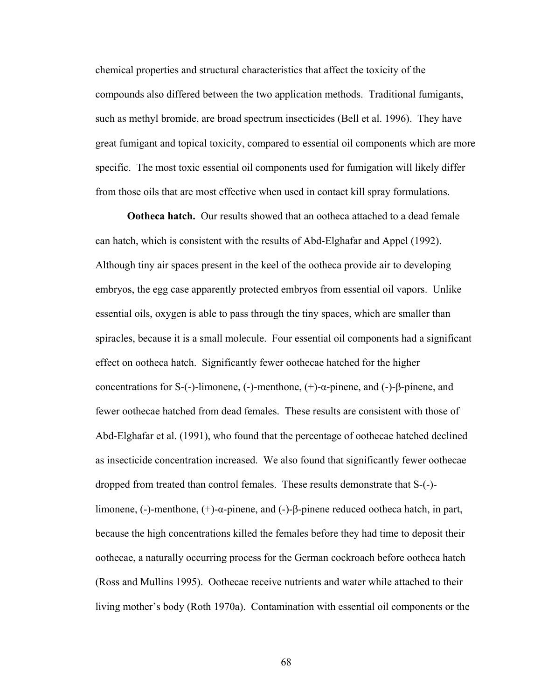chemical properties and structural characteristics that affect the toxicity of the compounds also differed between the two application methods. Traditional fumigants, such as methyl bromide, are broad spectrum insecticides (Bell et al. 1996). They have great fumigant and topical toxicity, compared to essential oil components which are more specific. The most toxic essential oil components used for fumigation will likely differ from those oils that are most effective when used in contact kill spray formulations.

**Ootheca hatch.** Our results showed that an ootheca attached to a dead female can hatch, which is consistent with the results of Abd-Elghafar and Appel (1992). Although tiny air spaces present in the keel of the ootheca provide air to developing embryos, the egg case apparently protected embryos from essential oil vapors. Unlike essential oils, oxygen is able to pass through the tiny spaces, which are smaller than spiracles, because it is a small molecule. Four essential oil components had a significant effect on ootheca hatch. Significantly fewer oothecae hatched for the higher concentrations for S-(-)-limonene, (-)-menthone, (+)-α-pinene, and (-)-β-pinene, and fewer oothecae hatched from dead females. These results are consistent with those of Abd-Elghafar et al. (1991), who found that the percentage of oothecae hatched declined as insecticide concentration increased. We also found that significantly fewer oothecae dropped from treated than control females. These results demonstrate that S-(-) limonene, (-)-menthone, (+)-α-pinene, and (-)-β-pinene reduced ootheca hatch, in part, because the high concentrations killed the females before they had time to deposit their oothecae, a naturally occurring process for the German cockroach before ootheca hatch (Ross and Mullins 1995). Oothecae receive nutrients and water while attached to their living mother's body (Roth 1970a). Contamination with essential oil components or the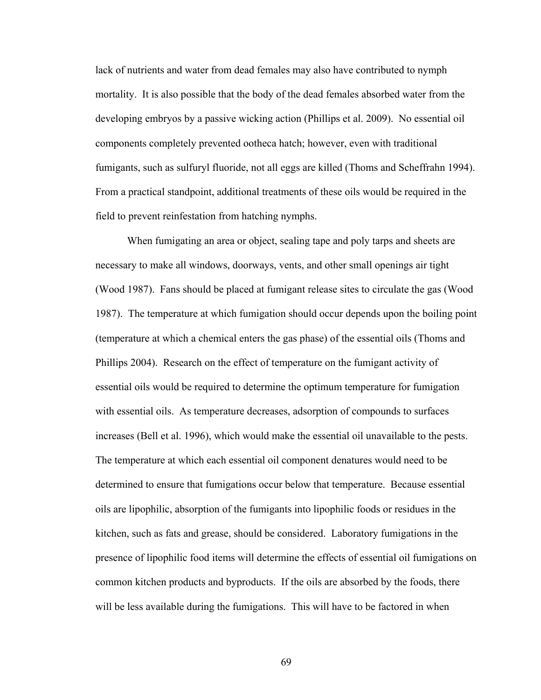lack of nutrients and water from dead females may also have contributed to nymph mortality. It is also possible that the body of the dead females absorbed water from the developing embryos by a passive wicking action (Phillips et al. 2009). No essential oil components completely prevented ootheca hatch; however, even with traditional fumigants, such as sulfuryl fluoride, not all eggs are killed (Thoms and Scheffrahn 1994). From a practical standpoint, additional treatments of these oils would be required in the field to prevent reinfestation from hatching nymphs.

 When fumigating an area or object, sealing tape and poly tarps and sheets are necessary to make all windows, doorways, vents, and other small openings air tight (Wood 1987). Fans should be placed at fumigant release sites to circulate the gas (Wood 1987). The temperature at which fumigation should occur depends upon the boiling point (temperature at which a chemical enters the gas phase) of the essential oils (Thoms and Phillips 2004). Research on the effect of temperature on the fumigant activity of essential oils would be required to determine the optimum temperature for fumigation with essential oils. As temperature decreases, adsorption of compounds to surfaces increases (Bell et al. 1996), which would make the essential oil unavailable to the pests. The temperature at which each essential oil component denatures would need to be determined to ensure that fumigations occur below that temperature. Because essential oils are lipophilic, absorption of the fumigants into lipophilic foods or residues in the kitchen, such as fats and grease, should be considered. Laboratory fumigations in the presence of lipophilic food items will determine the effects of essential oil fumigations on common kitchen products and byproducts. If the oils are absorbed by the foods, there will be less available during the fumigations. This will have to be factored in when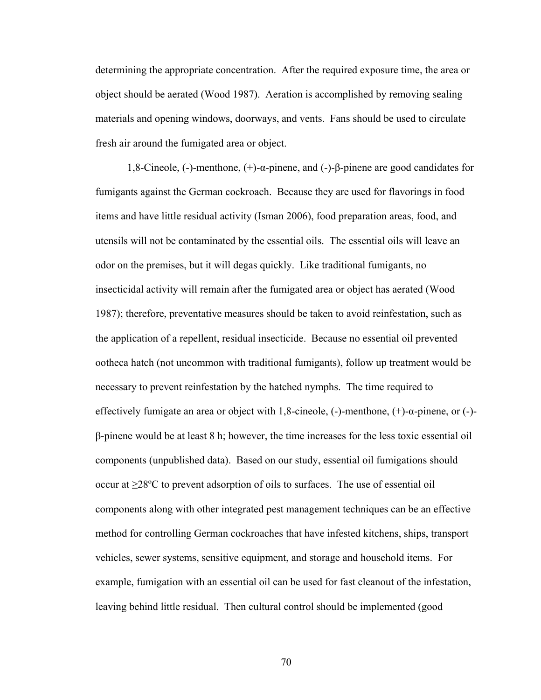determining the appropriate concentration. After the required exposure time, the area or object should be aerated (Wood 1987). Aeration is accomplished by removing sealing materials and opening windows, doorways, and vents. Fans should be used to circulate fresh air around the fumigated area or object.

1,8-Cineole, (-)-menthone, (+)-α-pinene, and (-)-β-pinene are good candidates for fumigants against the German cockroach. Because they are used for flavorings in food items and have little residual activity (Isman 2006), food preparation areas, food, and utensils will not be contaminated by the essential oils. The essential oils will leave an odor on the premises, but it will degas quickly. Like traditional fumigants, no insecticidal activity will remain after the fumigated area or object has aerated (Wood 1987); therefore, preventative measures should be taken to avoid reinfestation, such as the application of a repellent, residual insecticide. Because no essential oil prevented ootheca hatch (not uncommon with traditional fumigants), follow up treatment would be necessary to prevent reinfestation by the hatched nymphs.The time required to effectively fumigate an area or object with 1,8-cineole, (-)-menthone, (+)-α-pinene, or (-) β-pinene would be at least 8 h; however, the time increases for the less toxic essential oil components (unpublished data). Based on our study, essential oil fumigations should occur at ≥28ºC to prevent adsorption of oils to surfaces. The use of essential oil components along with other integrated pest management techniques can be an effective method for controlling German cockroaches that have infested kitchens, ships, transport vehicles, sewer systems, sensitive equipment, and storage and household items. For example, fumigation with an essential oil can be used for fast cleanout of the infestation, leaving behind little residual. Then cultural control should be implemented (good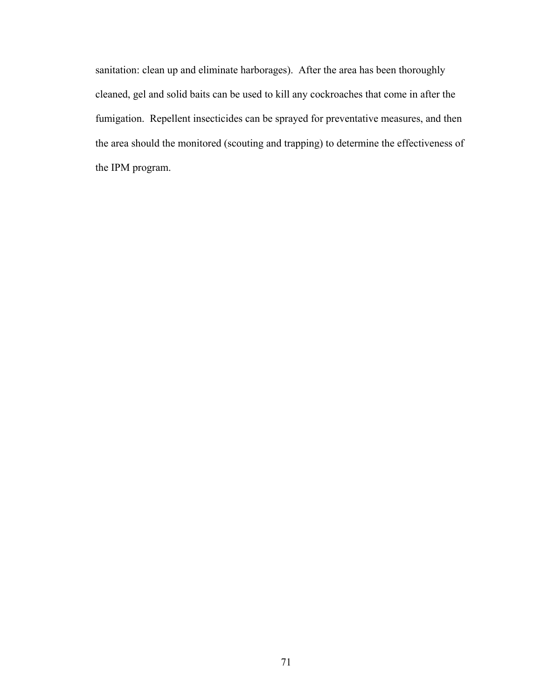sanitation: clean up and eliminate harborages). After the area has been thoroughly cleaned, gel and solid baits can be used to kill any cockroaches that come in after the fumigation. Repellent insecticides can be sprayed for preventative measures, and then the area should the monitored (scouting and trapping) to determine the effectiveness of the IPM program.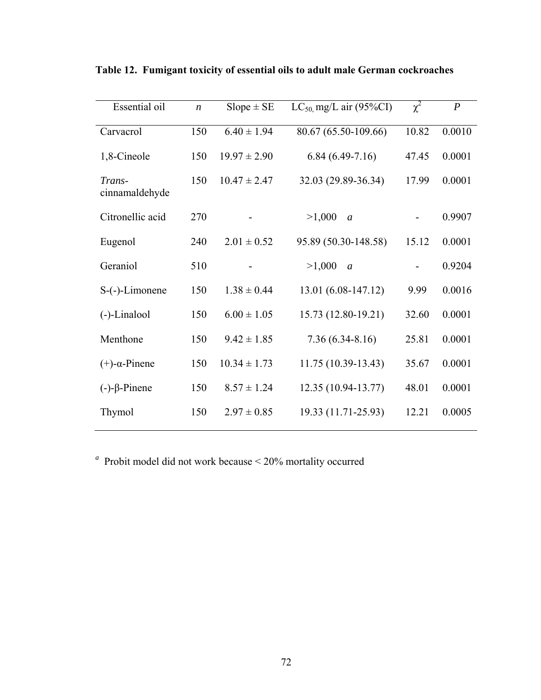| $\boldsymbol{n}$ | $Slope \pm SE$   | $LC_{50}$ mg/L air (95%CI) | $\chi^2$ | $\boldsymbol{P}$ |
|------------------|------------------|----------------------------|----------|------------------|
| 150              | $6.40 \pm 1.94$  | 80.67 (65.50-109.66)       | 10.82    | 0.0010           |
| 150              | $19.97 \pm 2.90$ | $6.84(6.49-7.16)$          | 47.45    | 0.0001           |
| 150              | $10.47 \pm 2.47$ | 32.03 (29.89-36.34)        | 17.99    | 0.0001           |
| 270              |                  | >1,000<br>$\mathfrak{a}$   |          | 0.9907           |
| 240              | $2.01 \pm 0.52$  | 95.89 (50.30-148.58)       | 15.12    | 0.0001           |
| 510              |                  | >1,000<br>$\mathfrak a$    |          | 0.9204           |
| 150              | $1.38 \pm 0.44$  | 13.01 (6.08-147.12)        | 9.99     | 0.0016           |
| 150              | $6.00 \pm 1.05$  | 15.73 (12.80-19.21)        | 32.60    | 0.0001           |
| 150              | $9.42 \pm 1.85$  | $7.36(6.34 - 8.16)$        | 25.81    | 0.0001           |
| 150              | $10.34 \pm 1.73$ | 11.75 (10.39-13.43)        | 35.67    | 0.0001           |
| 150              | $8.57 \pm 1.24$  | 12.35 (10.94-13.77)        | 48.01    | 0.0001           |
| 150              | $2.97 \pm 0.85$  | 19.33 (11.71-25.93)        | 12.21    | 0.0005           |
|                  |                  |                            |          |                  |

**Table 12. Fumigant toxicity of essential oils to adult male German cockroaches**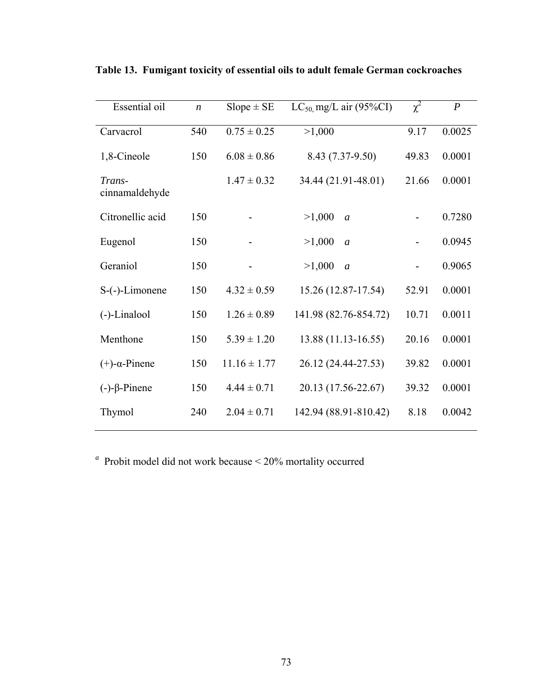| Essential oil            | $\boldsymbol{n}$ | $Slope \pm SE$   | $LC_{50}$ mg/L air (95%CI) | $\chi^2$ | $\boldsymbol{P}$ |
|--------------------------|------------------|------------------|----------------------------|----------|------------------|
| Carvacrol                | 540              | $0.75 \pm 0.25$  | >1,000                     | 9.17     | 0.0025           |
| 1,8-Cineole              | 150              | $6.08 \pm 0.86$  | 8.43 (7.37-9.50)           | 49.83    | 0.0001           |
| Trans-<br>cinnamaldehyde |                  | $1.47 \pm 0.32$  | 34.44 (21.91-48.01)        | 21.66    | 0.0001           |
| Citronellic acid         | 150              |                  | >1,000<br>$\overline{a}$   |          | 0.7280           |
| Eugenol                  | 150              |                  | >1,000<br>$\overline{a}$   |          | 0.0945           |
| Geraniol                 | 150              |                  | >1,000<br>$\overline{a}$   |          | 0.9065           |
| $S$ - $(-)$ -Limonene    | 150              | $4.32 \pm 0.59$  | 15.26 (12.87-17.54)        | 52.91    | 0.0001           |
| $(-)$ -Linalool          | 150              | $1.26 \pm 0.89$  | 141.98 (82.76-854.72)      | 10.71    | 0.0011           |
| Menthone                 | 150              | $5.39 \pm 1.20$  | 13.88 (11.13-16.55)        | 20.16    | 0.0001           |
| $(+)$ - $\alpha$ -Pinene | 150              | $11.16 \pm 1.77$ | 26.12 (24.44-27.53)        | 39.82    | 0.0001           |
| $(-)-\beta$ -Pinene      | 150              | $4.44 \pm 0.71$  | 20.13 (17.56-22.67)        | 39.32    | 0.0001           |
| Thymol                   | 240              | $2.04 \pm 0.71$  | 142.94 (88.91-810.42)      | 8.18     | 0.0042           |

**Table 13. Fumigant toxicity of essential oils to adult female German cockroaches**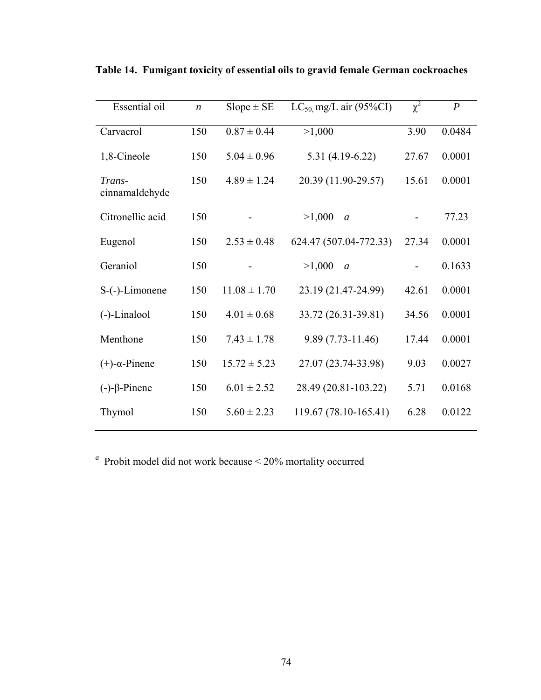| Essential oil            | $\boldsymbol{n}$ | $Slope \pm SE$   | $LC_{50}$ mg/L air (95%CI) | $\chi^2$ | $\boldsymbol{P}$ |
|--------------------------|------------------|------------------|----------------------------|----------|------------------|
| Carvacrol                | 150              | $0.87 \pm 0.44$  | >1,000                     | 3.90     | 0.0484           |
| 1,8-Cineole              | 150              | $5.04 \pm 0.96$  | $5.31(4.19-6.22)$          | 27.67    | 0.0001           |
| Trans-<br>cinnamaldehyde | 150              | $4.89 \pm 1.24$  | 20.39 (11.90-29.57)        | 15.61    | 0.0001           |
| Citronellic acid         | 150              |                  | >1,000<br>$\boldsymbol{a}$ |          | 77.23            |
| Eugenol                  | 150              | $2.53 \pm 0.48$  | 624.47 (507.04-772.33)     | 27.34    | 0.0001           |
| Geraniol                 | 150              |                  | >1,000<br>$\mathfrak{a}$   |          | 0.1633           |
| $S$ - $(-)$ -Limonene    | 150              | $11.08 \pm 1.70$ | 23.19 (21.47-24.99)        | 42.61    | 0.0001           |
| $(-)$ -Linalool          | 150              | $4.01 \pm 0.68$  | 33.72 (26.31-39.81)        | 34.56    | 0.0001           |
| Menthone                 | 150              | $7.43 \pm 1.78$  | 9.89 (7.73-11.46)          | 17.44    | 0.0001           |
| $(+)$ - $\alpha$ -Pinene | 150              | $15.72 \pm 5.23$ | 27.07 (23.74-33.98)        | 9.03     | 0.0027           |
| $(-)-\beta$ -Pinene      | 150              | $6.01 \pm 2.52$  | 28.49 (20.81-103.22)       | 5.71     | 0.0168           |
| Thymol                   | 150              | $5.60 \pm 2.23$  | 119.67 (78.10-165.41)      | 6.28     | 0.0122           |

**Table 14. Fumigant toxicity of essential oils to gravid female German cockroaches**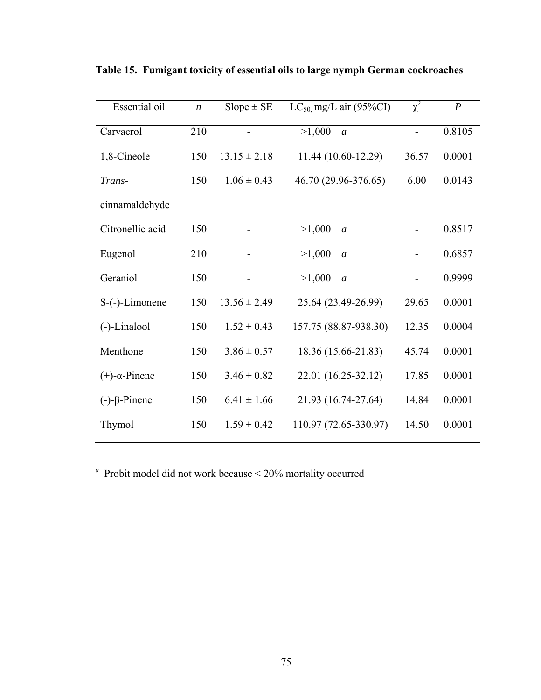| Essential oil            | $\boldsymbol{n}$ | $Slope \pm SE$   | $LC_{50}$ mg/L air (95%CI) | $\chi^2$                 | $\boldsymbol{P}$ |
|--------------------------|------------------|------------------|----------------------------|--------------------------|------------------|
| Carvacrol                | 210              |                  | >1,000<br>$\mathfrak{a}$   | $\overline{\phantom{0}}$ | 0.8105           |
| 1,8-Cineole              | 150              | $13.15 \pm 2.18$ | 11.44 (10.60-12.29)        | 36.57                    | 0.0001           |
| Trans-                   | 150              | $1.06 \pm 0.43$  | 46.70 (29.96-376.65)       | 6.00                     | 0.0143           |
| cinnamaldehyde           |                  |                  |                            |                          |                  |
| Citronellic acid         | 150              |                  | >1,000<br>$\mathfrak{a}$   |                          | 0.8517           |
| Eugenol                  | 210              |                  | >1,000<br>$\mathfrak{a}$   |                          | 0.6857           |
| Geraniol                 | 150              |                  | >1,000<br>$\mathfrak{a}$   | $\overline{\phantom{0}}$ | 0.9999           |
| $S$ -(-)-Limonene        | 150              | $13.56 \pm 2.49$ | 25.64 (23.49-26.99)        | 29.65                    | 0.0001           |
| (-)-Linalool             | 150              | $1.52 \pm 0.43$  | 157.75 (88.87-938.30)      | 12.35                    | 0.0004           |
| Menthone                 | 150              | $3.86 \pm 0.57$  | 18.36 (15.66-21.83)        | 45.74                    | 0.0001           |
| $(+)$ - $\alpha$ -Pinene | 150              | $3.46 \pm 0.82$  | 22.01 (16.25-32.12)        | 17.85                    | 0.0001           |
| $(-)-\beta$ -Pinene      | 150              | $6.41 \pm 1.66$  | 21.93 (16.74-27.64)        | 14.84                    | 0.0001           |
| Thymol                   | 150              | $1.59 \pm 0.42$  | 110.97 (72.65-330.97)      | 14.50                    | 0.0001           |

**Table 15. Fumigant toxicity of essential oils to large nymph German cockroaches**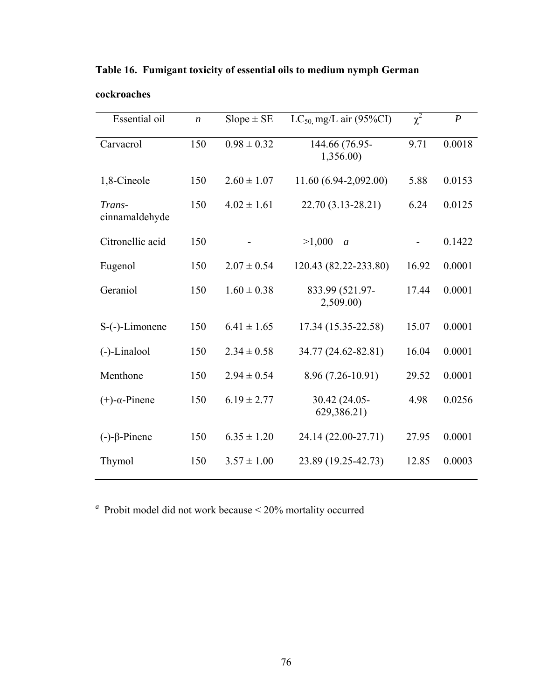| Essential oil            | $\boldsymbol{n}$ | $Slope \pm SE$  | $LC_{50}$ mg/L air (95%CI)   | $\chi^2$ | $\boldsymbol{P}$ |
|--------------------------|------------------|-----------------|------------------------------|----------|------------------|
| Carvacrol                | 150              | $0.98 \pm 0.32$ | 144.66 (76.95-<br>1,356.00)  | 9.71     | 0.0018           |
| 1,8-Cineole              | 150              | $2.60 \pm 1.07$ | 11.60 (6.94-2,092.00)        | 5.88     | 0.0153           |
| Trans-<br>cinnamaldehyde | 150              | $4.02 \pm 1.61$ | 22.70 (3.13-28.21)           | 6.24     | 0.0125           |
| Citronellic acid         | 150              |                 | >1,000<br>$\boldsymbol{a}$   |          | 0.1422           |
| Eugenol                  | 150              | $2.07 \pm 0.54$ | 120.43 (82.22-233.80)        | 16.92    | 0.0001           |
| Geraniol                 | 150              | $1.60 \pm 0.38$ | 833.99 (521.97-<br>2,509.00) | 17.44    | 0.0001           |
| $S$ - $(-)$ -Limonene    | 150              | $6.41 \pm 1.65$ | 17.34 (15.35-22.58)          | 15.07    | 0.0001           |
| $(-)$ -Linalool          | 150              | $2.34 \pm 0.58$ | 34.77 (24.62-82.81)          | 16.04    | 0.0001           |
| Menthone                 | 150              | $2.94 \pm 0.54$ | 8.96 (7.26-10.91)            | 29.52    | 0.0001           |
| $(+)$ - $\alpha$ -Pinene | 150              | $6.19 \pm 2.77$ | 30.42 (24.05-<br>629,386.21) | 4.98     | 0.0256           |
| $(-)-\beta$ -Pinene      | 150              | $6.35 \pm 1.20$ | 24.14 (22.00-27.71)          | 27.95    | 0.0001           |
| Thymol                   | 150              | $3.57 \pm 1.00$ | 23.89 (19.25-42.73)          | 12.85    | 0.0003           |

**Table 16. Fumigant toxicity of essential oils to medium nymph German** 

**cockroaches**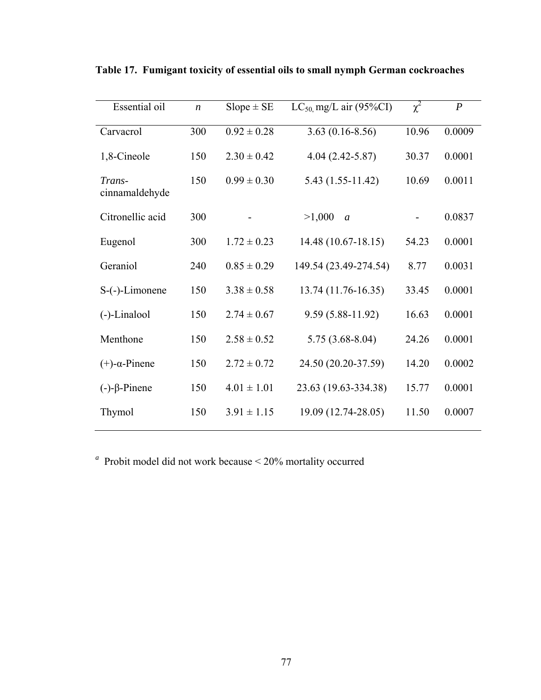| Essential oil            | $\boldsymbol{n}$ | $Slope \pm SE$  | $LC_{50}$ mg/L air (95%CI) | $\chi^2$ | $\boldsymbol{P}$ |
|--------------------------|------------------|-----------------|----------------------------|----------|------------------|
| Carvacrol                | 300              | $0.92 \pm 0.28$ | $3.63(0.16 - 8.56)$        | 10.96    | 0.0009           |
| 1,8-Cineole              | 150              | $2.30 \pm 0.42$ | $4.04(2.42 - 5.87)$        | 30.37    | 0.0001           |
| Trans-<br>cinnamaldehyde | 150              | $0.99 \pm 0.30$ | $5.43(1.55-11.42)$         | 10.69    | 0.0011           |
| Citronellic acid         | 300              |                 | >1,000<br>$\boldsymbol{a}$ |          | 0.0837           |
| Eugenol                  | 300              | $1.72 \pm 0.23$ | 14.48 (10.67-18.15)        | 54.23    | 0.0001           |
| Geraniol                 | 240              | $0.85 \pm 0.29$ | 149.54 (23.49-274.54)      | 8.77     | 0.0031           |
| $S$ -(-)-Limonene        | 150              | $3.38 \pm 0.58$ | 13.74 (11.76-16.35)        | 33.45    | 0.0001           |
| $(-)$ -Linalool          | 150              | $2.74 \pm 0.67$ | $9.59(5.88 - 11.92)$       | 16.63    | 0.0001           |
| Menthone                 | 150              | $2.58 \pm 0.52$ | $5.75(3.68 - 8.04)$        | 24.26    | 0.0001           |
| $(+)$ - $\alpha$ -Pinene | 150              | $2.72 \pm 0.72$ | 24.50 (20.20-37.59)        | 14.20    | 0.0002           |
| $(-)-\beta$ -Pinene      | 150              | $4.01 \pm 1.01$ | 23.63 (19.63-334.38)       | 15.77    | 0.0001           |
| Thymol                   | 150              | $3.91 \pm 1.15$ | 19.09 (12.74-28.05)        | 11.50    | 0.0007           |

**Table 17. Fumigant toxicity of essential oils to small nymph German cockroaches**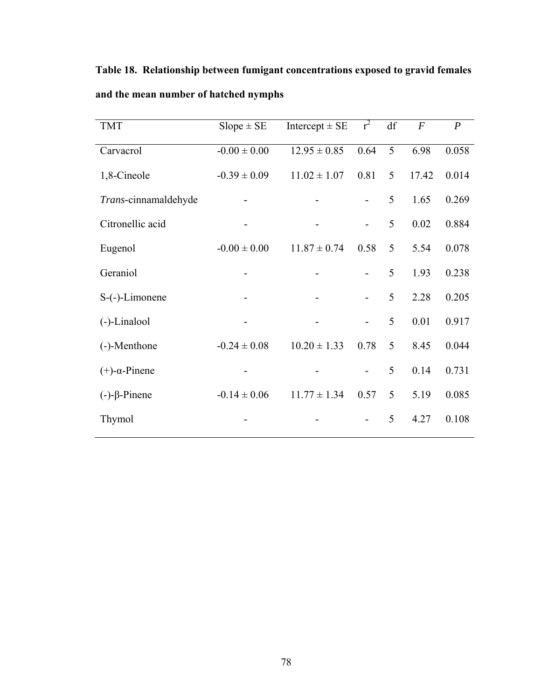| <b>TMT</b>               | $Slope \pm SE$   | Intercept $\pm$ SE | $r^2$                    | df | $\overline{F}$ | $\boldsymbol{P}$ |
|--------------------------|------------------|--------------------|--------------------------|----|----------------|------------------|
| Carvacrol                | $-0.00 \pm 0.00$ | $12.95 \pm 0.85$   | 0.64                     | 5  | 6.98           | 0.058            |
| 1,8-Cineole              | $-0.39 \pm 0.09$ | $11.02 \pm 1.07$   | 0.81                     | 5  | 17.42          | 0.014            |
| Trans-cinnamaldehyde     |                  |                    |                          | 5  | 1.65           | 0.269            |
| Citronellic acid         |                  |                    | $\overline{\phantom{0}}$ | 5  | 0.02           | 0.884            |
| Eugenol                  | $-0.00 \pm 0.00$ | $11.87 \pm 0.74$   | 0.58                     | 5  | 5.54           | 0.078            |
| Geraniol                 |                  |                    | $\overline{\phantom{0}}$ | 5  | 1.93           | 0.238            |
| $S$ -(-)-Limonene        |                  |                    | $\overline{\phantom{0}}$ | 5  | 2.28           | 0.205            |
| (-)-Linalool             |                  |                    | -                        | 5  | 0.01           | 0.917            |
| (-)-Menthone             | $-0.24 \pm 0.08$ | $10.20 \pm 1.33$   | 0.78                     | 5  | 8.45           | 0.044            |
| $(+)$ - $\alpha$ -Pinene |                  |                    |                          | 5  | 0.14           | 0.731            |
| $(-)-\beta$ -Pinene      | $-0.14 \pm 0.06$ | $11.77 \pm 1.34$   | 0.57                     | 5  | 5.19           | 0.085            |
| Thymol                   |                  |                    |                          | 5  | 4.27           | 0.108            |

**Table 18. Relationship between fumigant concentrations exposed to gravid females and the mean number of hatched nymphs**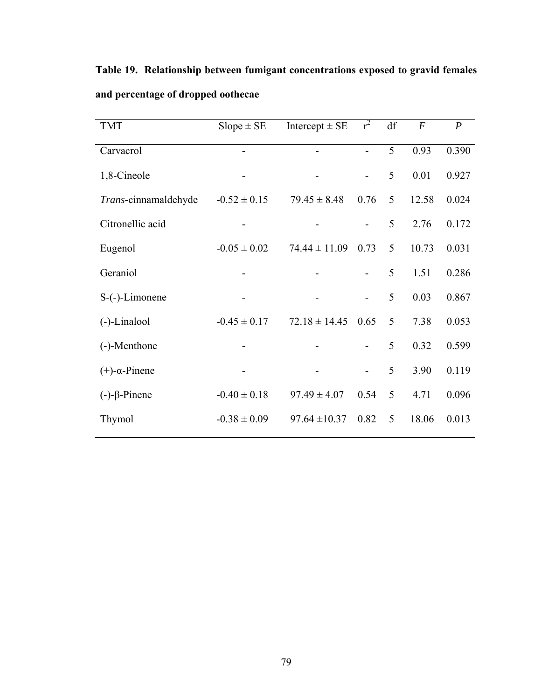**Table 19. Relationship between fumigant concentrations exposed to gravid females and percentage of dropped oothecae** 

| <b>TMT</b>               | $Slope \pm SE$   | Intercept $\pm$ SE | $r^2$                    | df | $\,F$ | $\boldsymbol{P}$ |
|--------------------------|------------------|--------------------|--------------------------|----|-------|------------------|
| Carvacrol                |                  |                    | $\overline{a}$           | 5  | 0.93  | 0.390            |
| 1,8-Cineole              |                  |                    | $\overline{\phantom{0}}$ | 5  | 0.01  | 0.927            |
| Trans-cinnamaldehyde     | $-0.52 \pm 0.15$ | $79.45 \pm 8.48$   | 0.76                     | 5  | 12.58 | 0.024            |
| Citronellic acid         |                  |                    |                          | 5  | 2.76  | 0.172            |
| Eugenol                  | $-0.05 \pm 0.02$ | $74.44 \pm 11.09$  | 0.73                     | 5  | 10.73 | 0.031            |
| Geraniol                 |                  |                    |                          | 5  | 1.51  | 0.286            |
| S-(-)-Limonene           |                  |                    | $\overline{\phantom{0}}$ | 5  | 0.03  | 0.867            |
| (-)-Linalool             | $-0.45 \pm 0.17$ | $72.18 \pm 14.45$  | 0.65                     | 5  | 7.38  | 0.053            |
| (-)-Menthone             |                  |                    |                          | 5  | 0.32  | 0.599            |
| $(+)$ - $\alpha$ -Pinene |                  |                    | $\overline{\phantom{0}}$ | 5  | 3.90  | 0.119            |
| $(-)-\beta$ -Pinene      | $-0.40 \pm 0.18$ | $97.49 \pm 4.07$   | 0.54                     | 5  | 4.71  | 0.096            |
| Thymol                   | $-0.38 \pm 0.09$ | $97.64 \pm 10.37$  | 0.82                     | 5  | 18.06 | 0.013            |
|                          |                  |                    |                          |    |       |                  |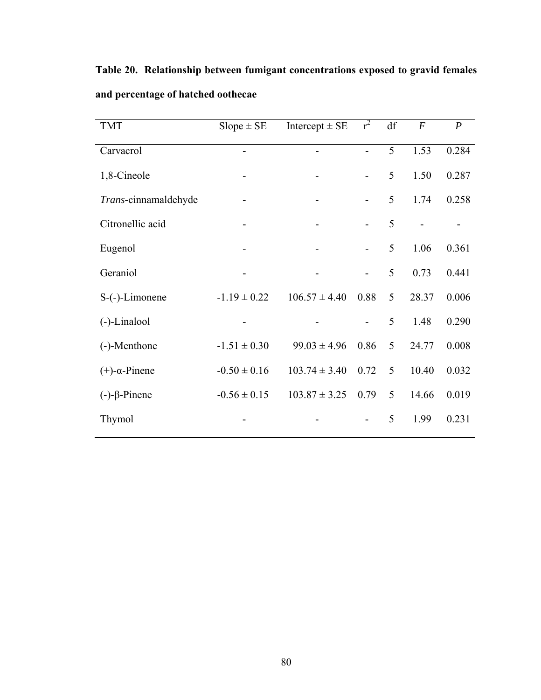| <b>TMT</b>               | $Slope \pm SE$   | Intercept $\pm$ SE | $r^2$                    | df | $\boldsymbol{F}$ | $\boldsymbol{P}$ |
|--------------------------|------------------|--------------------|--------------------------|----|------------------|------------------|
| Carvacrol                |                  |                    | $\overline{\phantom{0}}$ | 5  | 1.53             | 0.284            |
| 1,8-Cineole              |                  |                    | $\overline{\phantom{0}}$ | 5  | 1.50             | 0.287            |
| Trans-cinnamaldehyde     |                  |                    | -                        | 5  | 1.74             | 0.258            |
| Citronellic acid         |                  |                    |                          | 5  |                  |                  |
| Eugenol                  |                  |                    | $\overline{\phantom{0}}$ | 5  | 1.06             | 0.361            |
| Geraniol                 |                  |                    | $\overline{a}$           | 5  | 0.73             | 0.441            |
| $S$ -(-)-Limonene        | $-1.19 \pm 0.22$ | $106.57 \pm 4.40$  | 0.88                     | 5  | 28.37            | 0.006            |
| (-)-Linalool             |                  |                    |                          | 5  | 1.48             | 0.290            |
| (-)-Menthone             | $-1.51 \pm 0.30$ | $99.03 \pm 4.96$   | 0.86                     | 5  | 24.77            | 0.008            |
| $(+)$ - $\alpha$ -Pinene | $-0.50 \pm 0.16$ | $103.74 \pm 3.40$  | 0.72                     | 5  | 10.40            | 0.032            |
| $(-)-\beta$ -Pinene      | $-0.56 \pm 0.15$ | $103.87 \pm 3.25$  | 0.79                     | 5  | 14.66            | 0.019            |

Thymol - - - 5 1.99 0.231

**Table 20. Relationship between fumigant concentrations exposed to gravid females and percentage of hatched oothecae**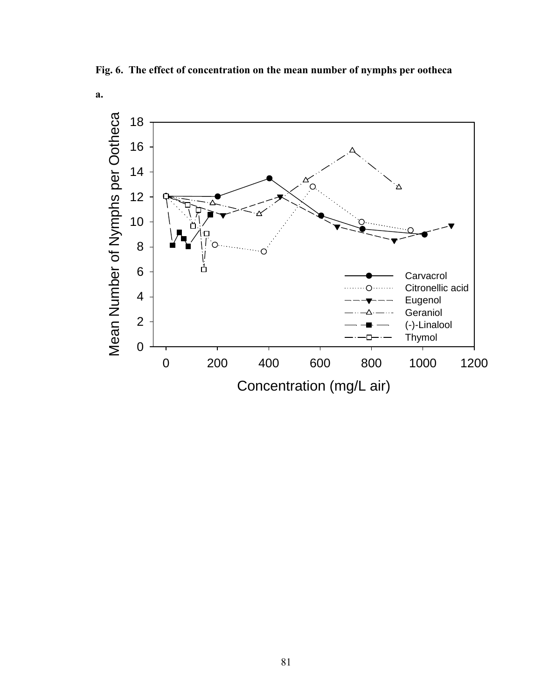**Fig. 6. The effect of concentration on the mean number of nymphs per ootheca** 

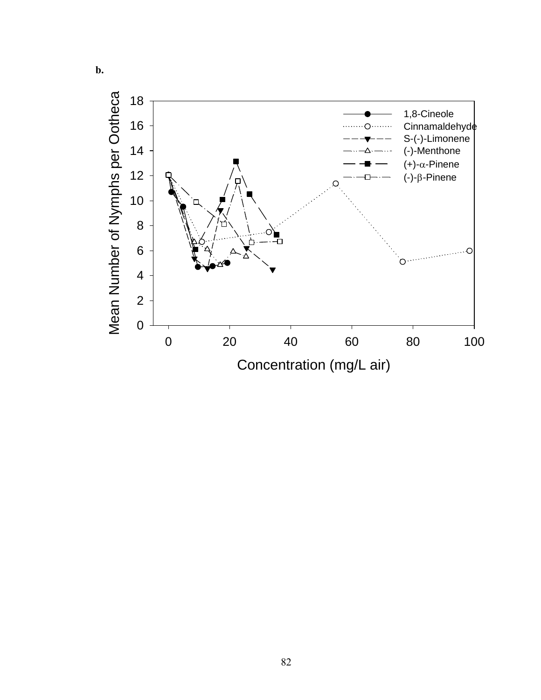

**b.**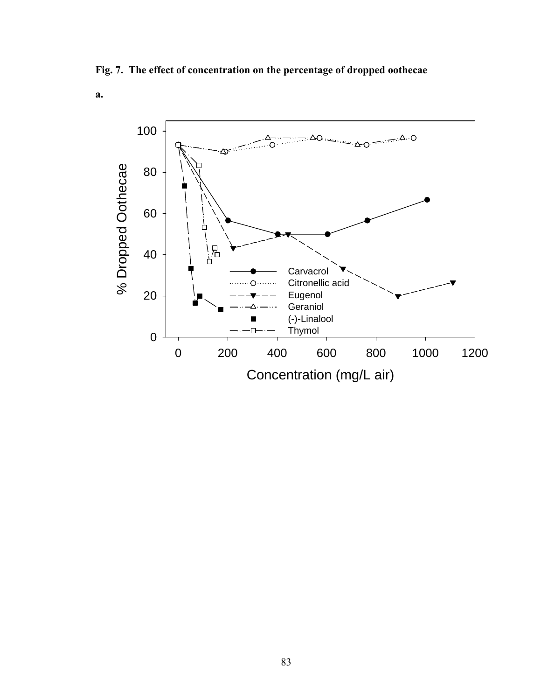**Fig. 7. The effect of concentration on the percentage of dropped oothecae** 

**a.**

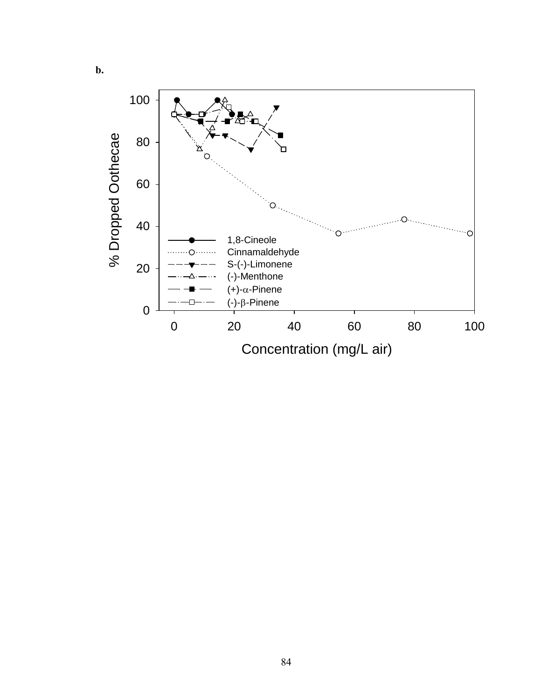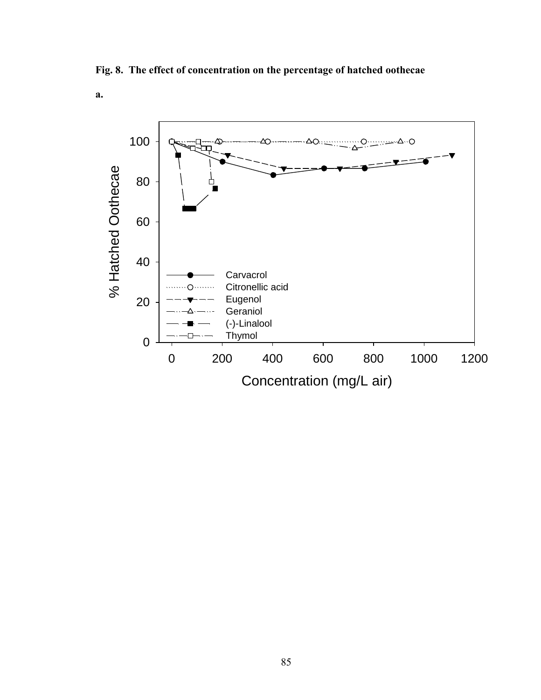**Fig. 8. The effect of concentration on the percentage of hatched oothecae** 

**a.**

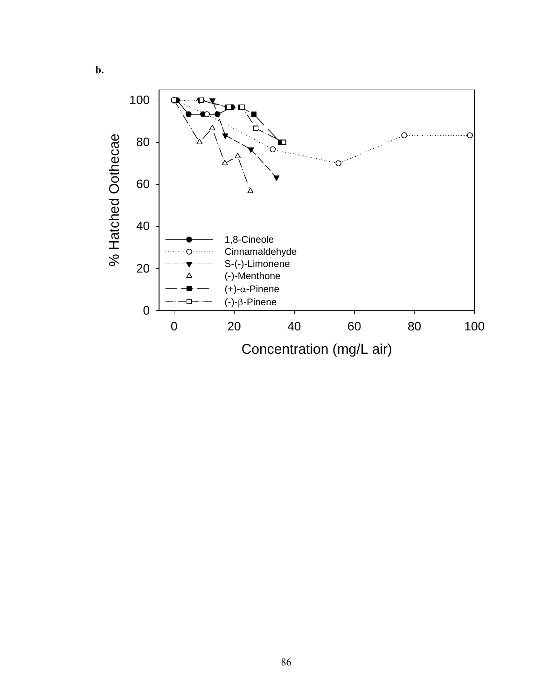

**b.**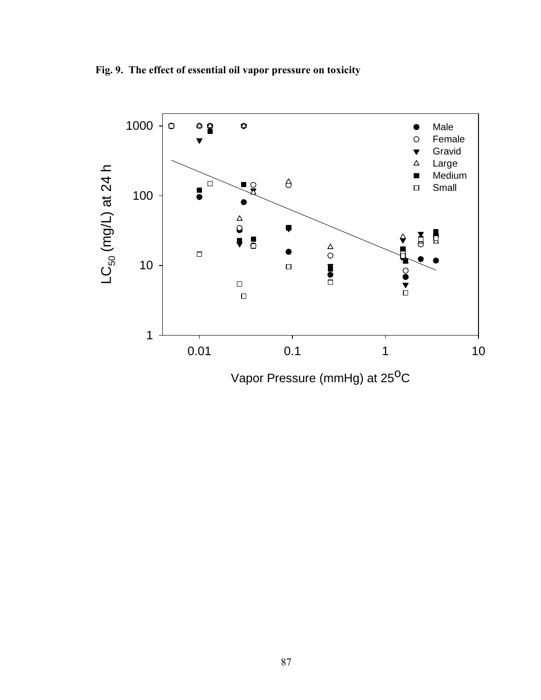**Fig. 9. The effect of essential oil vapor pressure on toxicity** 

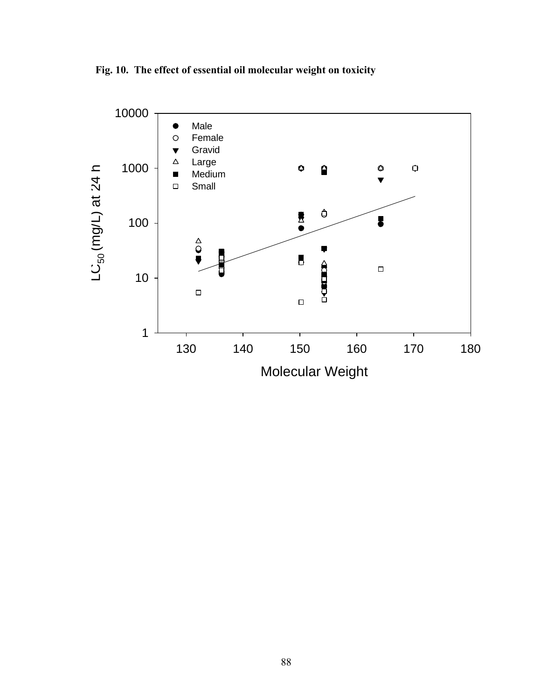**Fig. 10. The effect of essential oil molecular weight on toxicity** 

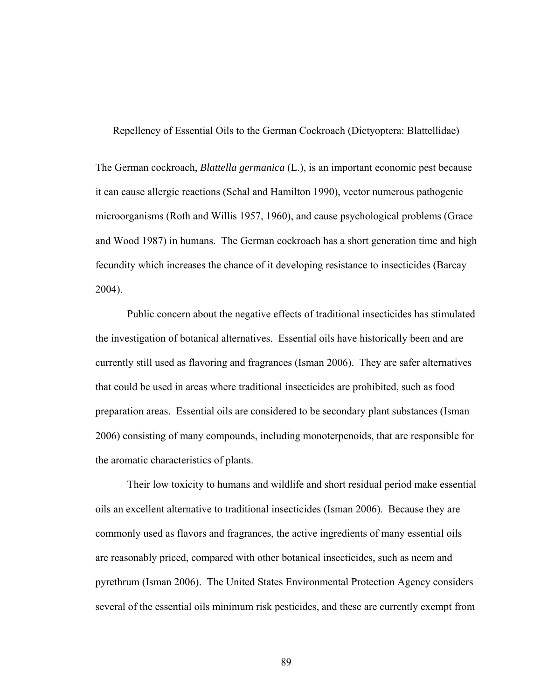Repellency of Essential Oils to the German Cockroach (Dictyoptera: Blattellidae)

The German cockroach, *Blattella germanica* (L.), is an important economic pest because it can cause allergic reactions (Schal and Hamilton 1990), vector numerous pathogenic microorganisms (Roth and Willis 1957, 1960), and cause psychological problems (Grace and Wood 1987) in humans. The German cockroach has a short generation time and high fecundity which increases the chance of it developing resistance to insecticides (Barcay 2004).

 Public concern about the negative effects of traditional insecticides has stimulated the investigation of botanical alternatives. Essential oils have historically been and are currently still used as flavoring and fragrances (Isman 2006). They are safer alternatives that could be used in areas where traditional insecticides are prohibited, such as food preparation areas. Essential oils are considered to be secondary plant substances (Isman 2006) consisting of many compounds, including monoterpenoids, that are responsible for the aromatic characteristics of plants.

Their low toxicity to humans and wildlife and short residual period make essential oils an excellent alternative to traditional insecticides (Isman 2006). Because they are commonly used as flavors and fragrances, the active ingredients of many essential oils are reasonably priced, compared with other botanical insecticides, such as neem and pyrethrum (Isman 2006). The United States Environmental Protection Agency considers several of the essential oils minimum risk pesticides, and these are currently exempt from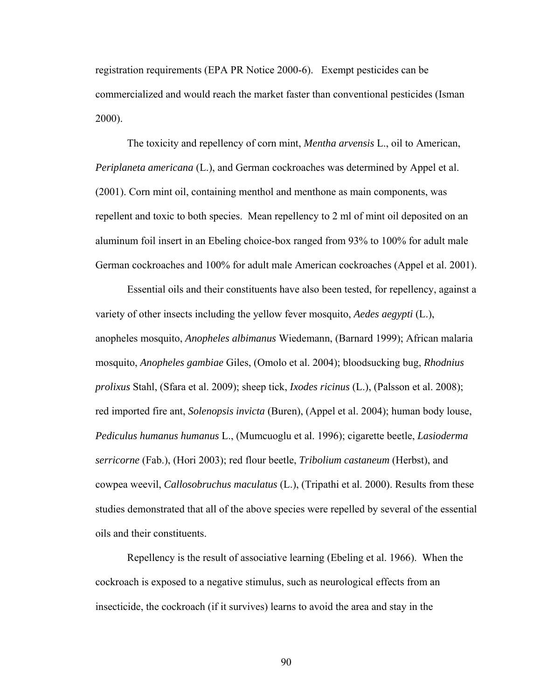registration requirements (EPA PR Notice 2000-6). Exempt pesticides can be commercialized and would reach the market faster than conventional pesticides (Isman 2000).

The toxicity and repellency of corn mint, *Mentha arvensis* L., oil to American, *Periplaneta americana* (L.), and German cockroaches was determined by Appel et al. (2001). Corn mint oil, containing menthol and menthone as main components, was repellent and toxic to both species.Mean repellency to 2 ml of mint oil deposited on an aluminum foil insert in an Ebeling choice-box ranged from 93% to 100% for adult male German cockroaches and 100% for adult male American cockroaches (Appel et al. 2001).

Essential oils and their constituents have also been tested, for repellency, against a variety of other insects including the yellow fever mosquito, *Aedes aegypti* (L.), anopheles mosquito, *Anopheles albimanus* Wiedemann, (Barnard 1999); African malaria mosquito, *Anopheles gambiae* Giles, (Omolo et al. 2004); bloodsucking bug, *Rhodnius prolixus* Stahl, (Sfara et al. 2009); sheep tick, *Ixodes ricinus* (L.), (Palsson et al. 2008); red imported fire ant, *Solenopsis invicta* (Buren), (Appel et al. 2004); human body louse, *Pediculus humanus humanus* L., (Mumcuoglu et al. 1996); cigarette beetle, *Lasioderma serricorne* (Fab.), (Hori 2003); red flour beetle, *Tribolium castaneum* (Herbst), and cowpea weevil, *Callosobruchus maculatus* (L.), (Tripathi et al. 2000). Results from these studies demonstrated that all of the above species were repelled by several of the essential oils and their constituents.

Repellency is the result of associative learning (Ebeling et al. 1966). When the cockroach is exposed to a negative stimulus, such as neurological effects from an insecticide, the cockroach (if it survives) learns to avoid the area and stay in the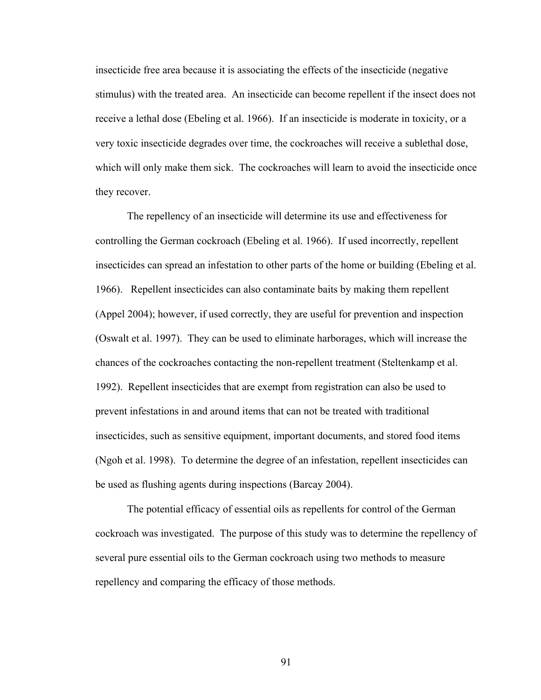insecticide free area because it is associating the effects of the insecticide (negative stimulus) with the treated area. An insecticide can become repellent if the insect does not receive a lethal dose (Ebeling et al. 1966). If an insecticide is moderate in toxicity, or a very toxic insecticide degrades over time, the cockroaches will receive a sublethal dose, which will only make them sick. The cockroaches will learn to avoid the insecticide once they recover.

The repellency of an insecticide will determine its use and effectiveness for controlling the German cockroach (Ebeling et al. 1966). If used incorrectly, repellent insecticides can spread an infestation to other parts of the home or building (Ebeling et al. 1966). Repellent insecticides can also contaminate baits by making them repellent (Appel 2004); however, if used correctly, they are useful for prevention and inspection (Oswalt et al. 1997). They can be used to eliminate harborages, which will increase the chances of the cockroaches contacting the non-repellent treatment (Steltenkamp et al. 1992). Repellent insecticides that are exempt from registration can also be used to prevent infestations in and around items that can not be treated with traditional insecticides, such as sensitive equipment, important documents, and stored food items (Ngoh et al. 1998). To determine the degree of an infestation, repellent insecticides can be used as flushing agents during inspections (Barcay 2004).

The potential efficacy of essential oils as repellents for control of the German cockroach was investigated. The purpose of this study was to determine the repellency of several pure essential oils to the German cockroach using two methods to measure repellency and comparing the efficacy of those methods.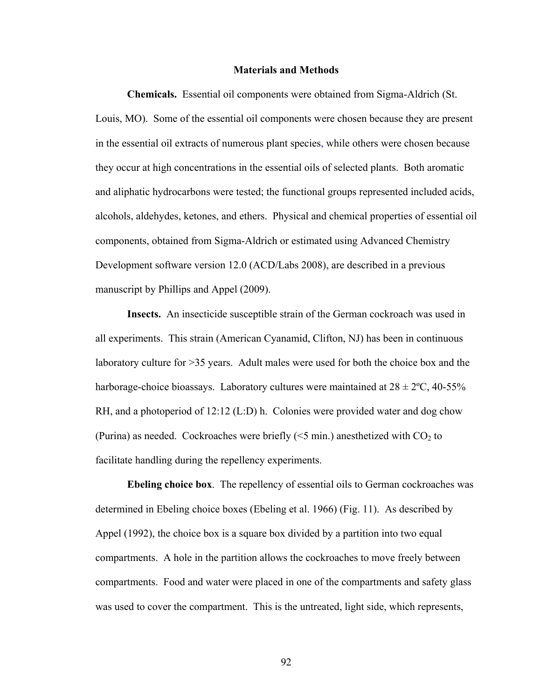## **Materials and Methods**

**Chemicals.** Essential oil components were obtained from Sigma-Aldrich (St. Louis, MO). Some of the essential oil components were chosen because they are present in the essential oil extracts of numerous plant species, while others were chosen because they occur at high concentrations in the essential oils of selected plants. Both aromatic and aliphatic hydrocarbons were tested; the functional groups represented included acids, alcohols, aldehydes, ketones, and ethers. Physical and chemical properties of essential oil components, obtained from Sigma-Aldrich or estimated using Advanced Chemistry Development software version 12.0 (ACD/Labs 2008), are described in a previous manuscript by Phillips and Appel (2009).

**Insects.** An insecticide susceptible strain of the German cockroach was used in all experiments. This strain (American Cyanamid, Clifton, NJ) has been in continuous laboratory culture for >35 years. Adult males were used for both the choice box and the harborage-choice bioassays. Laboratory cultures were maintained at  $28 \pm 2^{\circ}C$ , 40-55% RH, and a photoperiod of 12:12 (L:D) h. Colonies were provided water and dog chow (Purina) as needed. Cockroaches were briefly  $\leq 5$  min.) anesthetized with CO<sub>2</sub> to facilitate handling during the repellency experiments.

**Ebeling choice box**.The repellency of essential oils to German cockroaches was determined in Ebeling choice boxes (Ebeling et al. 1966) (Fig. 11). As described by Appel (1992), the choice box is a square box divided by a partition into two equal compartments. A hole in the partition allows the cockroaches to move freely between compartments. Food and water were placed in one of the compartments and safety glass was used to cover the compartment. This is the untreated, light side, which represents,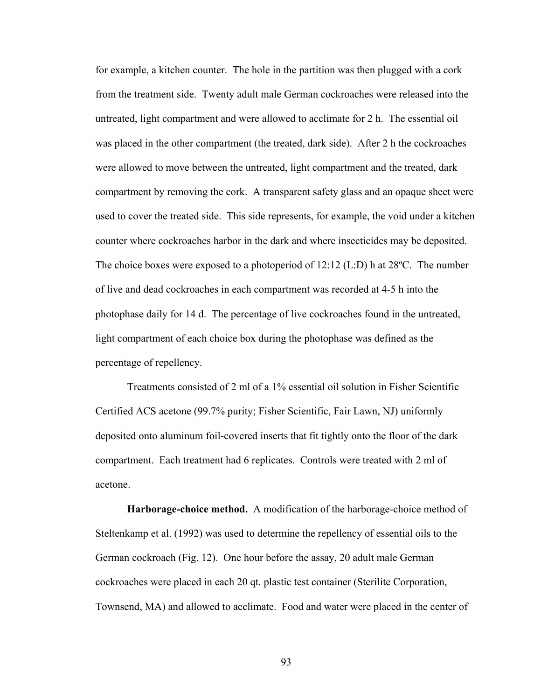for example, a kitchen counter. The hole in the partition was then plugged with a cork from the treatment side. Twenty adult male German cockroaches were released into the untreated, light compartment and were allowed to acclimate for 2 h. The essential oil was placed in the other compartment (the treated, dark side). After 2 h the cockroaches were allowed to move between the untreated, light compartment and the treated, dark compartment by removing the cork. A transparent safety glass and an opaque sheet were used to cover the treated side. This side represents, for example, the void under a kitchen counter where cockroaches harbor in the dark and where insecticides may be deposited. The choice boxes were exposed to a photoperiod of 12:12 (L:D) h at 28ºC. The number of live and dead cockroaches in each compartment was recorded at 4-5 h into the photophase daily for 14 d. The percentage of live cockroaches found in the untreated, light compartment of each choice box during the photophase was defined as the percentage of repellency.

 Treatments consisted of 2 ml of a 1% essential oil solution in Fisher Scientific Certified ACS acetone (99.7% purity; Fisher Scientific, Fair Lawn, NJ) uniformly deposited onto aluminum foil-covered inserts that fit tightly onto the floor of the dark compartment. Each treatment had 6 replicates. Controls were treated with 2 ml of acetone.

**Harborage-choice method.** A modification of the harborage-choice method of Steltenkamp et al. (1992) was used to determine the repellency of essential oils to the German cockroach (Fig. 12). One hour before the assay, 20 adult male German cockroaches were placed in each 20 qt. plastic test container (Sterilite Corporation, Townsend, MA) and allowed to acclimate. Food and water were placed in the center of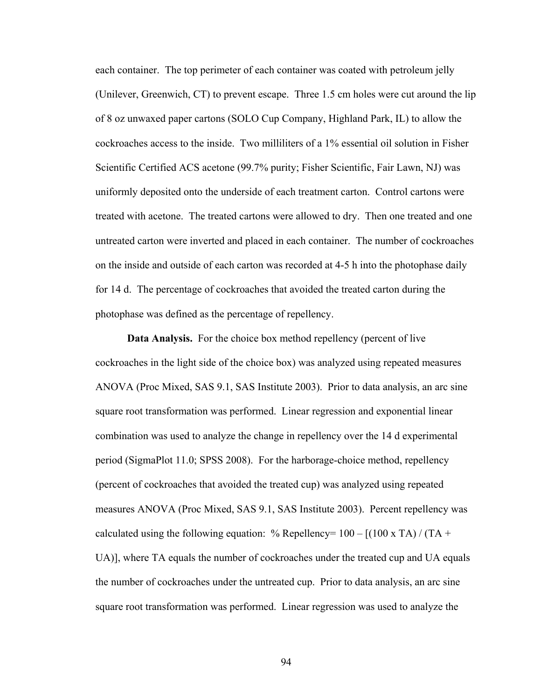each container. The top perimeter of each container was coated with petroleum jelly (Unilever, Greenwich, CT) to prevent escape. Three 1.5 cm holes were cut around the lip of 8 oz unwaxed paper cartons (SOLO Cup Company, Highland Park, IL) to allow the cockroaches access to the inside. Two milliliters of a 1% essential oil solution in Fisher Scientific Certified ACS acetone (99.7% purity; Fisher Scientific, Fair Lawn, NJ) was uniformly deposited onto the underside of each treatment carton. Control cartons were treated with acetone. The treated cartons were allowed to dry. Then one treated and one untreated carton were inverted and placed in each container. The number of cockroaches on the inside and outside of each carton was recorded at 4-5 h into the photophase daily for 14 d. The percentage of cockroaches that avoided the treated carton during the photophase was defined as the percentage of repellency.

 **Data Analysis.** For the choice box method repellency (percent of live cockroaches in the light side of the choice box) was analyzed using repeated measures ANOVA (Proc Mixed, SAS 9.1, SAS Institute 2003). Prior to data analysis, an arc sine square root transformation was performed. Linear regression and exponential linear combination was used to analyze the change in repellency over the 14 d experimental period (SigmaPlot 11.0; SPSS 2008). For the harborage-choice method, repellency (percent of cockroaches that avoided the treated cup) was analyzed using repeated measures ANOVA (Proc Mixed, SAS 9.1, SAS Institute 2003). Percent repellency was calculated using the following equation:  $\%$  Repellency= 100 – [(100 x TA) / (TA + UA)], where TA equals the number of cockroaches under the treated cup and UA equals the number of cockroaches under the untreated cup. Prior to data analysis, an arc sine square root transformation was performed. Linear regression was used to analyze the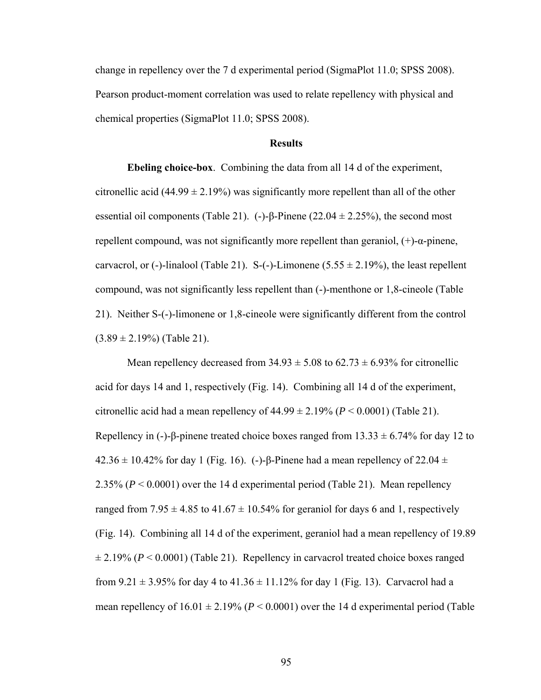change in repellency over the 7 d experimental period (SigmaPlot 11.0; SPSS 2008). Pearson product-moment correlation was used to relate repellency with physical and chemical properties (SigmaPlot 11.0; SPSS 2008).

## **Results**

**Ebeling choice-box**. Combining the data from all 14 d of the experiment, citronellic acid (44.99  $\pm$  2.19%) was significantly more repellent than all of the other essential oil components (Table 21). (-)-β-Pinene (22.04  $\pm$  2.25%), the second most repellent compound, was not significantly more repellent than geraniol,  $(+)$ -α-pinene, carvacrol, or (-)-linalool (Table 21). S-(-)-Limonene (5.55  $\pm$  2.19%), the least repellent compound, was not significantly less repellent than (-)-menthone or 1,8-cineole (Table 21). Neither S-(-)-limonene or 1,8-cineole were significantly different from the control  $(3.89 \pm 2.19\%)$  (Table 21).

Mean repellency decreased from  $34.93 \pm 5.08$  to  $62.73 \pm 6.93\%$  for citronellic acid for days 14 and 1, respectively (Fig. 14). Combining all 14 d of the experiment, citronellic acid had a mean repellency of  $44.99 \pm 2.19\%$  ( $P < 0.0001$ ) (Table 21). Repellency in (-)-β-pinene treated choice boxes ranged from  $13.33 \pm 6.74\%$  for day 12 to  $42.36 \pm 10.42\%$  for day 1 (Fig. 16). (-)-β-Pinene had a mean repellency of 22.04  $\pm$ 2.35% (*P* < 0.0001) over the 14 d experimental period (Table 21). Mean repellency ranged from  $7.95 \pm 4.85$  to  $41.67 \pm 10.54\%$  for geraniol for days 6 and 1, respectively (Fig. 14). Combining all 14 d of the experiment, geraniol had a mean repellency of 19.89  $\pm$  2.19% ( $P < 0.0001$ ) (Table 21). Repellency in carvacrol treated choice boxes ranged from 9.21  $\pm$  3.95% for day 4 to 41.36  $\pm$  11.12% for day 1 (Fig. 13). Carvacrol had a mean repellency of  $16.01 \pm 2.19\%$  ( $P < 0.0001$ ) over the 14 d experimental period (Table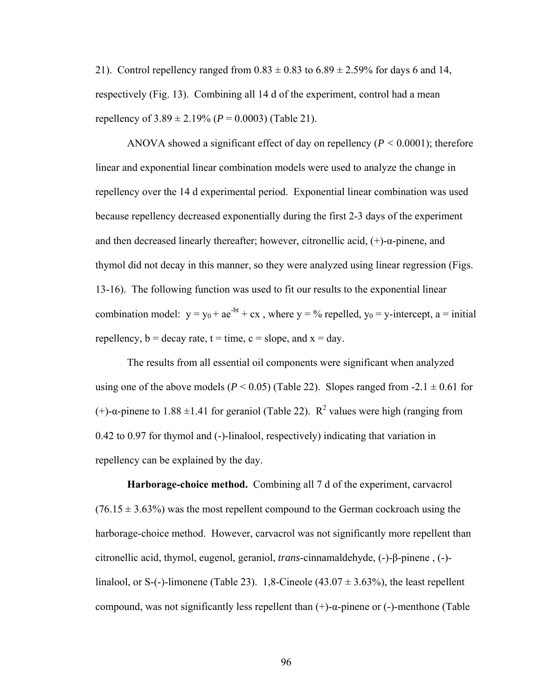21). Control repellency ranged from  $0.83 \pm 0.83$  to  $6.89 \pm 2.59\%$  for days 6 and 14, respectively (Fig. 13). Combining all 14 d of the experiment, control had a mean repellency of  $3.89 \pm 2.19\%$  ( $P = 0.0003$ ) (Table 21).

ANOVA showed a significant effect of day on repellency (*P <* 0.0001); therefore linear and exponential linear combination models were used to analyze the change in repellency over the 14 d experimental period. Exponential linear combination was used because repellency decreased exponentially during the first 2-3 days of the experiment and then decreased linearly thereafter; however, citronellic acid, (+)-α-pinene, and thymol did not decay in this manner, so they were analyzed using linear regression (Figs. 13-16). The following function was used to fit our results to the exponential linear combination model:  $y = y_0 + ae^{-bt} + cx$ , where  $y = \frac{9}{6}$  repelled,  $y_0 = y$ -intercept,  $a = initial$ repellency,  $b =$  decay rate,  $t =$  time,  $c =$  slope, and  $x =$  day.

The results from all essential oil components were significant when analyzed using one of the above models ( $P < 0.05$ ) (Table 22). Slopes ranged from  $-2.1 \pm 0.61$  for (+)- $\alpha$ -pinene to 1.88 ±1.41 for geraniol (Table 22). R<sup>2</sup> values were high (ranging from 0.42 to 0.97 for thymol and (-)-linalool, respectively) indicating that variation in repellency can be explained by the day.

**Harborage-choice method.** Combining all 7 d of the experiment, carvacrol  $(76.15 \pm 3.63\%)$  was the most repellent compound to the German cockroach using the harborage-choice method. However, carvacrol was not significantly more repellent than citronellic acid, thymol, eugenol, geraniol, *trans*-cinnamaldehyde, (-)-β-pinene , (-) linalool, or S-(-)-limonene (Table 23). 1,8-Cineole (43.07  $\pm$  3.63%), the least repellent compound, was not significantly less repellent than  $(+)$ -α-pinene or  $(-)$ -menthone (Table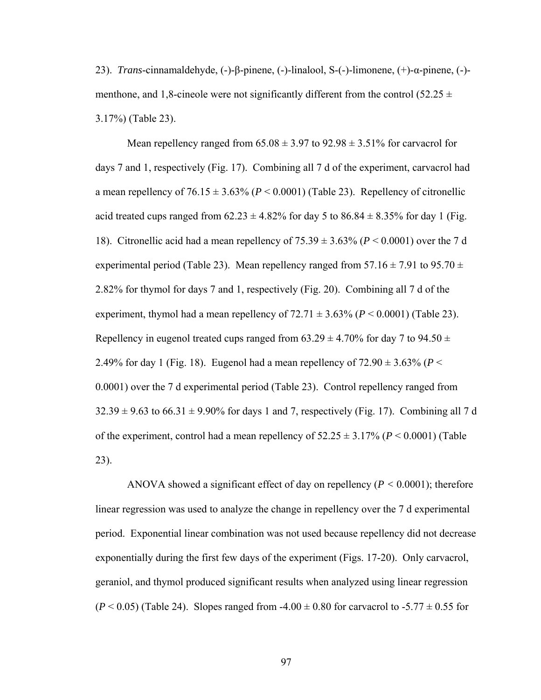23). *Trans*-cinnamaldehyde, (-)-β-pinene, (-)-linalool, S-(-)-limonene, (+)-α-pinene, (-) menthone, and 1,8-cineole were not significantly different from the control (52.25  $\pm$ 3.17%) (Table 23).

Mean repellency ranged from  $65.08 \pm 3.97$  to  $92.98 \pm 3.51\%$  for carvacrol for days 7 and 1, respectively (Fig. 17). Combining all 7 d of the experiment, carvacrol had a mean repellency of  $76.15 \pm 3.63\%$  ( $P < 0.0001$ ) (Table 23). Repellency of citronellic acid treated cups ranged from  $62.23 \pm 4.82\%$  for day 5 to  $86.84 \pm 8.35\%$  for day 1 (Fig. 18). Citronellic acid had a mean repellency of 75.39 ± 3.63% (*P* < 0.0001) over the 7 d experimental period (Table 23). Mean repellency ranged from  $57.16 \pm 7.91$  to  $95.70 \pm 7.91$ 2.82% for thymol for days 7 and 1, respectively (Fig. 20). Combining all 7 d of the experiment, thymol had a mean repellency of  $72.71 \pm 3.63\%$  ( $P < 0.0001$ ) (Table 23). Repellency in eugenol treated cups ranged from 63.29  $\pm$  4.70% for day 7 to 94.50  $\pm$ 2.49% for day 1 (Fig. 18). Eugenol had a mean repellency of  $72.90 \pm 3.63\%$  ( $P <$ 0.0001) over the 7 d experimental period (Table 23). Control repellency ranged from  $32.39 \pm 9.63$  to  $66.31 \pm 9.90\%$  for days 1 and 7, respectively (Fig. 17). Combining all 7 d of the experiment, control had a mean repellency of  $52.25 \pm 3.17\%$  ( $P \le 0.0001$ ) (Table 23).

ANOVA showed a significant effect of day on repellency (*P <* 0.0001); therefore linear regression was used to analyze the change in repellency over the 7 d experimental period. Exponential linear combination was not used because repellency did not decrease exponentially during the first few days of the experiment (Figs. 17-20). Only carvacrol, geraniol, and thymol produced significant results when analyzed using linear regression  $(P < 0.05)$  (Table 24). Slopes ranged from -4.00  $\pm$  0.80 for carvacrol to -5.77  $\pm$  0.55 for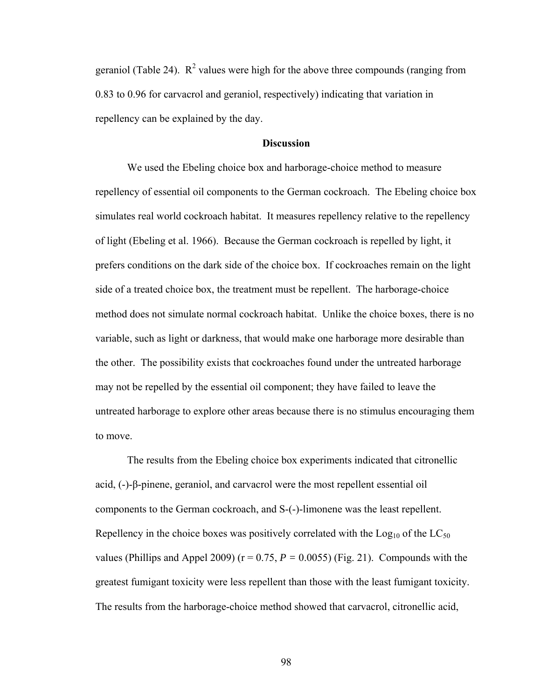geraniol (Table 24).  $\mathbb{R}^2$  values were high for the above three compounds (ranging from 0.83 to 0.96 for carvacrol and geraniol, respectively) indicating that variation in repellency can be explained by the day.

## **Discussion**

We used the Ebeling choice box and harborage-choice method to measure repellency of essential oil components to the German cockroach. The Ebeling choice box simulates real world cockroach habitat. It measures repellency relative to the repellency of light (Ebeling et al. 1966). Because the German cockroach is repelled by light, it prefers conditions on the dark side of the choice box. If cockroaches remain on the light side of a treated choice box, the treatment must be repellent. The harborage-choice method does not simulate normal cockroach habitat. Unlike the choice boxes, there is no variable, such as light or darkness, that would make one harborage more desirable than the other. The possibility exists that cockroaches found under the untreated harborage may not be repelled by the essential oil component; they have failed to leave the untreated harborage to explore other areas because there is no stimulus encouraging them to move.

 The results from the Ebeling choice box experiments indicated that citronellic acid, (-)-β-pinene, geraniol, and carvacrol were the most repellent essential oil components to the German cockroach, and S-(-)-limonene was the least repellent. Repellency in the choice boxes was positively correlated with the  $Log_{10}$  of the  $LC_{50}$ values (Phillips and Appel 2009) ( $r = 0.75$ ,  $P = 0.0055$ ) (Fig. 21). Compounds with the greatest fumigant toxicity were less repellent than those with the least fumigant toxicity. The results from the harborage-choice method showed that carvacrol, citronellic acid,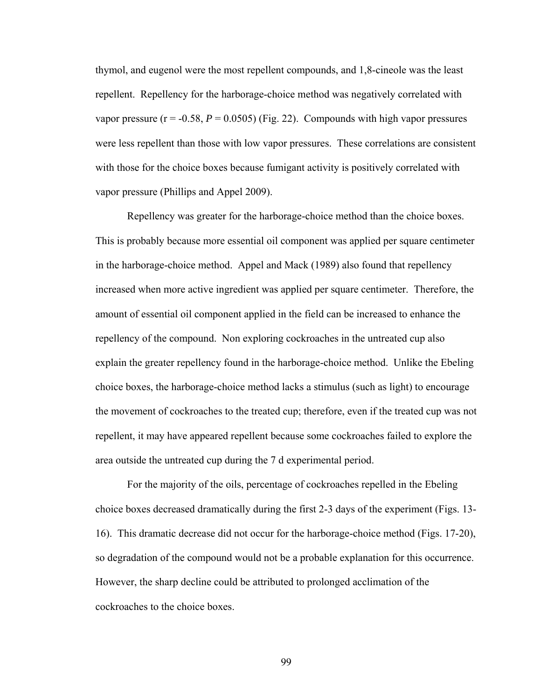thymol, and eugenol were the most repellent compounds, and 1,8-cineole was the least repellent. Repellency for the harborage-choice method was negatively correlated with vapor pressure  $(r = -0.58, P = 0.0505)$  (Fig. 22). Compounds with high vapor pressures were less repellent than those with low vapor pressures. These correlations are consistent with those for the choice boxes because fumigant activity is positively correlated with vapor pressure (Phillips and Appel 2009).

Repellency was greater for the harborage-choice method than the choice boxes. This is probably because more essential oil component was applied per square centimeter in the harborage-choice method. Appel and Mack (1989) also found that repellency increased when more active ingredient was applied per square centimeter. Therefore, the amount of essential oil component applied in the field can be increased to enhance the repellency of the compound. Non exploring cockroaches in the untreated cup also explain the greater repellency found in the harborage-choice method. Unlike the Ebeling choice boxes, the harborage-choice method lacks a stimulus (such as light) to encourage the movement of cockroaches to the treated cup; therefore, even if the treated cup was not repellent, it may have appeared repellent because some cockroaches failed to explore the area outside the untreated cup during the 7 d experimental period.

 For the majority of the oils, percentage of cockroaches repelled in the Ebeling choice boxes decreased dramatically during the first 2-3 days of the experiment (Figs. 13- 16). This dramatic decrease did not occur for the harborage-choice method (Figs. 17-20), so degradation of the compound would not be a probable explanation for this occurrence. However, the sharp decline could be attributed to prolonged acclimation of the cockroaches to the choice boxes.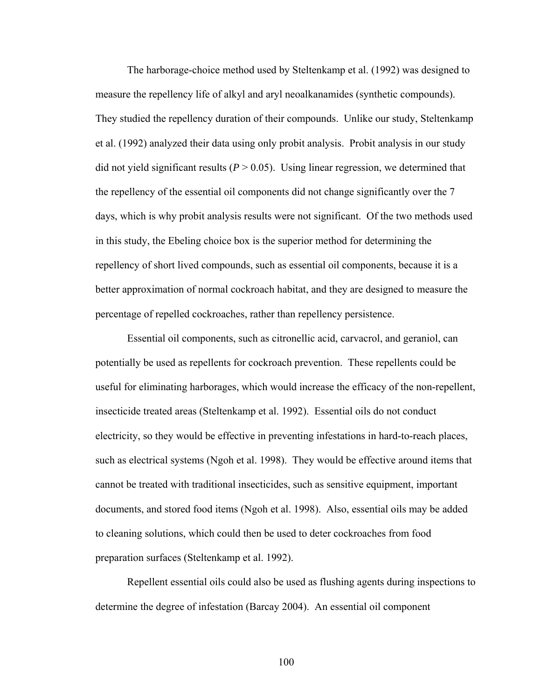The harborage-choice method used by Steltenkamp et al. (1992) was designed to measure the repellency life of alkyl and aryl neoalkanamides (synthetic compounds). They studied the repellency duration of their compounds. Unlike our study, Steltenkamp et al. (1992) analyzed their data using only probit analysis. Probit analysis in our study did not yield significant results  $(P > 0.05)$ . Using linear regression, we determined that the repellency of the essential oil components did not change significantly over the 7 days, which is why probit analysis results were not significant. Of the two methods used in this study, the Ebeling choice box is the superior method for determining the repellency of short lived compounds, such as essential oil components, because it is a better approximation of normal cockroach habitat, and they are designed to measure the percentage of repelled cockroaches, rather than repellency persistence.

Essential oil components, such as citronellic acid, carvacrol, and geraniol, can potentially be used as repellents for cockroach prevention. These repellents could be useful for eliminating harborages, which would increase the efficacy of the non-repellent, insecticide treated areas (Steltenkamp et al. 1992). Essential oils do not conduct electricity, so they would be effective in preventing infestations in hard-to-reach places, such as electrical systems (Ngoh et al. 1998). They would be effective around items that cannot be treated with traditional insecticides, such as sensitive equipment, important documents, and stored food items (Ngoh et al. 1998). Also, essential oils may be added to cleaning solutions, which could then be used to deter cockroaches from food preparation surfaces (Steltenkamp et al. 1992).

Repellent essential oils could also be used as flushing agents during inspections to determine the degree of infestation (Barcay 2004). An essential oil component

100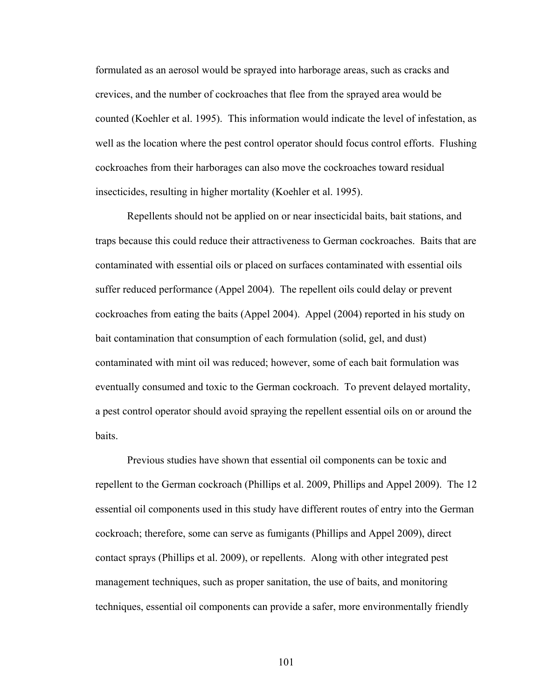formulated as an aerosol would be sprayed into harborage areas, such as cracks and crevices, and the number of cockroaches that flee from the sprayed area would be counted (Koehler et al. 1995). This information would indicate the level of infestation, as well as the location where the pest control operator should focus control efforts. Flushing cockroaches from their harborages can also move the cockroaches toward residual insecticides, resulting in higher mortality (Koehler et al. 1995).

Repellents should not be applied on or near insecticidal baits, bait stations, and traps because this could reduce their attractiveness to German cockroaches. Baits that are contaminated with essential oils or placed on surfaces contaminated with essential oils suffer reduced performance (Appel 2004). The repellent oils could delay or prevent cockroaches from eating the baits (Appel 2004). Appel (2004) reported in his study on bait contamination that consumption of each formulation (solid, gel, and dust) contaminated with mint oil was reduced; however, some of each bait formulation was eventually consumed and toxic to the German cockroach. To prevent delayed mortality, a pest control operator should avoid spraying the repellent essential oils on or around the baits.

Previous studies have shown that essential oil components can be toxic and repellent to the German cockroach (Phillips et al. 2009, Phillips and Appel 2009). The 12 essential oil components used in this study have different routes of entry into the German cockroach; therefore, some can serve as fumigants (Phillips and Appel 2009), direct contact sprays (Phillips et al. 2009), or repellents. Along with other integrated pest management techniques, such as proper sanitation, the use of baits, and monitoring techniques, essential oil components can provide a safer, more environmentally friendly

101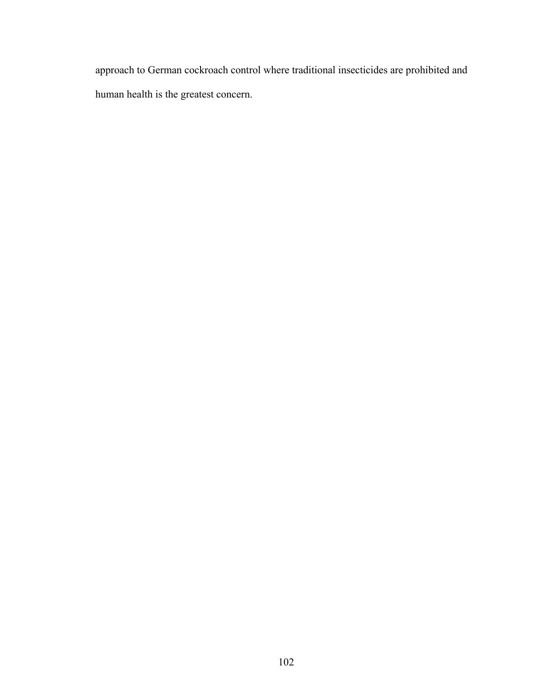approach to German cockroach control where traditional insecticides are prohibited and human health is the greatest concern.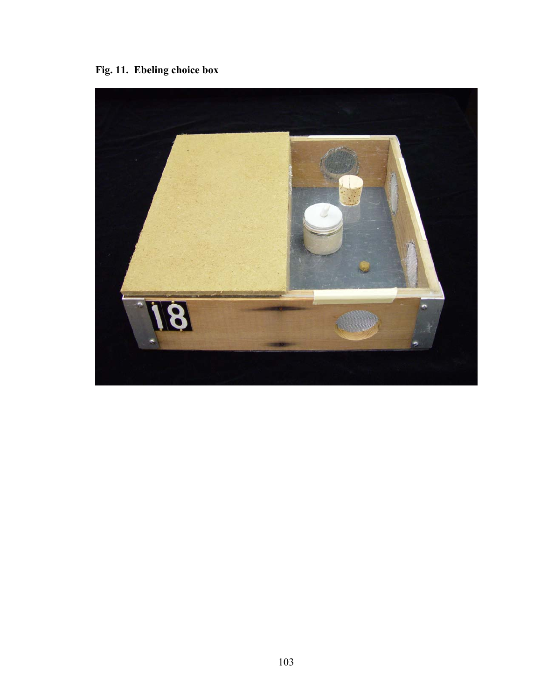**Fig. 11. Ebeling choice box** 

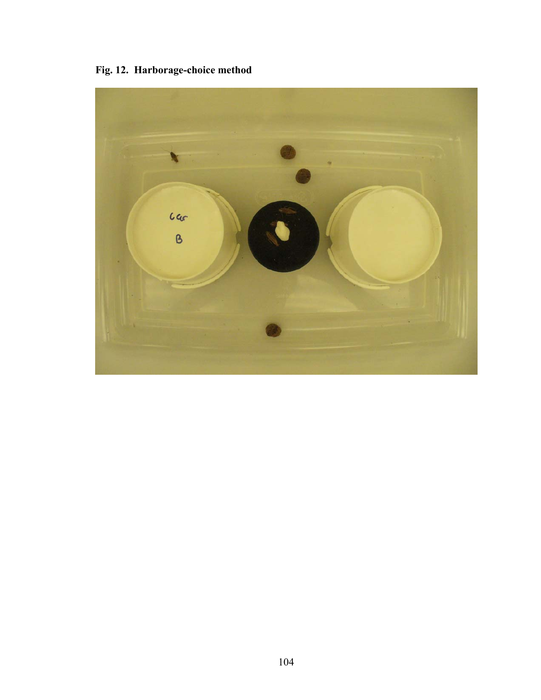**Fig. 12. Harborage-choice method** 

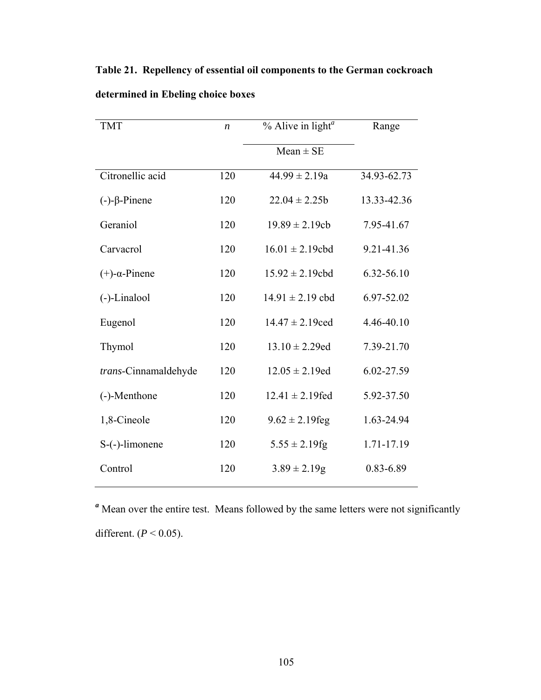| <b>TMT</b>               | $\boldsymbol{n}$ | $%$ Alive in light <sup>a</sup><br>Range |               |  |  |  |  |
|--------------------------|------------------|------------------------------------------|---------------|--|--|--|--|
|                          |                  | $Mean \pm SE$                            |               |  |  |  |  |
| Citronellic acid         | 120              | $44.99 \pm 2.19a$                        | 34.93-62.73   |  |  |  |  |
| $(-)-\beta$ -Pinene      | 120              | $22.04 \pm 2.25b$                        | 13.33-42.36   |  |  |  |  |
| Geraniol                 | 120              | $19.89 \pm 2.19cb$                       | 7.95-41.67    |  |  |  |  |
| Carvacrol                | 120              | $16.01 \pm 2.19$ cbd                     | 9.21-41.36    |  |  |  |  |
| $(+)$ - $\alpha$ -Pinene | 120              | $15.92 \pm 2.19$ cbd                     | 6.32-56.10    |  |  |  |  |
| (-)-Linalool             | 120              | $14.91 \pm 2.19$ cbd                     | 6.97-52.02    |  |  |  |  |
| Eugenol                  | 120              | $14.47 \pm 2.19$ ced                     | 4.46-40.10    |  |  |  |  |
| Thymol                   | 120              | $13.10 \pm 2.29$ ed                      | 7.39-21.70    |  |  |  |  |
| trans-Cinnamaldehyde     | 120              | $12.05 \pm 2.19$ ed                      | 6.02-27.59    |  |  |  |  |
| (-)-Menthone             | 120              | $12.41 \pm 2.19$ fed                     | 5.92-37.50    |  |  |  |  |
| 1,8-Cineole              | 120              | $9.62 \pm 2.19$ feg                      | 1.63-24.94    |  |  |  |  |
| S-(-)-limonene           | 120              | $5.55 \pm 2.19$ fg                       | 1.71-17.19    |  |  |  |  |
| Control                  | 120              | $3.89 \pm 2.19$ g                        | $0.83 - 6.89$ |  |  |  |  |

**Table 21. Repellency of essential oil components to the German cockroach determined in Ebeling choice boxes** 

*<sup>a</sup>* Mean over the entire test. Means followed by the same letters were not significantly different. (*P* < 0.05).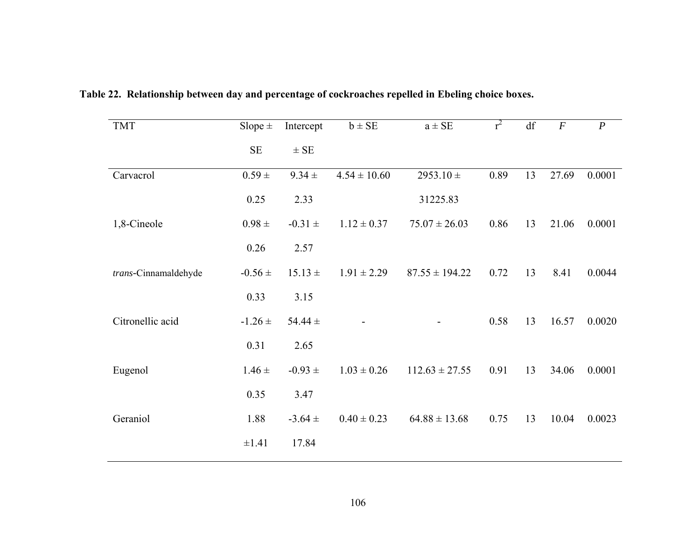| <b>TMT</b>           | Slope $\pm$ | Intercept         | $b \pm SE$       | $a \pm SE$               | $r^2$ | df | $\overline{F}$ | $\boldsymbol{P}$ |
|----------------------|-------------|-------------------|------------------|--------------------------|-------|----|----------------|------------------|
|                      | $\rm SE$    | $\pm$ SE          |                  |                          |       |    |                |                  |
| Carvacrol            | $0.59 \pm$  | $9.34 \pm$        | $4.54 \pm 10.60$ | 2953.10 $\pm$            | 0.89  | 13 | 27.69          | 0.0001           |
|                      | 0.25        | 2.33              |                  | 31225.83                 |       |    |                |                  |
| 1,8-Cineole          | $0.98 \pm$  | $-0.31 \pm$       | $1.12 \pm 0.37$  | $75.07 \pm 26.03$        | 0.86  | 13 | 21.06          | 0.0001           |
|                      | 0.26        | 2.57              |                  |                          |       |    |                |                  |
| trans-Cinnamaldehyde | $-0.56 \pm$ | $15.13 \pm$       | $1.91 \pm 2.29$  | $87.55 \pm 194.22$       | 0.72  | 13 | 8.41           | 0.0044           |
|                      | 0.33        | 3.15              |                  |                          |       |    |                |                  |
| Citronellic acid     | $-1.26 \pm$ | 54.44 $\pm$       |                  | $\overline{\phantom{0}}$ | 0.58  | 13 | 16.57          | 0.0020           |
|                      | 0.31        | 2.65              |                  |                          |       |    |                |                  |
| Eugenol              | $1.46 \pm$  | $-0.93 \pm 0.003$ | $1.03 \pm 0.26$  | $112.63 \pm 27.55$       | 0.91  | 13 | 34.06          | 0.0001           |
|                      | 0.35        | 3.47              |                  |                          |       |    |                |                  |
| Geraniol             | 1.88        | $-3.64 \pm$       | $0.40 \pm 0.23$  | $64.88 \pm 13.68$        | 0.75  | 13 | 10.04          | 0.0023           |
|                      | $\pm 1.41$  | 17.84             |                  |                          |       |    |                |                  |

**Table 22. Relationship between day and percentage of cockroaches repelled in Ebeling choice boxes.**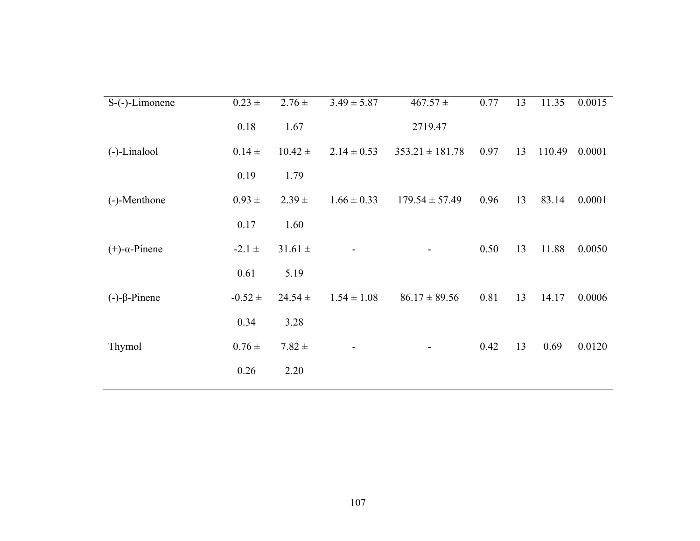| $S$ -(-)-Limonene        | $0.23 \pm$  | $2.76 \pm$  | $3.49 \pm 5.87$ | $467.57 \pm$        | 0.77 | 13 | 11.35  | 0.0015 |
|--------------------------|-------------|-------------|-----------------|---------------------|------|----|--------|--------|
|                          | 0.18        | 1.67        |                 | 2719.47             |      |    |        |        |
| (-)-Linalool             | $0.14 \pm$  | $10.42 \pm$ | $2.14 \pm 0.53$ | $353.21 \pm 181.78$ | 0.97 | 13 | 110.49 | 0.0001 |
|                          | 0.19        | 1.79        |                 |                     |      |    |        |        |
| (-)-Menthone             | $0.93 \pm$  | $2.39 \pm$  | $1.66 \pm 0.33$ | $179.54 \pm 57.49$  | 0.96 | 13 | 83.14  | 0.0001 |
|                          | 0.17        | 1.60        |                 |                     |      |    |        |        |
| $(+)$ - $\alpha$ -Pinene | $-2.1 \pm$  | $31.61 \pm$ |                 |                     | 0.50 | 13 | 11.88  | 0.0050 |
|                          | 0.61        | 5.19        |                 |                     |      |    |        |        |
| $(-)-\beta$ -Pinene      | $-0.52 \pm$ | $24.54 \pm$ | $1.54 \pm 1.08$ | $86.17 \pm 89.56$   | 0.81 | 13 | 14.17  | 0.0006 |
|                          | 0.34        | 3.28        |                 |                     |      |    |        |        |
| Thymol                   | $0.76 \pm$  | $7.82 \pm$  |                 |                     | 0.42 | 13 | 0.69   | 0.0120 |
|                          | 0.26        | 2.20        |                 |                     |      |    |        |        |
|                          |             |             |                 |                     |      |    |        |        |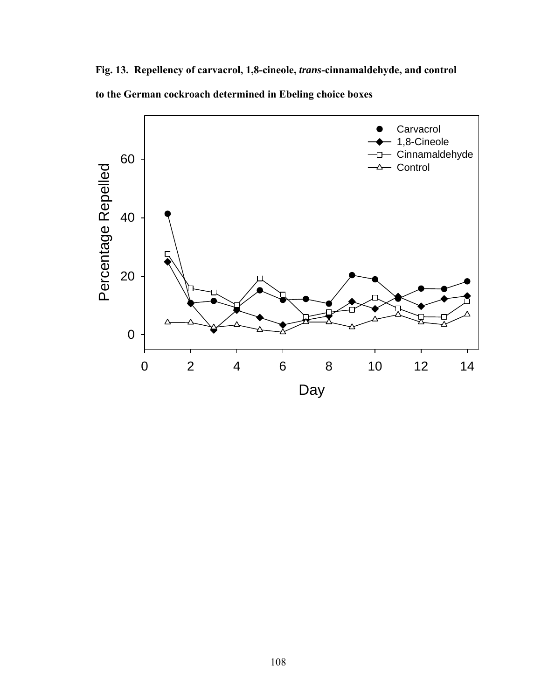**Fig. 13. Repellency of carvacrol, 1,8-cineole,** *trans***-cinnamaldehyde, and control to the German cockroach determined in Ebeling choice boxes** 

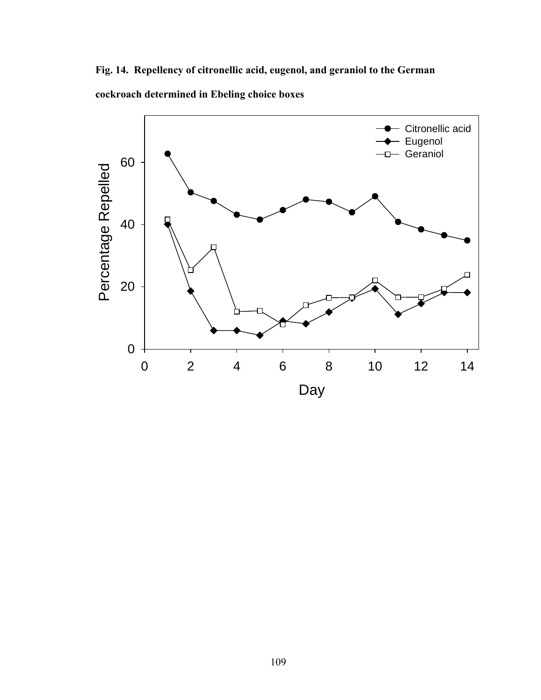**Fig. 14. Repellency of citronellic acid, eugenol, and geraniol to the German cockroach determined in Ebeling choice boxes** 

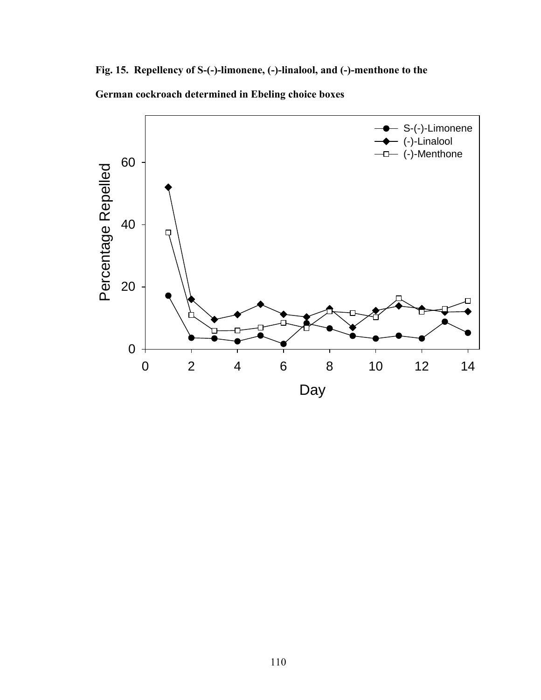**Fig. 15. Repellency of S-(-)-limonene, (-)-linalool, and (-)-menthone to the German cockroach determined in Ebeling choice boxes** 

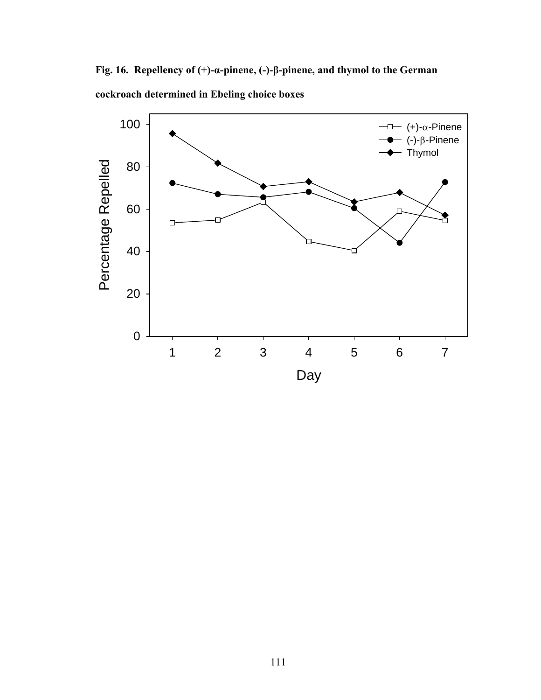**Fig. 16. Repellency of (+)-α-pinene, (-)-β-pinene, and thymol to the German cockroach determined in Ebeling choice boxes** 

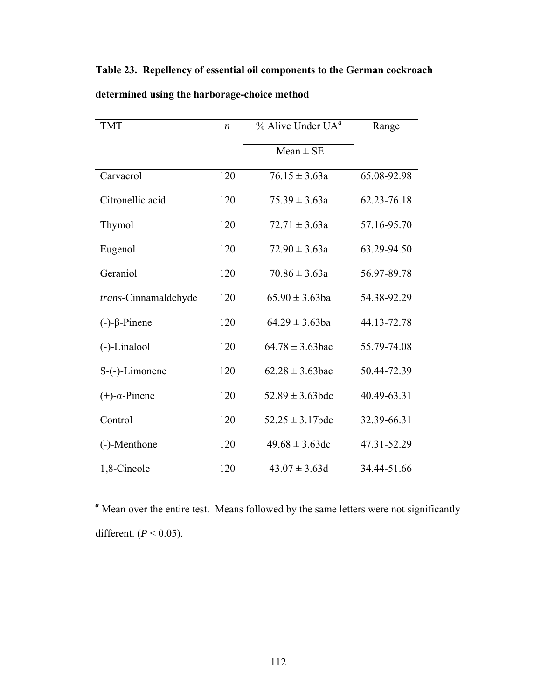| <b>TMT</b>               | $\boldsymbol{n}$ | $%$ Alive Under UA <sup>a</sup> | Range       |  |
|--------------------------|------------------|---------------------------------|-------------|--|
|                          |                  | $Mean \pm SE$                   |             |  |
| Carvacrol                | 120              | $76.15 \pm 3.63a$               | 65.08-92.98 |  |
| Citronellic acid         | 120              | $75.39 \pm 3.63a$               | 62.23-76.18 |  |
| Thymol                   | 120              | $72.71 \pm 3.63a$               | 57.16-95.70 |  |
| Eugenol                  | 120              | $72.90 \pm 3.63a$               | 63.29-94.50 |  |
| Geraniol                 | 120              | $70.86 \pm 3.63a$               | 56.97-89.78 |  |
| trans-Cinnamaldehyde     | 120              | $65.90 \pm 3.63$ ba             | 54.38-92.29 |  |
| $(-)-\beta$ -Pinene      | 120              | $64.29 \pm 3.63$ ba             | 44.13-72.78 |  |
| (-)-Linalool             | 120              | $64.78 \pm 3.63$ bac            | 55.79-74.08 |  |
| S-(-)-Limonene           | 120              | $62.28 \pm 3.63$ bac            | 50.44-72.39 |  |
| $(+)$ - $\alpha$ -Pinene | 120              | $52.89 \pm 3.63$ bdc            | 40.49-63.31 |  |
| Control                  | 120              | $52.25 \pm 3.17$ bdc            | 32.39-66.31 |  |
| (-)-Menthone             | 120              | $49.68 \pm 3.63$ dc             | 47.31-52.29 |  |
| 1,8-Cineole              | 120              | $43.07 \pm 3.63d$               | 34.44-51.66 |  |

**Table 23. Repellency of essential oil components to the German cockroach determined using the harborage-choice method** 

*<sup>a</sup>* Mean over the entire test. Means followed by the same letters were not significantly different. (*P* < 0.05).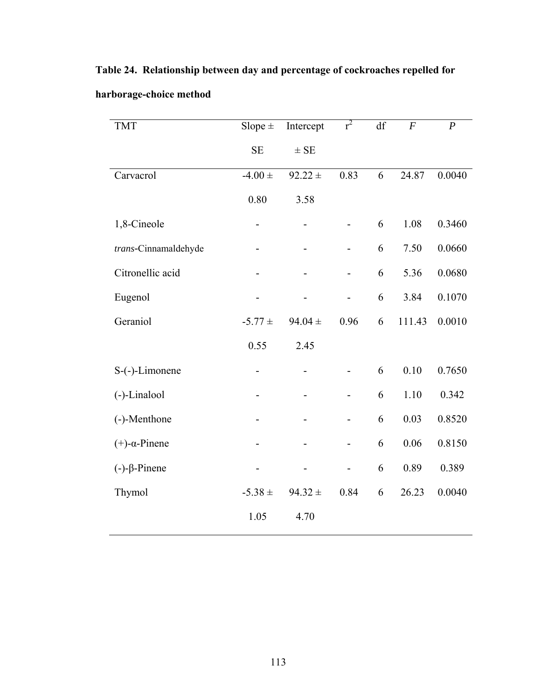| <b>TMT</b>               | Slope $\pm$ | Intercept   | $r^2$                    | df | $\boldsymbol{F}$ | $\boldsymbol{P}$ |
|--------------------------|-------------|-------------|--------------------------|----|------------------|------------------|
|                          | <b>SE</b>   | $\pm$ SE    |                          |    |                  |                  |
| Carvacrol                | $-4.00 \pm$ | $92.22 \pm$ | 0.83                     | 6  | 24.87            | 0.0040           |
|                          | 0.80        | 3.58        |                          |    |                  |                  |
| 1,8-Cineole              |             |             |                          | 6  | 1.08             | 0.3460           |
| trans-Cinnamaldehyde     |             |             | $\overline{\phantom{0}}$ | 6  | 7.50             | 0.0660           |
| Citronellic acid         |             |             | $\overline{\phantom{0}}$ | 6  | 5.36             | 0.0680           |
| Eugenol                  |             |             |                          | 6  | 3.84             | 0.1070           |
| Geraniol                 | $-5.77 \pm$ | $94.04 \pm$ | 0.96                     | 6  | 111.43           | 0.0010           |
|                          | 0.55        | 2.45        |                          |    |                  |                  |
| S-(-)-Limonene           |             |             |                          | 6  | 0.10             | 0.7650           |
| (-)-Linalool             |             |             |                          | 6  | 1.10             | 0.342            |
| (-)-Menthone             |             |             |                          | 6  | 0.03             | 0.8520           |
| $(+)$ - $\alpha$ -Pinene |             |             |                          | 6  | 0.06             | 0.8150           |
| $(-)-\beta$ -Pinene      |             |             |                          | 6  | 0.89             | 0.389            |
| Thymol                   | $-5.38 \pm$ | $94.32 \pm$ | 0.84                     | 6  | 26.23            | 0.0040           |
|                          | 1.05        | 4.70        |                          |    |                  |                  |

**Table 24. Relationship between day and percentage of cockroaches repelled for** 

## **harborage-choice method**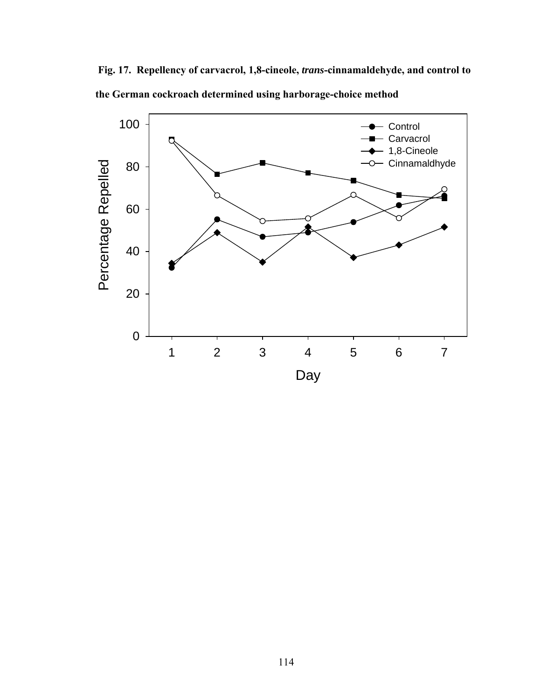**Fig. 17. Repellency of carvacrol, 1,8-cineole,** *trans***-cinnamaldehyde, and control to the German cockroach determined using harborage-choice method** 

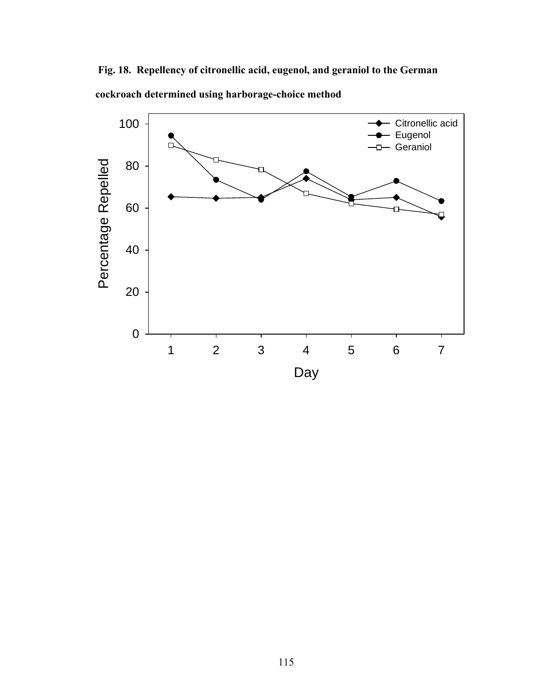**Fig. 18. Repellency of citronellic acid, eugenol, and geraniol to the German cockroach determined using harborage-choice method** 

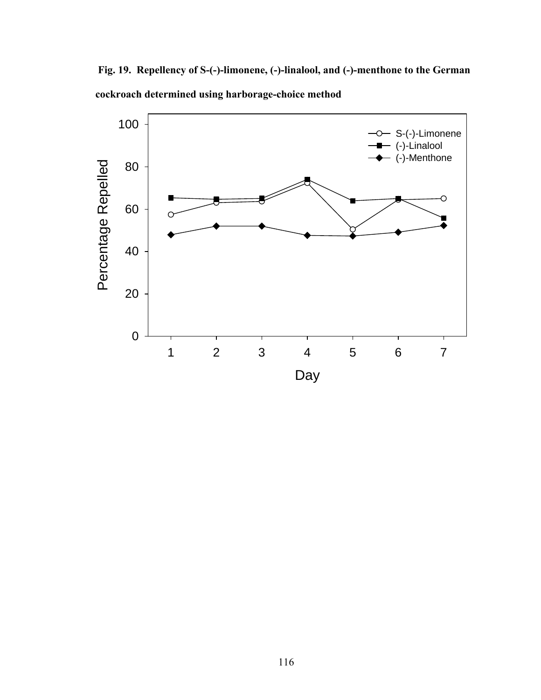**Fig. 19. Repellency of S-(-)-limonene, (-)-linalool, and (-)-menthone to the German cockroach determined using harborage-choice method** 

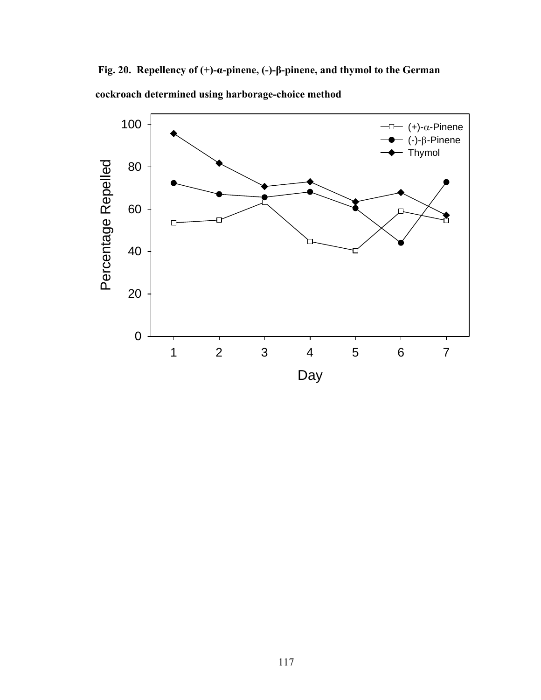**Fig. 20. Repellency of (+)-α-pinene, (-)-β-pinene, and thymol to the German cockroach determined using harborage-choice method** 

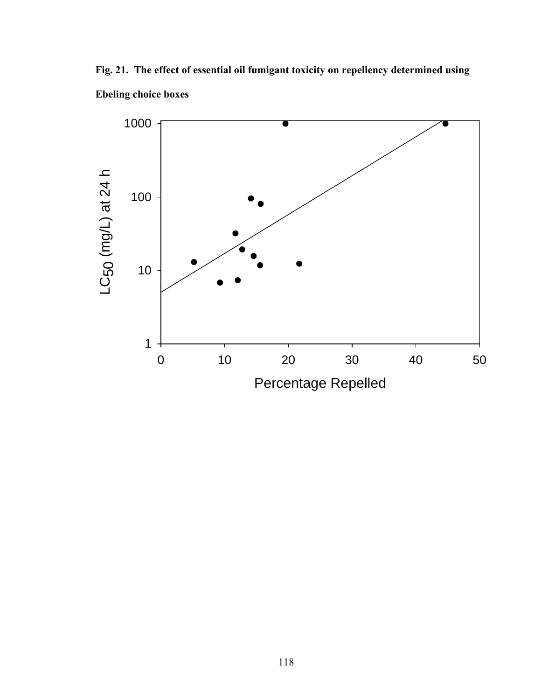**Fig. 21. The effect of essential oil fumigant toxicity on repellency determined using Ebeling choice boxes** 

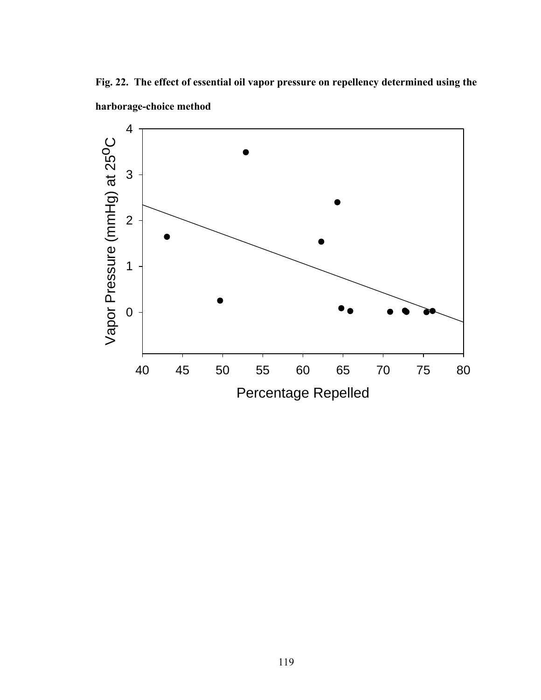**Fig. 22. The effect of essential oil vapor pressure on repellency determined using the harborage-choice method** 

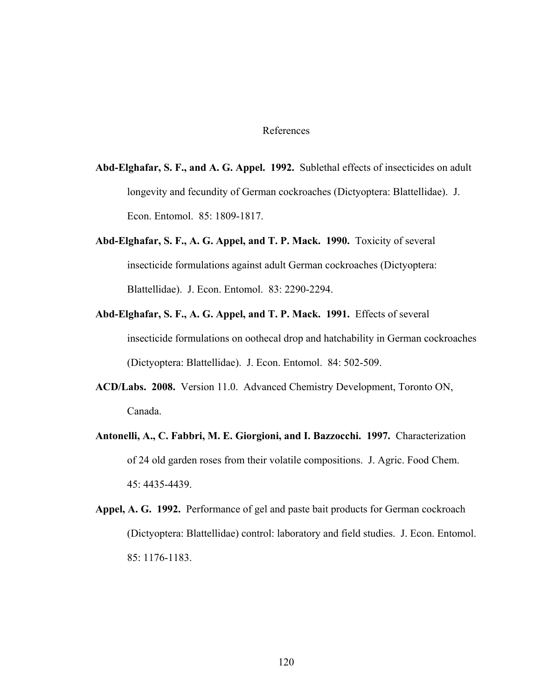## References

- **Abd-Elghafar, S. F., and A. G. Appel. 1992.** Sublethal effects of insecticides on adult longevity and fecundity of German cockroaches (Dictyoptera: Blattellidae). J. Econ. Entomol. 85: 1809-1817.
- **Abd-Elghafar, S. F., A. G. Appel, and T. P. Mack. 1990.** Toxicity of several insecticide formulations against adult German cockroaches (Dictyoptera: Blattellidae). J. Econ. Entomol. 83: 2290-2294.
- **Abd-Elghafar, S. F., A. G. Appel, and T. P. Mack. 1991.** Effects of several insecticide formulations on oothecal drop and hatchability in German cockroaches (Dictyoptera: Blattellidae). J. Econ. Entomol. 84: 502-509.
- **ACD/Labs. 2008.** Version 11.0. Advanced Chemistry Development, Toronto ON, Canada.
- **Antonelli, A., C. Fabbri, M. E. Giorgioni, and I. Bazzocchi. 1997.** Characterization of 24 old garden roses from their volatile compositions. J. Agric. Food Chem. 45: 4435-4439.
- **Appel, A. G. 1992.** Performance of gel and paste bait products for German cockroach (Dictyoptera: Blattellidae) control: laboratory and field studies. J. Econ. Entomol. 85: 1176-1183.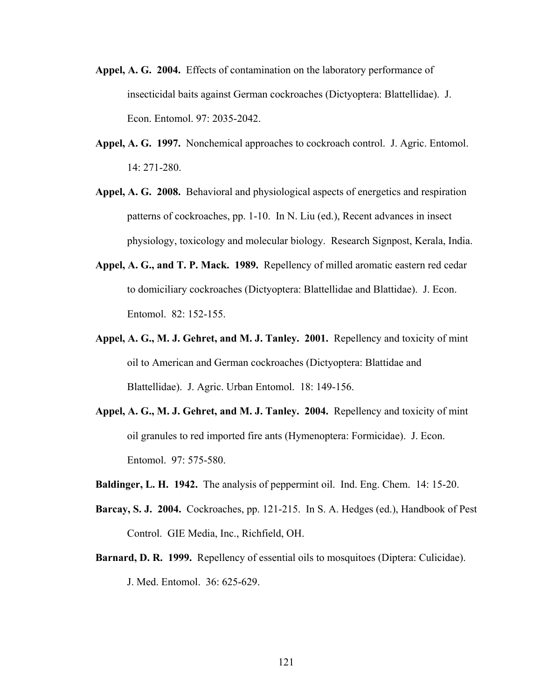- **Appel, A. G. 2004.** Effects of contamination on the laboratory performance of insecticidal baits against German cockroaches (Dictyoptera: Blattellidae). J. Econ. Entomol. 97: 2035-2042.
- Appel, A. G. 1997. Nonchemical approaches to cockroach control. J. Agric. Entomol. 14: 271-280.
- **Appel, A. G. 2008.** Behavioral and physiological aspects of energetics and respiration patterns of cockroaches, pp. 1-10. In N. Liu (ed.), Recent advances in insect physiology, toxicology and molecular biology. Research Signpost, Kerala, India.
- **Appel, A. G., and T. P. Mack. 1989.** Repellency of milled aromatic eastern red cedar to domiciliary cockroaches (Dictyoptera: Blattellidae and Blattidae). J. Econ. Entomol. 82: 152-155.
- **Appel, A. G., M. J. Gehret, and M. J. Tanley. 2001.** Repellency and toxicity of mint oil to American and German cockroaches (Dictyoptera: Blattidae and Blattellidae). J. Agric. Urban Entomol. 18: 149-156.
- **Appel, A. G., M. J. Gehret, and M. J. Tanley. 2004.** Repellency and toxicity of mint oil granules to red imported fire ants (Hymenoptera: Formicidae). J. Econ. Entomol. 97: 575-580.
- **Baldinger, L. H. 1942.** The analysis of peppermint oil. Ind. Eng. Chem. 14: 15-20.
- **Barcay, S. J. 2004.** Cockroaches, pp. 121-215. In S. A. Hedges (ed.), Handbook of Pest Control. GIE Media, Inc., Richfield, OH.
- **Barnard, D. R. 1999.** Repellency of essential oils to mosquitoes (Diptera: Culicidae). J. Med. Entomol. 36: 625-629.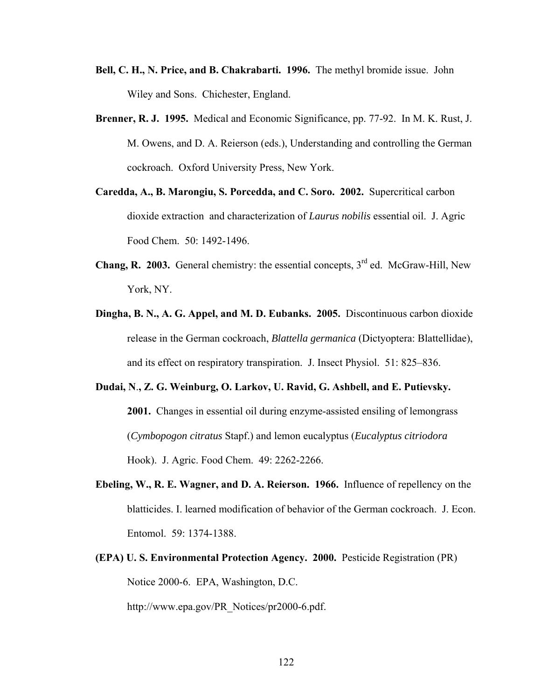- **Bell, C. H., N. Price, and B. Chakrabarti. 1996.** The methyl bromide issue. John Wiley and Sons. Chichester, England.
- **Brenner, R. J. 1995.** Medical and Economic Significance, pp. 77-92. In M. K. Rust, J. M. Owens, and D. A. Reierson (eds.), Understanding and controlling the German cockroach. Oxford University Press, New York.
- **Caredda, A., B. Marongiu, S. Porcedda, and C. Soro. 2002.** Supercritical carbon dioxide extraction and characterization of *Laurus nobilis* essential oil. J. Agric Food Chem. 50: 1492-1496.
- **Chang, R. 2003.** General chemistry: the essential concepts,  $3<sup>rd</sup>$  ed. McGraw-Hill, New York, NY.
- **Dingha, B. N., A. G. Appel, and M. D. Eubanks. 2005.** Discontinuous carbon dioxide release in the German cockroach, *Blattella germanica* (Dictyoptera: Blattellidae), and its effect on respiratory transpiration. J. Insect Physiol. 51: 825–836.
- **Dudai, N**.**, Z. G. Weinburg, O. Larkov, U. Ravid, G. Ashbell, and E. Putievsky. 2001.** Changes in essential oil during enzyme-assisted ensiling of lemongrass (*Cymbopogon citratus* Stapf.) and lemon eucalyptus (*Eucalyptus citriodora* Hook). J. Agric. Food Chem. 49: 2262-2266.
- **Ebeling, W., R. E. Wagner, and D. A. Reierson. 1966.** Influence of repellency on the blatticides. I. learned modification of behavior of the German cockroach. J. Econ. Entomol. 59: 1374-1388.
- **(EPA) U. S. Environmental Protection Agency. 2000.** Pesticide Registration (PR) Notice 2000-6. EPA, Washington, D.C.

http://www.epa.gov/PR\_Notices/pr2000-6.pdf.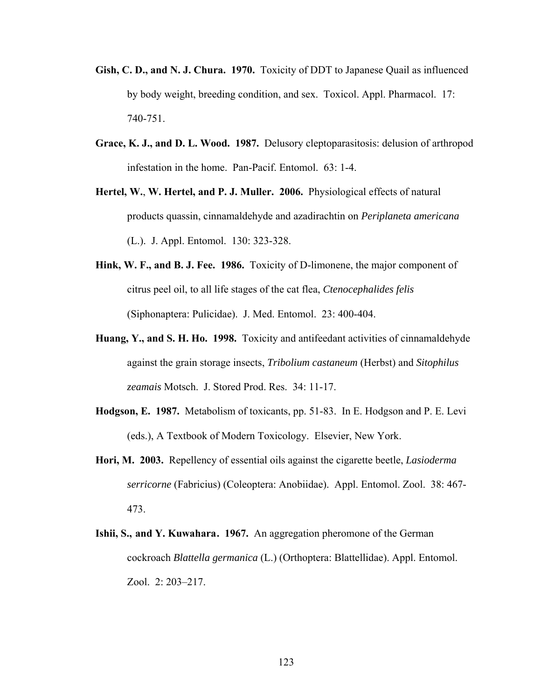- **Gish, C. D., and N. J. Chura. 1970.** Toxicity of DDT to Japanese Quail as influenced by body weight, breeding condition, and sex. Toxicol. Appl. Pharmacol. 17: 740-751.
- **Grace, K. J., and D. L. Wood. 1987.** Delusory cleptoparasitosis: delusion of arthropod infestation in the home. Pan-Pacif. Entomol. 63: 1-4.
- **Hertel, W.**, **W. Hertel, and P. J. Muller. 2006.** Physiological effects of natural products quassin, cinnamaldehyde and azadirachtin on *Periplaneta americana*  (L.). J. Appl. Entomol. 130: 323-328.
- **Hink, W. F., and B. J. Fee. 1986.** Toxicity of D-limonene, the major component of citrus peel oil, to all life stages of the cat flea, *Ctenocephalides felis*  (Siphonaptera: Pulicidae). J. Med. Entomol. 23: 400-404.
- **Huang, Y., and S. H. Ho. 1998.** Toxicity and antifeedant activities of cinnamaldehyde against the grain storage insects, *Tribolium castaneum* (Herbst) and *Sitophilus zeamais* Motsch. J. Stored Prod. Res. 34: 11-17.
- **Hodgson, E. 1987.** Metabolism of toxicants, pp. 51-83. In E. Hodgson and P. E. Levi (eds.), A Textbook of Modern Toxicology. Elsevier, New York.
- **Hori, M. 2003.** Repellency of essential oils against the cigarette beetle, *Lasioderma serricorne* (Fabricius) (Coleoptera: Anobiidae). Appl. Entomol. Zool. 38: 467- 473.
- **Ishii, S., and Y. Kuwahara. 1967.** An aggregation pheromone of the German cockroach *Blattella germanica* (L.) (Orthoptera: Blattellidae). Appl. Entomol. Zool. 2: 203–217.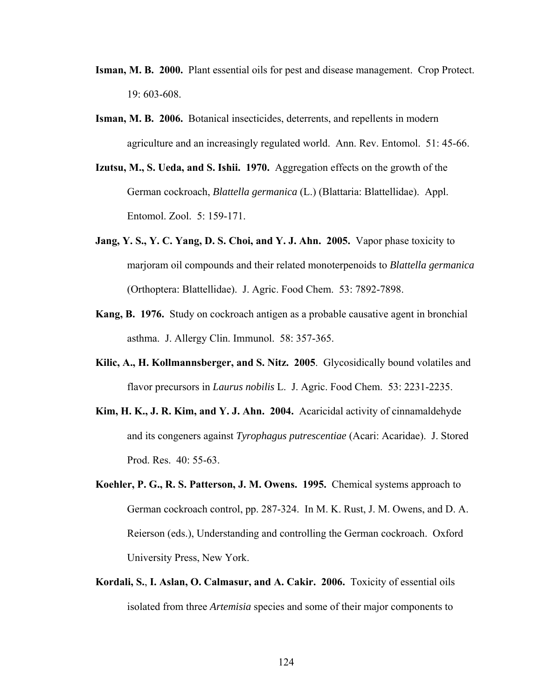- **Isman, M. B. 2000.** Plant essential oils for pest and disease management. Crop Protect. 19: 603-608.
- **Isman, M. B. 2006.** Botanical insecticides, deterrents, and repellents in modern agriculture and an increasingly regulated world. Ann. Rev. Entomol. 51: 45-66.
- **Izutsu, M., S. Ueda, and S. Ishii. 1970.** Aggregation effects on the growth of the German cockroach, *Blattella germanica* (L.) (Blattaria: Blattellidae). Appl. Entomol. Zool. 5: 159-171.
- **Jang, Y. S., Y. C. Yang, D. S. Choi, and Y. J. Ahn. 2005.** Vapor phase toxicity to marjoram oil compounds and their related monoterpenoids to *Blattella germanica* (Orthoptera: Blattellidae). J. Agric. Food Chem. 53: 7892-7898.
- **Kang, B. 1976.** Study on cockroach antigen as a probable causative agent in bronchial asthma. J. Allergy Clin. Immunol. 58: 357-365.
- **Kilic, A., H. Kollmannsberger, and S. Nitz. 2005**. Glycosidically bound volatiles and flavor precursors in *Laurus nobilis* L. J. Agric. Food Chem. 53: 2231-2235.
- **Kim, H. K., J. R. Kim, and Y. J. Ahn. 2004.** Acaricidal activity of cinnamaldehyde and its congeners against *Tyrophagus putrescentiae* (Acari: Acaridae). J. Stored Prod. Res. 40: 55-63.
- **Koehler, P. G., R. S. Patterson, J. M. Owens. 1995.** Chemical systems approach to German cockroach control, pp. 287-324. In M. K. Rust, J. M. Owens, and D. A. Reierson (eds.), Understanding and controlling the German cockroach. Oxford University Press, New York.
- **Kordali, S.**, **I. Aslan, O. Calmasur, and A. Cakir. 2006.** Toxicity of essential oils isolated from three *Artemisia* species and some of their major components to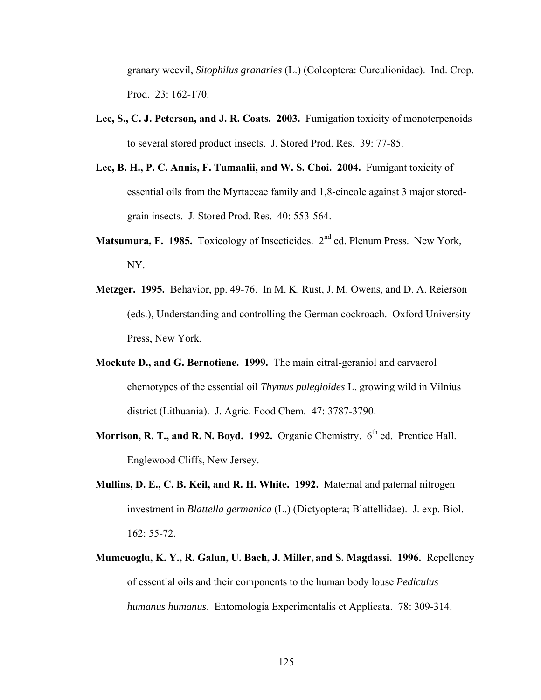granary weevil, *Sitophilus granaries* (L.) (Coleoptera: Curculionidae). Ind. Crop. Prod. 23: 162-170.

- **Lee, S., C. J. Peterson, and J. R. Coats. 2003.** Fumigation toxicity of monoterpenoids to several stored product insects. J. Stored Prod. Res. 39: 77-85.
- **Lee, B. H., P. C. Annis, F. Tumaalii, and W. S. Choi. 2004.** Fumigant toxicity of essential oils from the Myrtaceae family and 1,8-cineole against 3 major storedgrain insects. J. Stored Prod. Res. 40: 553-564.
- **Matsumura, F. 1985.** Toxicology of Insecticides. 2<sup>nd</sup> ed. Plenum Press. New York, NY.
- **Metzger. 1995.** Behavior, pp. 49-76. In M. K. Rust, J. M. Owens, and D. A. Reierson (eds.), Understanding and controlling the German cockroach. Oxford University Press, New York.
- **Mockute D., and G. Bernotiene. 1999.** The main citral-geraniol and carvacrol chemotypes of the essential oil *Thymus pulegioides* L. growing wild in Vilnius district (Lithuania). J. Agric. Food Chem. 47: 3787-3790.
- **Morrison, R. T., and R. N. Boyd. 1992.** Organic Chemistry. 6<sup>th</sup> ed. Prentice Hall. Englewood Cliffs, New Jersey.
- **Mullins, D. E., C. B. Keil, and R. H. White. 1992.** Maternal and paternal nitrogen investment in *Blattella germanica* (L.) (Dictyoptera; Blattellidae). J. exp. Biol. 162: 55-72.
- **Mumcuoglu, K. Y., R. Galun, U. Bach, J. Miller, and S. Magdassi. 1996.** Repellency of essential oils and their components to the human body louse *Pediculus humanus humanus*. Entomologia Experimentalis et Applicata. 78: 309-314.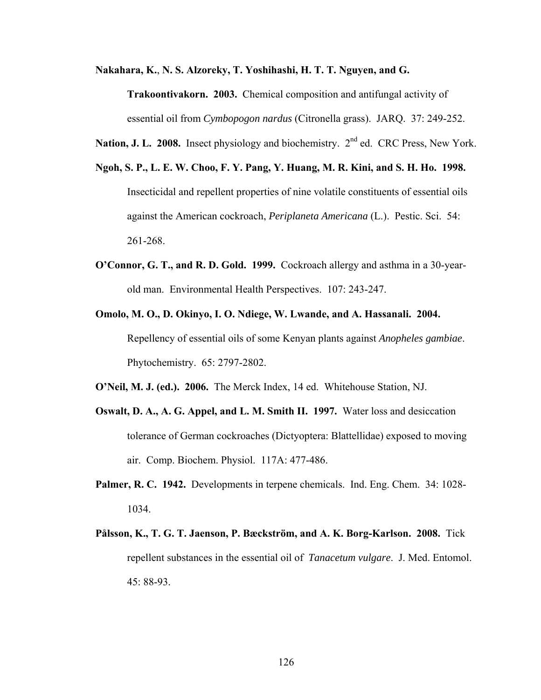**Nakahara, K.**, **N. S. Alzoreky, T. Yoshihashi, H. T. T. Nguyen, and G.** 

**Trakoontivakorn. 2003.** Chemical composition and antifungal activity of essential oil from *Cymbopogon nardus* (Citronella grass). JARQ. 37: 249-252.

Nation, J. L. 2008. Insect physiology and biochemistry. 2<sup>nd</sup> ed. CRC Press, New York.

- **Ngoh, S. P., L. E. W. Choo, F. Y. Pang, Y. Huang, M. R. Kini, and S. H. Ho. 1998.**  Insecticidal and repellent properties of nine volatile constituents of essential oils against the American cockroach, *Periplaneta Americana* (L.). Pestic. Sci. 54: 261-268.
- **O'Connor, G. T., and R. D. Gold. 1999.** Cockroach allergy and asthma in a 30-yearold man. Environmental Health Perspectives. 107: 243-247.
- **Omolo, M. O., D. Okinyo, I. O. Ndiege, W. Lwande, and A. Hassanali. 2004.**  Repellency of essential oils of some Kenyan plants against *Anopheles gambiae*. Phytochemistry. 65: 2797-2802.

**O'Neil, M. J. (ed.). 2006.** The Merck Index, 14 ed. Whitehouse Station, NJ.

- **Oswalt, D. A., A. G. Appel, and L. M. Smith II. 1997.** Water loss and desiccation tolerance of German cockroaches (Dictyoptera: Blattellidae) exposed to moving air. Comp. Biochem. Physiol. 117A: 477-486.
- **Palmer, R. C. 1942.** Developments in terpene chemicals. Ind. Eng. Chem. 34: 1028- 1034.
- **Pålsson, K., T. G. T. Jaenson, P. Bæckström, and A. K. Borg-Karlson. 2008.** Tick repellent substances in the essential oil of *Tanacetum vulgare*. J. Med. Entomol. 45: 88-93.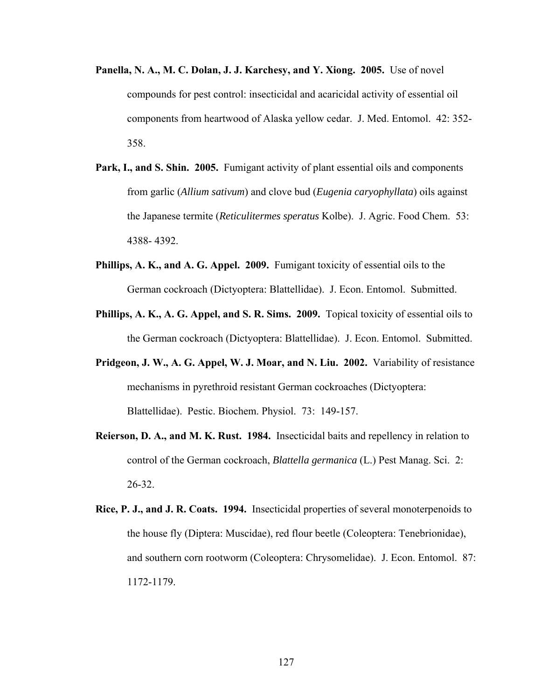- **Panella, N. A., M. C. Dolan, J. J. Karchesy, and Y. Xiong. 2005.** Use of novel compounds for pest control: insecticidal and acaricidal activity of essential oil components from heartwood of Alaska yellow cedar. J. Med. Entomol. 42: 352- 358.
- **Park, I., and S. Shin. 2005.** Fumigant activity of plant essential oils and components from garlic (*Allium sativum*) and clove bud (*Eugenia caryophyllata*) oils against the Japanese termite (*Reticulitermes speratus* Kolbe). J. Agric. Food Chem. 53: 4388- 4392.
- **Phillips, A. K., and A. G. Appel. 2009.** Fumigant toxicity of essential oils to the German cockroach (Dictyoptera: Blattellidae). J. Econ. Entomol. Submitted.
- **Phillips, A. K., A. G. Appel, and S. R. Sims. 2009.** Topical toxicity of essential oils to the German cockroach (Dictyoptera: Blattellidae). J. Econ. Entomol. Submitted.
- **Pridgeon, J. W., A. G. Appel, W. J. Moar, and N. Liu. 2002.** Variability of resistance mechanisms in pyrethroid resistant German cockroaches (Dictyoptera: Blattellidae). Pestic. Biochem. Physiol. 73: 149-157.
- **Reierson, D. A., and M. K. Rust. 1984.** Insecticidal baits and repellency in relation to control of the German cockroach, *Blattella germanica* (L.) Pest Manag. Sci. 2: 26-32.
- **Rice, P. J., and J. R. Coats. 1994.** Insecticidal properties of several monoterpenoids to the house fly (Diptera: Muscidae), red flour beetle (Coleoptera: Tenebrionidae), and southern corn rootworm (Coleoptera: Chrysomelidae). J. Econ. Entomol. 87: 1172-1179.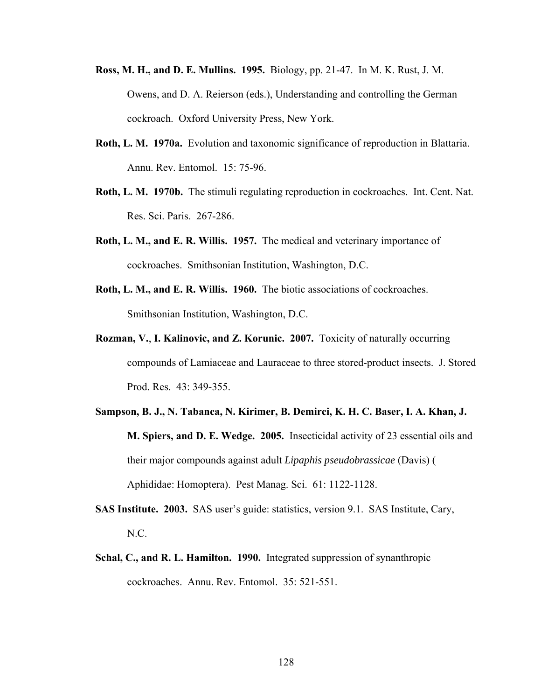- **Ross, M. H., and D. E. Mullins. 1995.** Biology, pp. 21-47. In M. K. Rust, J. M. Owens, and D. A. Reierson (eds.), Understanding and controlling the German cockroach. Oxford University Press, New York.
- **Roth, L. M. 1970a.** Evolution and taxonomic significance of reproduction in Blattaria. Annu. Rev. Entomol. 15: 75-96.
- **Roth, L. M. 1970b.** The stimuli regulating reproduction in cockroaches. Int. Cent. Nat. Res. Sci. Paris. 267-286.
- **Roth, L. M., and E. R. Willis. 1957.** The medical and veterinary importance of cockroaches. Smithsonian Institution, Washington, D.C.
- **Roth, L. M., and E. R. Willis. 1960.** The biotic associations of cockroaches. Smithsonian Institution, Washington, D.C.
- **Rozman, V.**, **I. Kalinovic, and Z. Korunic. 2007.** Toxicity of naturally occurring compounds of Lamiaceae and Lauraceae to three stored-product insects. J. Stored Prod. Res. 43: 349-355.
- **Sampson, B. J., N. Tabanca, N. Kirimer, B. Demirci, K. H. C. Baser, I. A. Khan, J. M. Spiers, and D. E. Wedge. 2005.** Insecticidal activity of 23 essential oils and their major compounds against adult *Lipaphis pseudobrassicae* (Davis) ( Aphididae: Homoptera). Pest Manag. Sci. 61: 1122-1128.
- **SAS Institute. 2003.** SAS user's guide: statistics, version 9.1. SAS Institute, Cary, N.C.
- **Schal, C., and R. L. Hamilton. 1990.** Integrated suppression of synanthropic cockroaches. Annu. Rev. Entomol. 35: 521-551.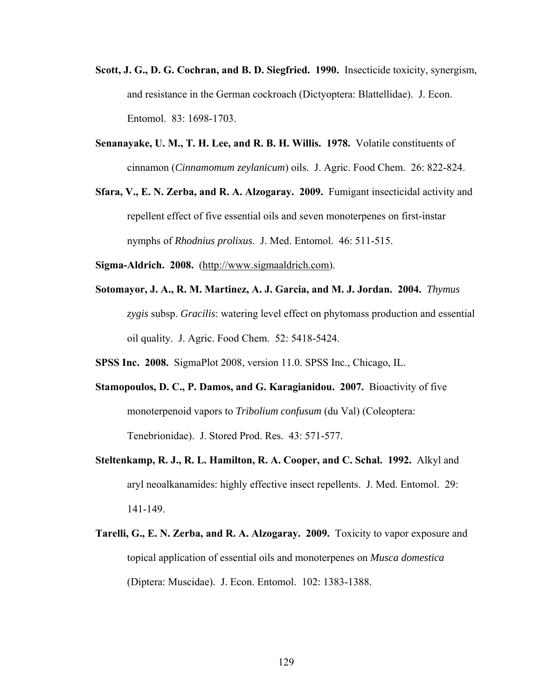- **Scott, J. G., D. G. Cochran, and B. D. Siegfried. 1990.** Insecticide toxicity, synergism, and resistance in the German cockroach (Dictyoptera: Blattellidae). J. Econ. Entomol. 83: 1698-1703.
- **Senanayake, U. M., T. H. Lee, and R. B. H. Willis. 1978.** Volatile constituents of cinnamon (*Cinnamomum zeylanicum*) oils. J. Agric. Food Chem. 26: 822-824.
- **Sfara, V., E. N. Zerba, and R. A. Alzogaray. 2009.** Fumigant insecticidal activity and repellent effect of five essential oils and seven monoterpenes on first-instar nymphs of *Rhodnius prolixus*. J. Med. Entomol. 46: 511-515.
- **Sigma-Aldrich. 2008.** (http://www.sigmaaldrich.com).
- **Sotomayor, J. A., R. M. Martinez, A. J. Garcia, and M. J. Jordan. 2004.** *Thymus zygis* subsp. *Gracilis*: watering level effect on phytomass production and essential oil quality. J. Agric. Food Chem. 52: 5418-5424.
- **SPSS Inc. 2008.** SigmaPlot 2008, version 11.0. SPSS Inc., Chicago, IL.
- **Stamopoulos, D. C., P. Damos, and G. Karagianidou. 2007.** Bioactivity of five monoterpenoid vapors to *Tribolium confusum* (du Val) (Coleoptera: Tenebrionidae). J. Stored Prod. Res. 43: 571-577.
- **Steltenkamp, R. J., R. L. Hamilton, R. A. Cooper, and C. Schal. 1992.** Alkyl and aryl neoalkanamides: highly effective insect repellents. J. Med. Entomol. 29: 141-149.
- **Tarelli, G., E. N. Zerba, and R. A. Alzogaray. 2009.** Toxicity to vapor exposure and topical application of essential oils and monoterpenes on *Musca domestica* (Diptera: Muscidae). J. Econ. Entomol. 102: 1383-1388.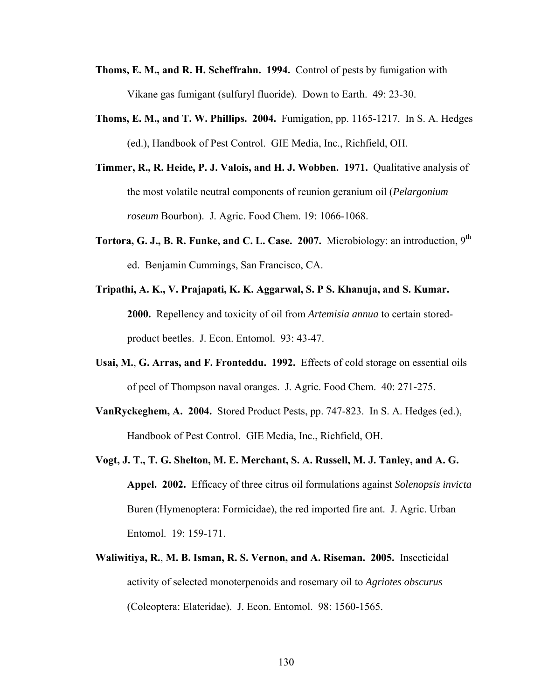- **Thoms, E. M., and R. H. Scheffrahn. 1994.** Control of pests by fumigation with Vikane gas fumigant (sulfuryl fluoride). Down to Earth. 49: 23-30.
- **Thoms, E. M., and T. W. Phillips. 2004.** Fumigation, pp. 1165-1217. In S. A. Hedges (ed.), Handbook of Pest Control. GIE Media, Inc., Richfield, OH.
- **Timmer, R., R. Heide, P. J. Valois, and H. J. Wobben. 1971.** Qualitative analysis of the most volatile neutral components of reunion geranium oil (*Pelargonium roseum* Bourbon). J. Agric. Food Chem. 19: 1066-1068.
- **Tortora, G. J., B. R. Funke, and C. L. Case. 2007.** Microbiology: an introduction, 9th ed. Benjamin Cummings, San Francisco, CA.
- **Tripathi, A. K., V. Prajapati, K. K. Aggarwal, S. P S. Khanuja, and S. Kumar. 2000.** Repellency and toxicity of oil from *Artemisia annua* to certain storedproduct beetles. J. Econ. Entomol. 93: 43-47.
- **Usai, M.**, **G. Arras, and F. Fronteddu. 1992.** Effects of cold storage on essential oils of peel of Thompson naval oranges. J. Agric. Food Chem. 40: 271-275.
- **VanRyckeghem, A. 2004.** Stored Product Pests, pp. 747-823. In S. A. Hedges (ed.), Handbook of Pest Control. GIE Media, Inc., Richfield, OH.
- **Vogt, J. T., T. G. Shelton, M. E. Merchant, S. A. Russell, M. J. Tanley, and A. G. Appel. 2002.** Efficacy of three citrus oil formulations against *Solenopsis invicta* Buren (Hymenoptera: Formicidae), the red imported fire ant. J. Agric. Urban Entomol. 19: 159-171.
- **Waliwitiya, R.**, **M. B. Isman, R. S. Vernon, and A. Riseman. 2005.** Insecticidal activity of selected monoterpenoids and rosemary oil to *Agriotes obscurus* (Coleoptera: Elateridae). J. Econ. Entomol. 98: 1560-1565.